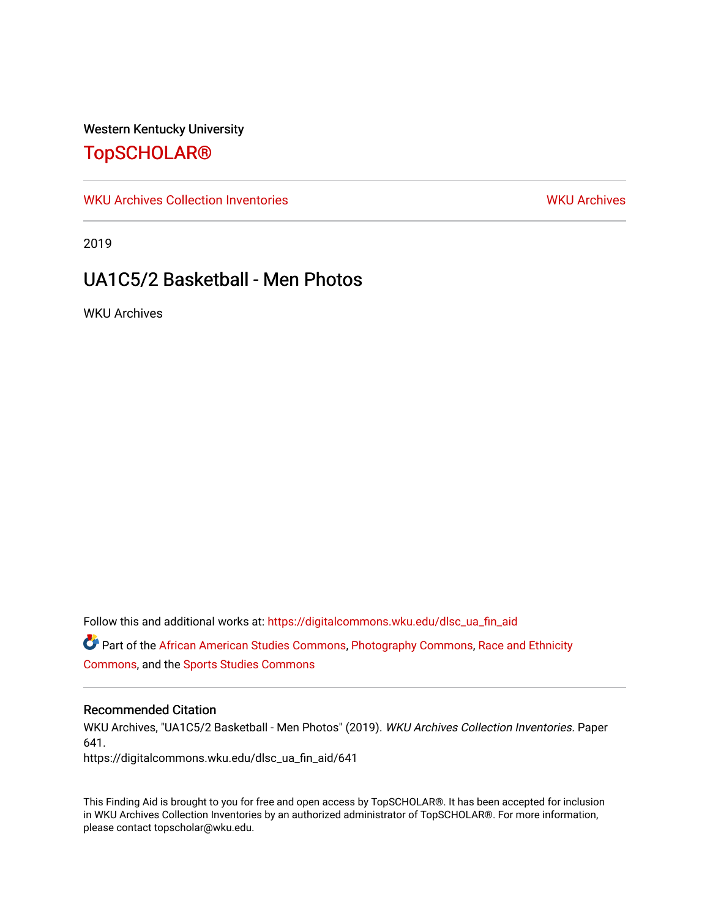### Western Kentucky University

# [TopSCHOLAR®](https://digitalcommons.wku.edu/)

[WKU Archives Collection Inventories](https://digitalcommons.wku.edu/dlsc_ua_fin_aid) [WKU Archives](https://digitalcommons.wku.edu/dlsc_ua) WKU Archives

2019

# UA1C5/2 Basketball - Men Photos

WKU Archives

Follow this and additional works at: [https://digitalcommons.wku.edu/dlsc\\_ua\\_fin\\_aid](https://digitalcommons.wku.edu/dlsc_ua_fin_aid?utm_source=digitalcommons.wku.edu%2Fdlsc_ua_fin_aid%2F641&utm_medium=PDF&utm_campaign=PDFCoverPages)  Part of the [African American Studies Commons,](https://network.bepress.com/hgg/discipline/567?utm_source=digitalcommons.wku.edu%2Fdlsc_ua_fin_aid%2F641&utm_medium=PDF&utm_campaign=PDFCoverPages) [Photography Commons](https://network.bepress.com/hgg/discipline/1142?utm_source=digitalcommons.wku.edu%2Fdlsc_ua_fin_aid%2F641&utm_medium=PDF&utm_campaign=PDFCoverPages), [Race and Ethnicity](https://network.bepress.com/hgg/discipline/426?utm_source=digitalcommons.wku.edu%2Fdlsc_ua_fin_aid%2F641&utm_medium=PDF&utm_campaign=PDFCoverPages) [Commons](https://network.bepress.com/hgg/discipline/426?utm_source=digitalcommons.wku.edu%2Fdlsc_ua_fin_aid%2F641&utm_medium=PDF&utm_campaign=PDFCoverPages), and the [Sports Studies Commons](https://network.bepress.com/hgg/discipline/1198?utm_source=digitalcommons.wku.edu%2Fdlsc_ua_fin_aid%2F641&utm_medium=PDF&utm_campaign=PDFCoverPages) 

#### Recommended Citation

WKU Archives, "UA1C5/2 Basketball - Men Photos" (2019). WKU Archives Collection Inventories. Paper 641.

https://digitalcommons.wku.edu/dlsc\_ua\_fin\_aid/641

This Finding Aid is brought to you for free and open access by TopSCHOLAR®. It has been accepted for inclusion in WKU Archives Collection Inventories by an authorized administrator of TopSCHOLAR®. For more information, please contact topscholar@wku.edu.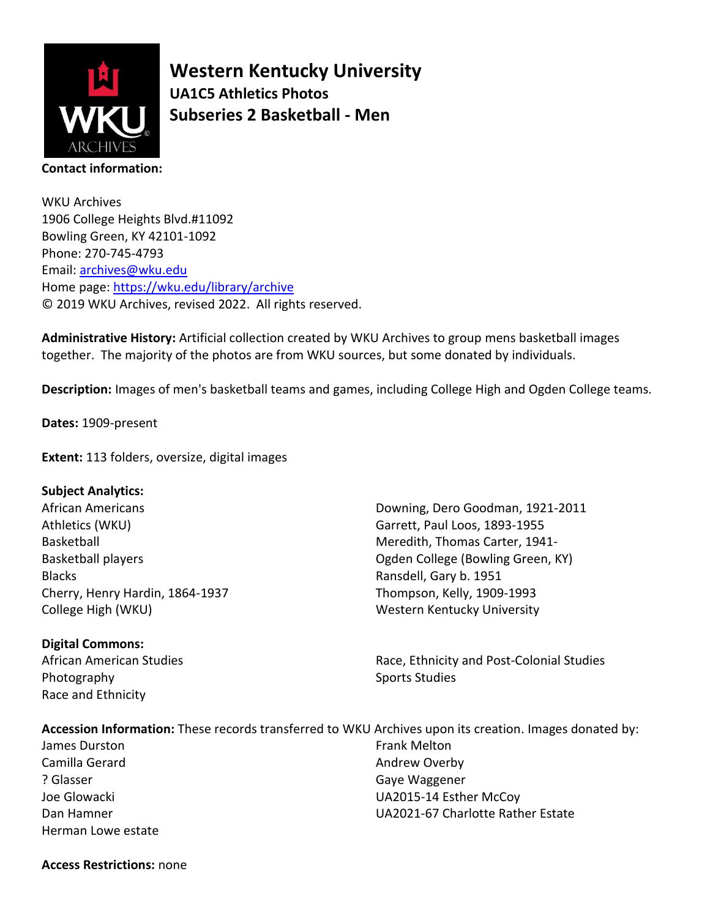

**Western Kentucky University UA1C5 Athletics Photos Subseries 2 Basketball - Men**

WKU Archives 1906 College Heights Blvd.#11092 Bowling Green, KY 42101-1092 Phone: 270-745-4793 Email: [archives@wku.edu](mailto:archives@wku.edu) Home page:<https://wku.edu/library/archive> © 2019 WKU Archives, revised 2022. All rights reserved.

**Administrative History:** Artificial collection created by WKU Archives to group mens basketball images together. The majority of the photos are from WKU sources, but some donated by individuals.

**Description:** Images of men's basketball teams and games, including College High and Ogden College teams.

**Dates:** 1909-present

**Extent:** 113 folders, oversize, digital images

#### **Subject Analytics:**

African Americans Athletics (WKU) Basketball Basketball players Blacks Cherry, Henry Hardin, 1864-1937 College High (WKU)

#### **Digital Commons:**

African American Studies Photography Race and Ethnicity

Downing, Dero Goodman, 1921-2011 Garrett, Paul Loos, 1893-1955 Meredith, Thomas Carter, 1941- Ogden College (Bowling Green, KY) Ransdell, Gary b. 1951 Thompson, Kelly, 1909-1993 Western Kentucky University

Race, Ethnicity and Post-Colonial Studies Sports Studies

## **Accession Information:** These records transferred to WKU Archives upon its creation. Images donated by:

James Durston Camilla Gerard ? Glasser Joe Glowacki Dan Hamner Herman Lowe estate Frank Melton Andrew Overby Gaye Waggener UA2015-14 Esther McCoy UA2021-67 Charlotte Rather Estate

#### **Access Restrictions:** none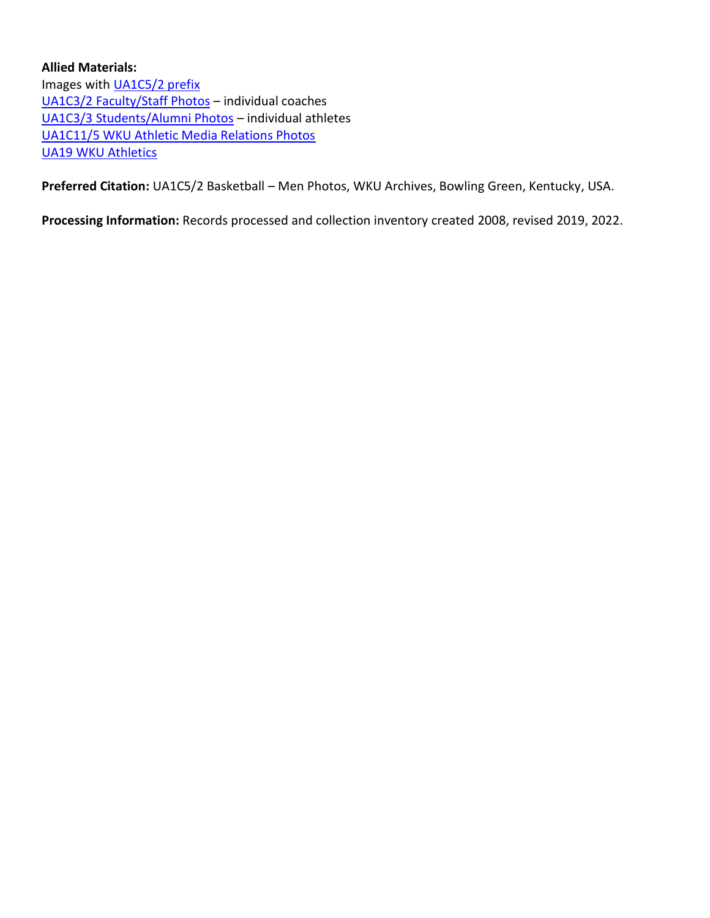### **Allied Materials:**  Images with **UA1C5/2** prefix [UA1C3/2 Faculty/Staff Photos](https://digitalcommons.wku.edu/dlsc_ua_fin_aid/615/) – individual coaches [UA1C3/3 Students/Alumni Photos](https://digitalcommons.wku.edu/dlsc_ua_fin_aid/616/) – individual athletes [UA1C11/5 WKU Athletic Media Relations Photos](https://digitalcommons.wku.edu/dlsc_ua_fin_aid/33/) [UA19 WKU Athletics](https://digitalcommons.wku.edu/dlsc_ua_fin_aid/78/)

**Preferred Citation:** UA1C5/2 Basketball – Men Photos, WKU Archives, Bowling Green, Kentucky, USA.

**Processing Information:** Records processed and collection inventory created 2008, revised 2019, 2022.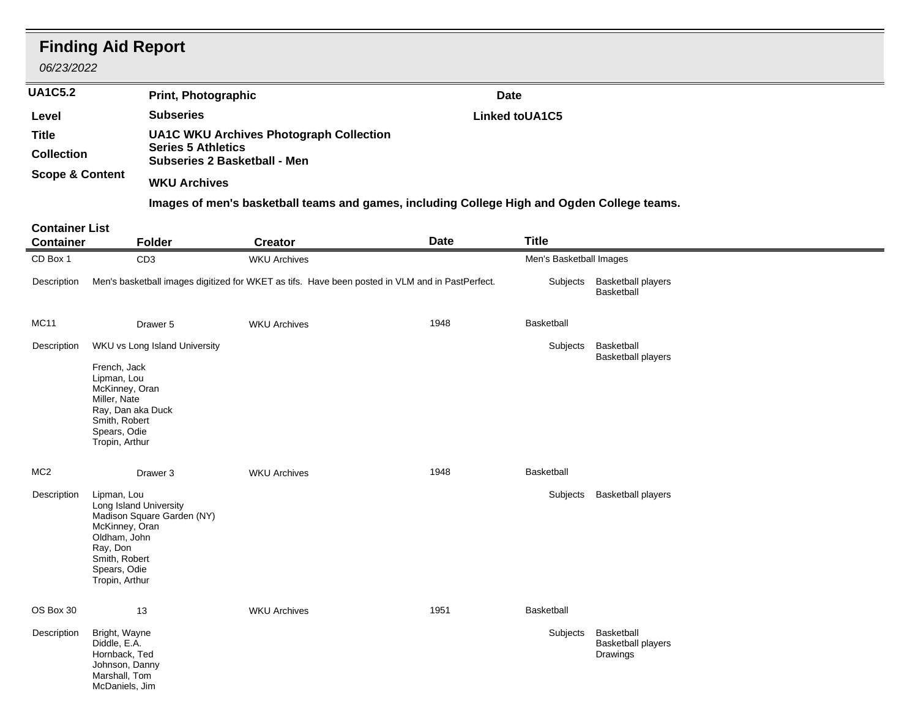| 06/23/2022                                | <b>Finding Aid Report</b>                                                                                                                                            |                                                                                                                    |             |                         |                                                     |
|-------------------------------------------|----------------------------------------------------------------------------------------------------------------------------------------------------------------------|--------------------------------------------------------------------------------------------------------------------|-------------|-------------------------|-----------------------------------------------------|
| <b>UA1C5.2</b>                            |                                                                                                                                                                      | <b>Print, Photographic</b>                                                                                         | <b>Date</b> |                         |                                                     |
| Level                                     |                                                                                                                                                                      | <b>Subseries</b>                                                                                                   |             | Linked toUA1C5          |                                                     |
| <b>Title</b><br><b>Collection</b>         |                                                                                                                                                                      | <b>UA1C WKU Archives Photograph Collection</b><br><b>Series 5 Athletics</b><br><b>Subseries 2 Basketball - Men</b> |             |                         |                                                     |
| <b>Scope &amp; Content</b>                |                                                                                                                                                                      | <b>WKU Archives</b>                                                                                                |             |                         |                                                     |
|                                           |                                                                                                                                                                      | Images of men's basketball teams and games, including College High and Ogden College teams.                        |             |                         |                                                     |
| <b>Container List</b><br><b>Container</b> | <b>Folder</b>                                                                                                                                                        | <b>Creator</b>                                                                                                     | <b>Date</b> | <b>Title</b>            |                                                     |
| CD Box 1                                  | CD <sub>3</sub>                                                                                                                                                      | <b>WKU Archives</b>                                                                                                |             | Men's Basketball Images |                                                     |
| Description                               |                                                                                                                                                                      | Men's basketball images digitized for WKET as tifs. Have been posted in VLM and in PastPerfect.                    |             |                         | Subjects Basketball players<br>Basketball           |
| <b>MC11</b>                               | Drawer 5                                                                                                                                                             | <b>WKU Archives</b>                                                                                                | 1948        | Basketball              |                                                     |
| Description                               | WKU vs Long Island University                                                                                                                                        |                                                                                                                    |             | Subjects                | Basketball<br><b>Basketball players</b>             |
|                                           | French, Jack<br>Lipman, Lou<br>McKinney, Oran<br>Miller, Nate<br>Ray, Dan aka Duck<br>Smith, Robert<br>Spears, Odie<br>Tropin, Arthur                                |                                                                                                                    |             |                         |                                                     |
| MC <sub>2</sub>                           | Drawer 3                                                                                                                                                             | <b>WKU Archives</b>                                                                                                | 1948        | Basketball              |                                                     |
| Description                               | Lipman, Lou<br>Long Island University<br>Madison Square Garden (NY)<br>McKinney, Oran<br>Oldham, John<br>Ray, Don<br>Smith, Robert<br>Spears, Odie<br>Tropin, Arthur |                                                                                                                    |             | Subjects                | <b>Basketball players</b>                           |
| OS Box 30                                 | 13                                                                                                                                                                   | <b>WKU Archives</b>                                                                                                | 1951        | Basketball              |                                                     |
| Description                               | Bright, Wayne<br>Diddle, E.A.<br>Hornback, Ted<br>Johnson, Danny<br>Marshall, Tom<br>McDaniels, Jim                                                                  |                                                                                                                    |             | Subjects                | Basketball<br><b>Basketball players</b><br>Drawings |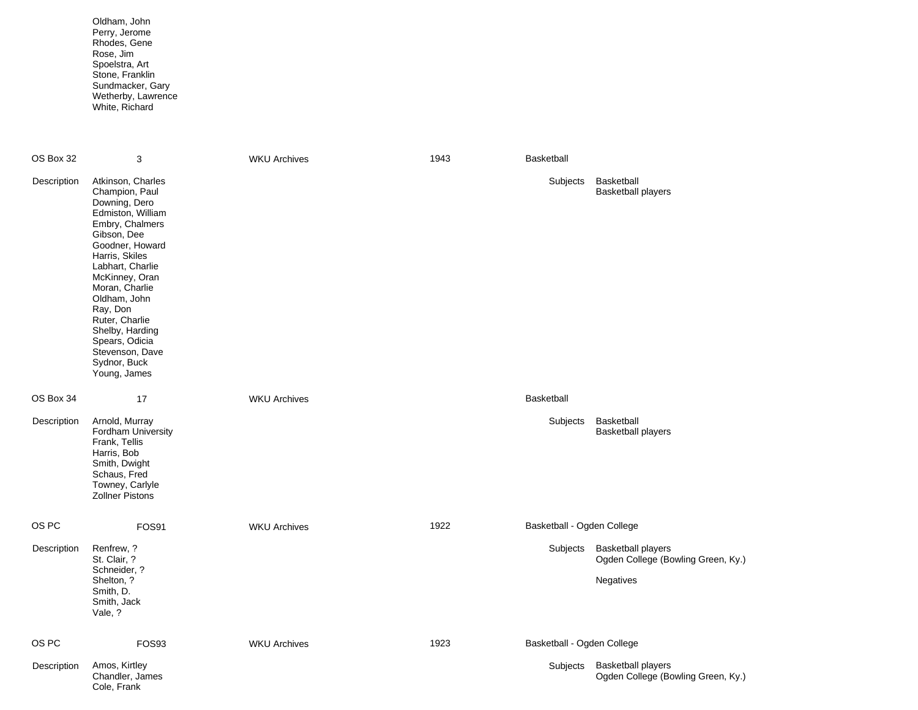Oldham, John Perry, Jerome Rhodes, Gene Rose, Jim Spoelstra, Art Stone, Franklin Sundmacker, Gary Wetherby, Lawrence White, Richard

| OS Box 32   | 3                                                                                                                                                                                                                                                                                                                                              | <b>WKU Archives</b> | 1943 | Basketball                 |                                                                              |
|-------------|------------------------------------------------------------------------------------------------------------------------------------------------------------------------------------------------------------------------------------------------------------------------------------------------------------------------------------------------|---------------------|------|----------------------------|------------------------------------------------------------------------------|
| Description | Atkinson, Charles<br>Champion, Paul<br>Downing, Dero<br>Edmiston, William<br>Embry, Chalmers<br>Gibson, Dee<br>Goodner, Howard<br>Harris, Skiles<br>Labhart, Charlie<br>McKinney, Oran<br>Moran, Charlie<br>Oldham, John<br>Ray, Don<br>Ruter, Charlie<br>Shelby, Harding<br>Spears, Odicia<br>Stevenson, Dave<br>Sydnor, Buck<br>Young, James |                     |      | Subjects                   | Basketball<br><b>Basketball players</b>                                      |
| OS Box 34   | 17                                                                                                                                                                                                                                                                                                                                             | <b>WKU Archives</b> |      | Basketball                 |                                                                              |
| Description | Arnold, Murray<br>Fordham University<br>Frank, Tellis<br>Harris, Bob<br>Smith, Dwight<br>Schaus, Fred<br>Towney, Carlyle<br><b>Zollner Pistons</b>                                                                                                                                                                                             |                     |      | Subjects                   | Basketball<br><b>Basketball players</b>                                      |
| OS PC       | FOS91                                                                                                                                                                                                                                                                                                                                          | <b>WKU Archives</b> | 1922 | Basketball - Ogden College |                                                                              |
| Description | Renfrew, ?<br>St. Clair, ?<br>Schneider, ?<br>Shelton, ?<br>Smith, D.<br>Smith, Jack                                                                                                                                                                                                                                                           |                     |      | Subjects                   | <b>Basketball players</b><br>Ogden College (Bowling Green, Ky.)<br>Negatives |
|             | Vale, ?                                                                                                                                                                                                                                                                                                                                        |                     |      |                            |                                                                              |
| OS PC       | FOS93                                                                                                                                                                                                                                                                                                                                          | <b>WKU Archives</b> | 1923 | Basketball - Ogden College |                                                                              |
| Description | Amos, Kirtley<br>Chandler, James<br>Cole, Frank                                                                                                                                                                                                                                                                                                |                     |      | Subjects                   | <b>Basketball players</b><br>Ogden College (Bowling Green, Ky.)              |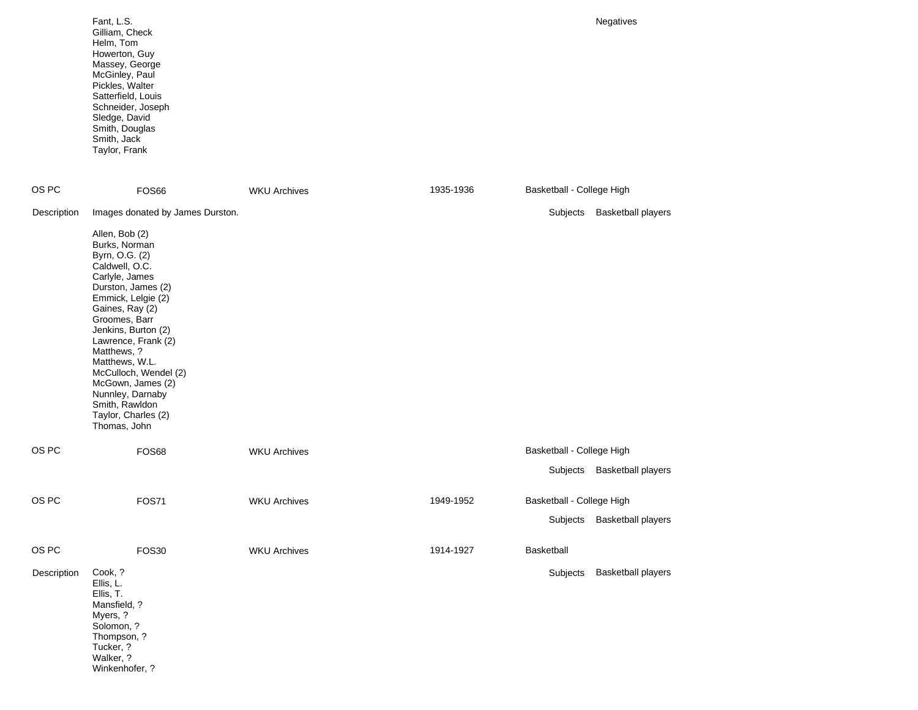|             | Fant, L.S.<br>Gilliam, Check<br>Helm, Tom<br>Howerton, Guy<br>Massey, George<br>McGinley, Paul<br>Pickles, Walter<br>Satterfield, Louis<br>Schneider, Joseph<br>Sledge, David<br>Smith, Douglas<br>Smith, Jack<br>Taylor, Frank                                                                                                                                                                                     |                     |           | <b>Negatives</b>                                         |
|-------------|---------------------------------------------------------------------------------------------------------------------------------------------------------------------------------------------------------------------------------------------------------------------------------------------------------------------------------------------------------------------------------------------------------------------|---------------------|-----------|----------------------------------------------------------|
| OS PC       | FOS66                                                                                                                                                                                                                                                                                                                                                                                                               | <b>WKU Archives</b> | 1935-1936 | Basketball - College High                                |
| Description | Images donated by James Durston.<br>Allen, Bob (2)<br>Burks, Norman<br>Byrn, O.G. (2)<br>Caldwell, O.C.<br>Carlyle, James<br>Durston, James (2)<br>Emmick, Lelgie (2)<br>Gaines, Ray (2)<br>Groomes, Barr<br>Jenkins, Burton (2)<br>Lawrence, Frank (2)<br>Matthews, ?<br>Matthews, W.L.<br>McCulloch, Wendel (2)<br>McGown, James (2)<br>Nunnley, Darnaby<br>Smith, Rawldon<br>Taylor, Charles (2)<br>Thomas, John |                     |           | Subjects<br><b>Basketball players</b>                    |
| OS PC       | <b>FOS68</b>                                                                                                                                                                                                                                                                                                                                                                                                        | <b>WKU Archives</b> |           | Basketball - College High<br>Subjects Basketball players |
| OS PC       | <b>FOS71</b>                                                                                                                                                                                                                                                                                                                                                                                                        | <b>WKU Archives</b> | 1949-1952 | Basketball - College High<br>Subjects Basketball players |
| OS PC       | <b>FOS30</b>                                                                                                                                                                                                                                                                                                                                                                                                        | <b>WKU Archives</b> | 1914-1927 | Basketball                                               |
| Description | Cook, ?<br>Ellis, L.<br>Ellis, T.<br>Mansfield, ?<br>Myers, ?<br>Solomon, ?<br>Thompson, ?<br>Tucker, ?<br>Walker, ?<br>Winkenhofer, ?                                                                                                                                                                                                                                                                              |                     |           | Subjects<br><b>Basketball players</b>                    |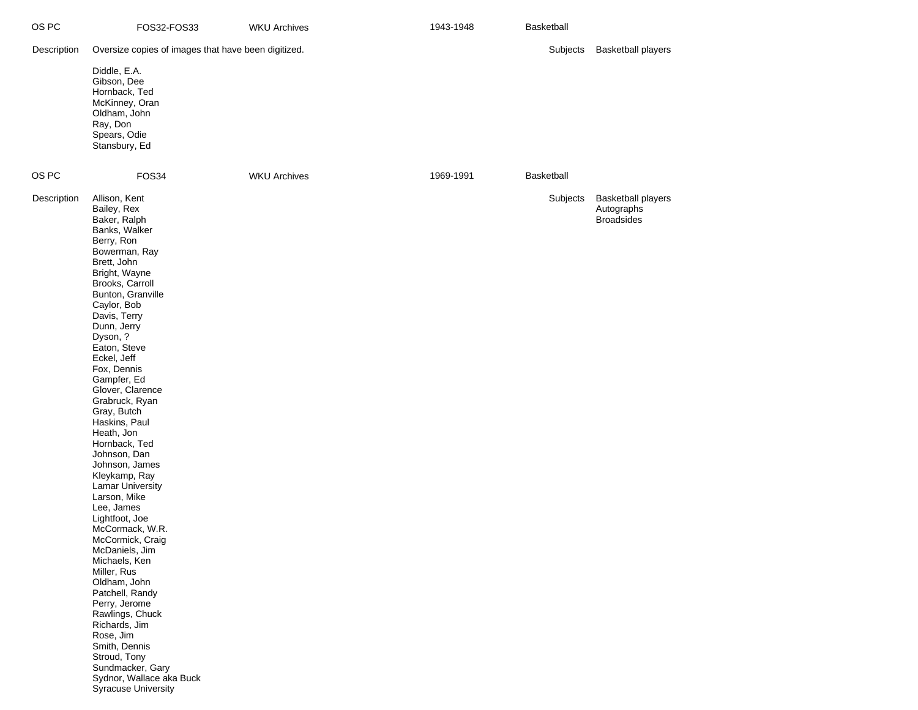| OS PC       | FOS32-FOS33                                                                                                                                                                                                                                                                                                                                                                                                                                                                                                                                                                                                                                                                                                                                                                                                                          | <b>WKU Archives</b> | 1943-1948 | Basketball |                                                              |
|-------------|--------------------------------------------------------------------------------------------------------------------------------------------------------------------------------------------------------------------------------------------------------------------------------------------------------------------------------------------------------------------------------------------------------------------------------------------------------------------------------------------------------------------------------------------------------------------------------------------------------------------------------------------------------------------------------------------------------------------------------------------------------------------------------------------------------------------------------------|---------------------|-----------|------------|--------------------------------------------------------------|
| Description | Oversize copies of images that have been digitized.                                                                                                                                                                                                                                                                                                                                                                                                                                                                                                                                                                                                                                                                                                                                                                                  |                     |           | Subjects   | <b>Basketball players</b>                                    |
|             | Diddle, E.A.<br>Gibson, Dee<br>Hornback, Ted<br>McKinney, Oran<br>Oldham, John<br>Ray, Don<br>Spears, Odie<br>Stansbury, Ed                                                                                                                                                                                                                                                                                                                                                                                                                                                                                                                                                                                                                                                                                                          |                     |           |            |                                                              |
| OS PC       | FOS34                                                                                                                                                                                                                                                                                                                                                                                                                                                                                                                                                                                                                                                                                                                                                                                                                                | <b>WKU Archives</b> | 1969-1991 | Basketball |                                                              |
| Description | Allison, Kent<br>Bailey, Rex<br>Baker, Ralph<br>Banks, Walker<br>Berry, Ron<br>Bowerman, Ray<br>Brett, John<br>Bright, Wayne<br>Brooks, Carroll<br>Bunton, Granville<br>Caylor, Bob<br>Davis, Terry<br>Dunn, Jerry<br>Dyson, ?<br>Eaton, Steve<br>Eckel, Jeff<br>Fox, Dennis<br>Gampfer, Ed<br>Glover, Clarence<br>Grabruck, Ryan<br>Gray, Butch<br>Haskins, Paul<br>Heath, Jon<br>Hornback, Ted<br>Johnson, Dan<br>Johnson, James<br>Kleykamp, Ray<br><b>Lamar University</b><br>Larson, Mike<br>Lee, James<br>Lightfoot, Joe<br>McCormack, W.R.<br>McCormick, Craig<br>McDaniels, Jim<br>Michaels, Ken<br>Miller, Rus<br>Oldham, John<br>Patchell, Randy<br>Perry, Jerome<br>Rawlings, Chuck<br>Richards, Jim<br>Rose, Jim<br>Smith, Dennis<br>Stroud, Tony<br>Sundmacker, Gary<br>Sydnor, Wallace aka Buck<br>Syracuse University |                     |           | Subjects   | <b>Basketball players</b><br>Autographs<br><b>Broadsides</b> |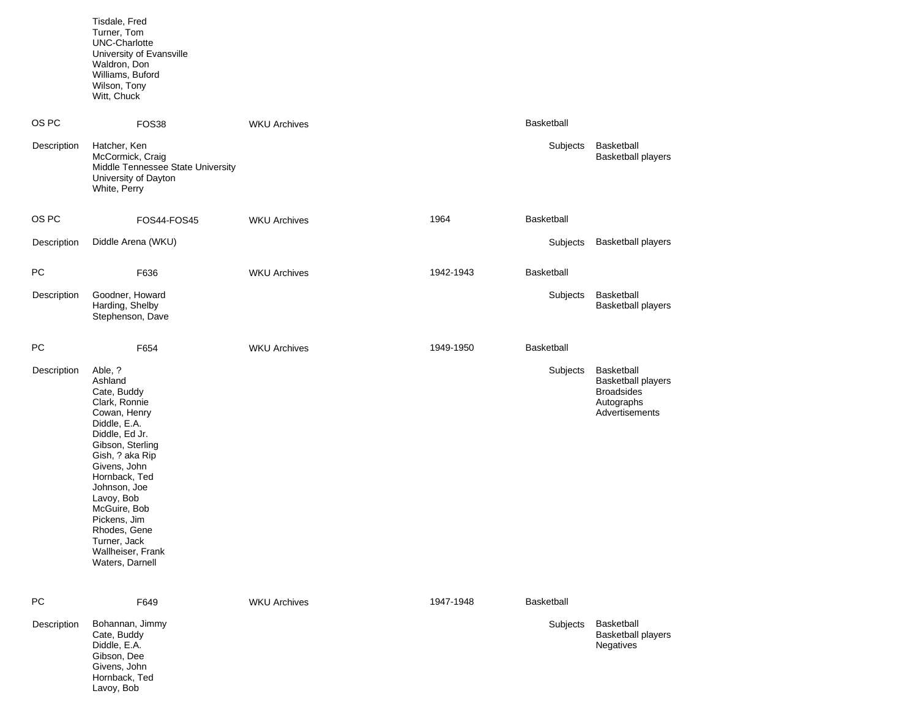|             | Tisdale, Fred<br>Turner, Tom<br><b>UNC-Charlotte</b><br>University of Evansville<br>Waldron, Don<br>Williams, Buford<br>Wilson, Tony<br>Witt, Chuck                                                                                                                                                                |                     |           |                   |                                                                                              |
|-------------|--------------------------------------------------------------------------------------------------------------------------------------------------------------------------------------------------------------------------------------------------------------------------------------------------------------------|---------------------|-----------|-------------------|----------------------------------------------------------------------------------------------|
| OS PC       | FOS38                                                                                                                                                                                                                                                                                                              | <b>WKU Archives</b> |           | <b>Basketball</b> |                                                                                              |
| Description | Hatcher, Ken<br>McCormick, Craig<br>Middle Tennessee State University<br>University of Dayton<br>White, Perry                                                                                                                                                                                                      |                     |           | Subjects          | Basketball<br><b>Basketball players</b>                                                      |
| OS PC       | FOS44-FOS45                                                                                                                                                                                                                                                                                                        | <b>WKU Archives</b> | 1964      | <b>Basketball</b> |                                                                                              |
| Description | Diddle Arena (WKU)                                                                                                                                                                                                                                                                                                 |                     |           | Subjects          | <b>Basketball players</b>                                                                    |
| PC          | F636                                                                                                                                                                                                                                                                                                               | <b>WKU Archives</b> | 1942-1943 | <b>Basketball</b> |                                                                                              |
| Description | Goodner, Howard<br>Harding, Shelby<br>Stephenson, Dave                                                                                                                                                                                                                                                             |                     |           | Subjects          | Basketball<br><b>Basketball players</b>                                                      |
| <b>PC</b>   | F654                                                                                                                                                                                                                                                                                                               | <b>WKU Archives</b> | 1949-1950 | <b>Basketball</b> |                                                                                              |
| Description | Able, ?<br>Ashland<br>Cate, Buddy<br>Clark, Ronnie<br>Cowan, Henry<br>Diddle, E.A.<br>Diddle, Ed Jr.<br>Gibson, Sterling<br>Gish, ? aka Rip<br>Givens, John<br>Hornback, Ted<br>Johnson, Joe<br>Lavoy, Bob<br>McGuire, Bob<br>Pickens, Jim<br>Rhodes, Gene<br>Turner, Jack<br>Wallheiser, Frank<br>Waters, Darnell |                     |           | Subjects          | Basketball<br><b>Basketball players</b><br><b>Broadsides</b><br>Autographs<br>Advertisements |
| <b>PC</b>   | F649                                                                                                                                                                                                                                                                                                               | <b>WKU Archives</b> | 1947-1948 | Basketball        |                                                                                              |
| Description | Bohannan, Jimmy<br>Cate, Buddy<br>Diddle, E.A.<br>Gibson, Dee<br>Givens, John<br>Hornback, Ted                                                                                                                                                                                                                     |                     |           | Subjects          | Basketball<br><b>Basketball players</b><br>Negatives                                         |

Lavoy, Bob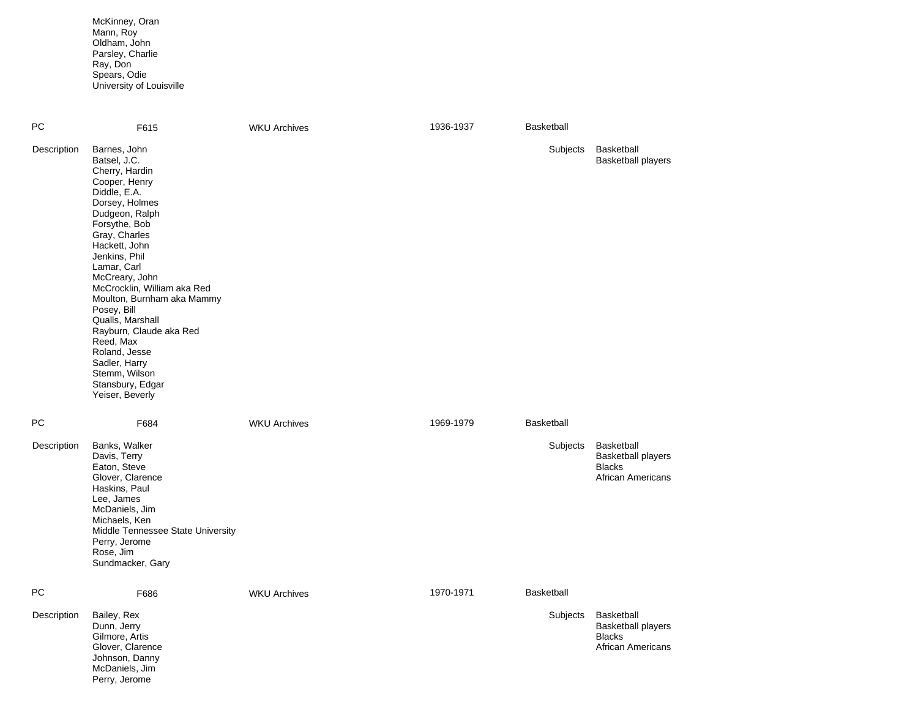McKinney, Oran Mann, Roy Oldham, John Parsley, Charlie Ray, Don Spears, Odie University of Louisville

| PC          | F615                                                                                                                                                                                                                                                                                                                                                                                                                                                       | <b>WKU Archives</b> | 1936-1937 | Basketball |                                                                                      |
|-------------|------------------------------------------------------------------------------------------------------------------------------------------------------------------------------------------------------------------------------------------------------------------------------------------------------------------------------------------------------------------------------------------------------------------------------------------------------------|---------------------|-----------|------------|--------------------------------------------------------------------------------------|
| Description | Barnes, John<br>Batsel, J.C.<br>Cherry, Hardin<br>Cooper, Henry<br>Diddle, E.A.<br>Dorsey, Holmes<br>Dudgeon, Ralph<br>Forsythe, Bob<br>Gray, Charles<br>Hackett, John<br>Jenkins, Phil<br>Lamar, Carl<br>McCreary, John<br>McCrocklin, William aka Red<br>Moulton, Burnham aka Mammy<br>Posey, Bill<br>Qualls, Marshall<br>Rayburn, Claude aka Red<br>Reed, Max<br>Roland, Jesse<br>Sadler, Harry<br>Stemm, Wilson<br>Stansbury, Edgar<br>Yeiser, Beverly |                     |           | Subjects   | Basketball<br><b>Basketball players</b>                                              |
| <b>PC</b>   | F684                                                                                                                                                                                                                                                                                                                                                                                                                                                       | <b>WKU Archives</b> | 1969-1979 | Basketball |                                                                                      |
| Description | Banks, Walker<br>Davis, Terry<br>Eaton, Steve<br>Glover, Clarence<br>Haskins, Paul<br>Lee, James<br>McDaniels, Jim<br>Michaels, Ken<br>Middle Tennessee State University<br>Perry, Jerome<br>Rose, Jim<br>Sundmacker, Gary                                                                                                                                                                                                                                 |                     |           | Subjects   | Basketball<br><b>Basketball players</b><br><b>Blacks</b><br><b>African Americans</b> |
| PC          | F686                                                                                                                                                                                                                                                                                                                                                                                                                                                       | <b>WKU Archives</b> | 1970-1971 | Basketball |                                                                                      |
| Description | Bailey, Rex<br>Dunn, Jerry<br>Gilmore, Artis<br>Glover, Clarence<br>Johnson, Danny<br>McDaniels, Jim<br>Perry, Jerome                                                                                                                                                                                                                                                                                                                                      |                     |           | Subjects   | Basketball<br><b>Basketball players</b><br><b>Blacks</b><br><b>African Americans</b> |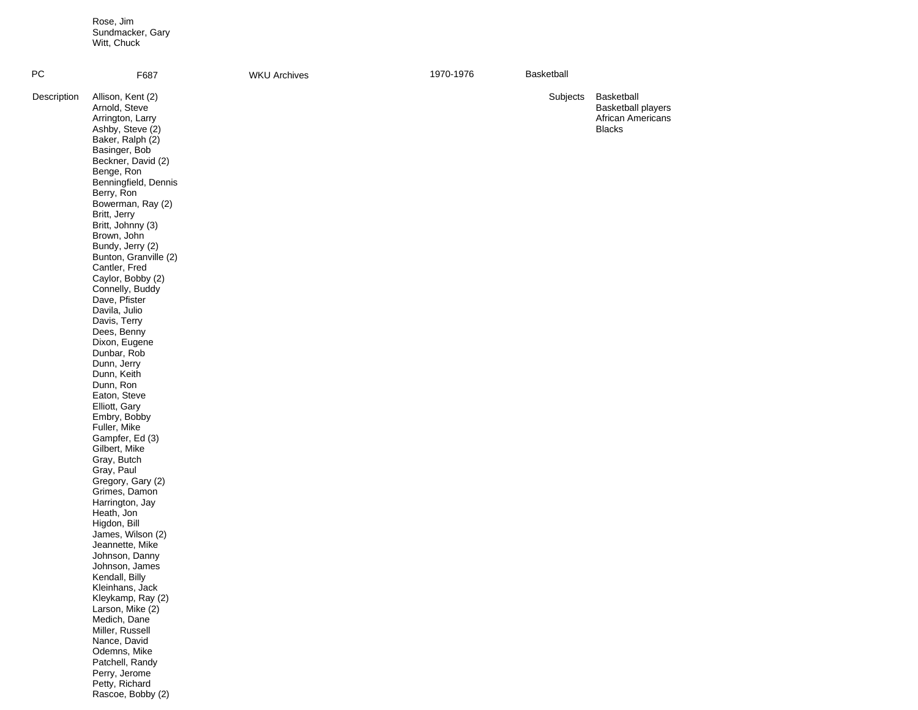Rose, Jim Sundmacker, Gary Witt, Chuck

Rascoe, Bobby (2)

| PC          | F687                                                                                                                                                                                                                                                                                                                                                                                                                                                                                                                                                                                                                                                                                                                                                                                                                                        | <b>WKU Archives</b> | 1970-1976 | Basketball |                                                                               |
|-------------|---------------------------------------------------------------------------------------------------------------------------------------------------------------------------------------------------------------------------------------------------------------------------------------------------------------------------------------------------------------------------------------------------------------------------------------------------------------------------------------------------------------------------------------------------------------------------------------------------------------------------------------------------------------------------------------------------------------------------------------------------------------------------------------------------------------------------------------------|---------------------|-----------|------------|-------------------------------------------------------------------------------|
| Description | Allison, Kent (2)<br>Arnold, Steve<br>Arrington, Larry<br>Ashby, Steve (2)<br>Baker, Ralph (2)<br>Basinger, Bob<br>Beckner, David (2)<br>Benge, Ron<br>Benningfield, Dennis<br>Berry, Ron<br>Bowerman, Ray (2)<br>Britt, Jerry<br>Britt, Johnny (3)<br>Brown, John<br>Bundy, Jerry (2)<br>Bunton, Granville (2)<br>Cantler, Fred<br>Caylor, Bobby (2)<br>Connelly, Buddy<br>Dave, Pfister<br>Davila, Julio<br>Davis, Terry<br>Dees, Benny<br>Dixon, Eugene<br>Dunbar, Rob<br>Dunn, Jerry<br>Dunn, Keith<br>Dunn, Ron<br>Eaton, Steve<br>Elliott, Gary<br>Embry, Bobby<br>Fuller, Mike<br>Gampfer, Ed (3)<br>Gilbert, Mike<br>Gray, Butch<br>Gray, Paul<br>Gregory, Gary (2)<br>Grimes, Damon<br>Harrington, Jay<br>Heath, Jon<br>Higdon, Bill<br>James, Wilson (2)<br>Jeannette, Mike<br>Johnson, Danny<br>Johnson, James<br>Kendall, Billy |                     |           | Subjects   | Basketball<br><b>Basketball players</b><br>African Americans<br><b>Blacks</b> |
|             | Kleinhans, Jack<br>Kleykamp, Ray (2)<br>Larson, Mike (2)<br>Medich, Dane<br>Miller, Russell<br>Nance, David<br>Odemns, Mike<br>Patchell, Randy<br>Perry, Jerome                                                                                                                                                                                                                                                                                                                                                                                                                                                                                                                                                                                                                                                                             |                     |           |            |                                                                               |
|             | Petty, Richard                                                                                                                                                                                                                                                                                                                                                                                                                                                                                                                                                                                                                                                                                                                                                                                                                              |                     |           |            |                                                                               |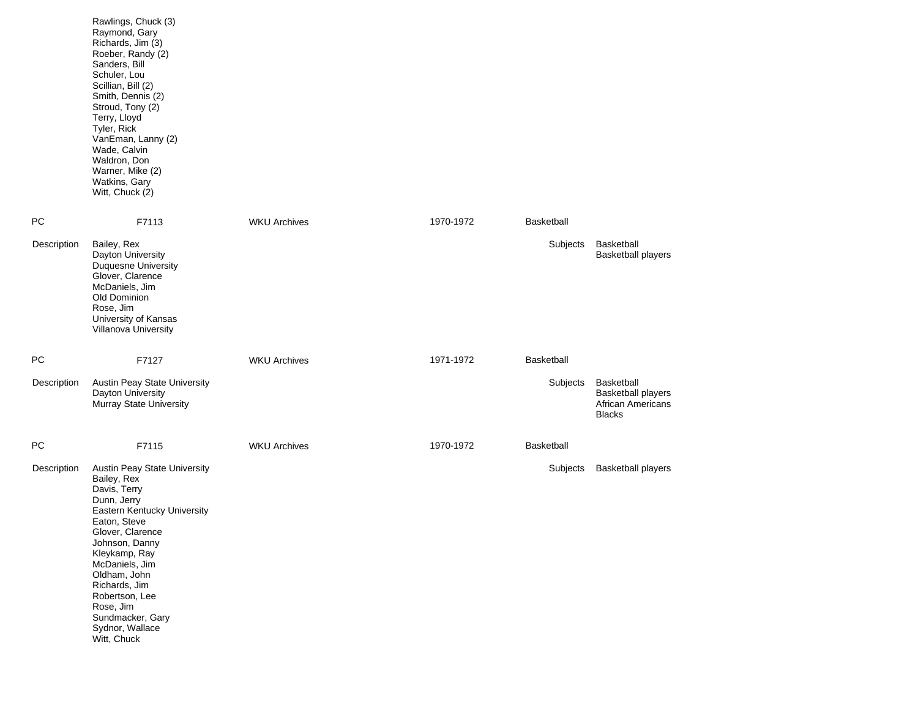|             | Rawlings, Chuck (3)<br>Raymond, Gary<br>Richards, Jim (3)<br>Roeber, Randy (2)<br>Sanders, Bill<br>Schuler, Lou<br>Scillian, Bill (2)<br>Smith, Dennis (2)<br>Stroud, Tony (2)<br>Terry, Lloyd<br>Tyler, Rick<br>VanEman, Lanny (2)<br>Wade, Calvin<br>Waldron, Don<br>Warner, Mike (2)<br>Watkins, Gary<br>Witt, Chuck (2) |                     |           |            |                                                                                      |
|-------------|-----------------------------------------------------------------------------------------------------------------------------------------------------------------------------------------------------------------------------------------------------------------------------------------------------------------------------|---------------------|-----------|------------|--------------------------------------------------------------------------------------|
| PС          | F7113                                                                                                                                                                                                                                                                                                                       | <b>WKU Archives</b> | 1970-1972 | Basketball |                                                                                      |
| Description | Bailey, Rex<br>Dayton University<br><b>Duquesne University</b><br>Glover, Clarence<br>McDaniels, Jim<br>Old Dominion<br>Rose, Jim<br>University of Kansas<br>Villanova University                                                                                                                                           |                     |           | Subjects   | Basketball<br><b>Basketball players</b>                                              |
| PС          | F7127                                                                                                                                                                                                                                                                                                                       | <b>WKU Archives</b> | 1971-1972 | Basketball |                                                                                      |
| Description | Austin Peay State University<br>Dayton University<br>Murray State University                                                                                                                                                                                                                                                |                     |           | Subjects   | <b>Basketball</b><br><b>Basketball players</b><br>African Americans<br><b>Blacks</b> |
| PС          | F7115                                                                                                                                                                                                                                                                                                                       | <b>WKU Archives</b> | 1970-1972 | Basketball |                                                                                      |
| Description | Austin Peay State University<br>Bailey, Rex<br>Davis, Terry<br>Dunn, Jerry<br>Eastern Kentucky University<br>Eaton, Steve<br>Glover, Clarence<br>Johnson, Danny<br>Kleykamp, Ray<br>McDaniels, Jim<br>Oldham, John<br>Richards, Jim<br>Robertson, Lee<br>Rose, Jim<br>Sundmacker, Gary<br>Sydnor, Wallace<br>Witt, Chuck    |                     |           | Subjects   | <b>Basketball players</b>                                                            |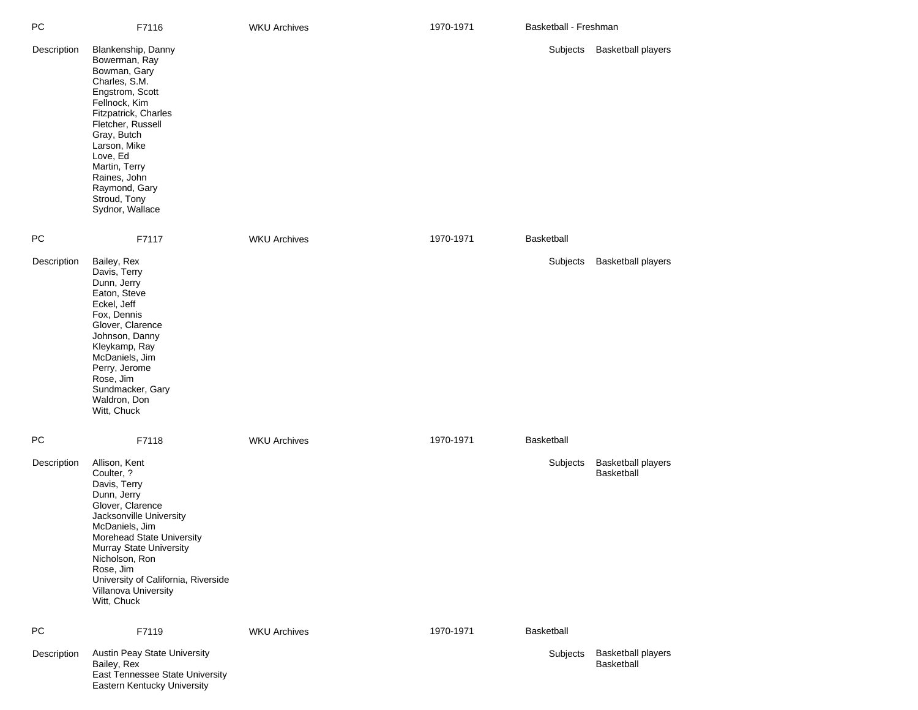| РC          | F7116                                                                                                                                                                                                                                                                                                   | <b>WKU Archives</b> | 1970-1971 | Basketball - Freshman |                                         |
|-------------|---------------------------------------------------------------------------------------------------------------------------------------------------------------------------------------------------------------------------------------------------------------------------------------------------------|---------------------|-----------|-----------------------|-----------------------------------------|
| Description | Blankenship, Danny<br>Bowerman, Ray<br>Bowman, Gary<br>Charles, S.M.<br>Engstrom, Scott<br>Fellnock, Kim<br>Fitzpatrick, Charles<br>Fletcher, Russell<br>Gray, Butch<br>Larson, Mike<br>Love, Ed<br>Martin, Terry<br>Raines, John<br>Raymond, Gary<br>Stroud, Tony<br>Sydnor, Wallace                   |                     |           | Subjects              | <b>Basketball players</b>               |
| РC          | F7117                                                                                                                                                                                                                                                                                                   | <b>WKU Archives</b> | 1970-1971 | Basketball            |                                         |
| Description | Bailey, Rex<br>Davis, Terry<br>Dunn, Jerry<br>Eaton, Steve<br>Eckel, Jeff<br>Fox, Dennis<br>Glover, Clarence<br>Johnson, Danny<br>Kleykamp, Ray<br>McDaniels, Jim<br>Perry, Jerome<br>Rose, Jim<br>Sundmacker, Gary<br>Waldron, Don<br>Witt, Chuck                                                      |                     |           | Subjects              | <b>Basketball players</b>               |
| <b>PC</b>   | F7118                                                                                                                                                                                                                                                                                                   | <b>WKU Archives</b> | 1970-1971 | Basketball            |                                         |
| Description | Allison, Kent<br>Coulter, ?<br>Davis, Terry<br>Dunn, Jerry<br>Glover, Clarence<br>Jacksonville University<br>McDaniels, Jim<br>Morehead State University<br><b>Murray State University</b><br>Nicholson, Ron<br>Rose, Jim<br>University of California, Riverside<br>Villanova University<br>Witt, Chuck |                     |           | Subjects              | <b>Basketball players</b><br>Basketball |
| <b>PC</b>   | F7119                                                                                                                                                                                                                                                                                                   | <b>WKU Archives</b> | 1970-1971 | Basketball            |                                         |
| Description | Austin Peay State University<br>Bailey, Rex<br>East Tennessee State University<br>Eastern Kentucky University                                                                                                                                                                                           |                     |           | Subjects              | <b>Basketball players</b><br>Basketball |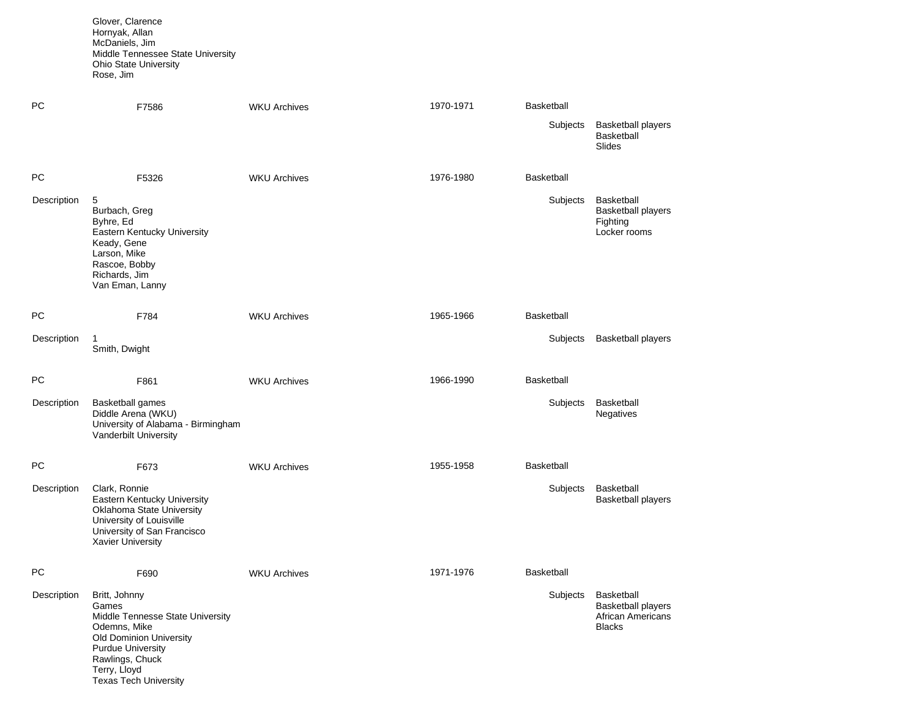Glover, Clarence Hornyak, Allan McDaniels, Jim Middle Tennessee State University Ohio State University Rose, Jim

Texas Tech University

| PC          | F7586                                                                                                                                                                       | <b>WKU Archives</b> | 1970-1971 | Basketball |                                                                                      |
|-------------|-----------------------------------------------------------------------------------------------------------------------------------------------------------------------------|---------------------|-----------|------------|--------------------------------------------------------------------------------------|
|             |                                                                                                                                                                             |                     |           | Subjects   | <b>Basketball players</b><br>Basketball<br><b>Slides</b>                             |
| PC          | F5326                                                                                                                                                                       | <b>WKU Archives</b> | 1976-1980 | Basketball |                                                                                      |
| Description | 5<br>Burbach, Greg<br>Byhre, Ed<br>Eastern Kentucky University<br>Keady, Gene<br>Larson, Mike<br>Rascoe, Bobby<br>Richards, Jim<br>Van Eman, Lanny                          |                     |           | Subjects   | Basketball<br><b>Basketball players</b><br>Fighting<br>Locker rooms                  |
| PC          | F784                                                                                                                                                                        | <b>WKU Archives</b> | 1965-1966 | Basketball |                                                                                      |
| Description | 1<br>Smith, Dwight                                                                                                                                                          |                     |           | Subjects   | <b>Basketball players</b>                                                            |
| PC          | F861                                                                                                                                                                        | <b>WKU Archives</b> | 1966-1990 | Basketball |                                                                                      |
| Description | <b>Basketball games</b><br>Diddle Arena (WKU)<br>University of Alabama - Birmingham<br>Vanderbilt University                                                                |                     |           | Subjects   | Basketball<br><b>Negatives</b>                                                       |
| PC          | F673                                                                                                                                                                        | <b>WKU Archives</b> | 1955-1958 | Basketball |                                                                                      |
| Description | Clark, Ronnie<br>Eastern Kentucky University<br>Oklahoma State University<br>University of Louisville<br>University of San Francisco<br><b>Xavier University</b>            |                     |           | Subjects   | Basketball<br><b>Basketball players</b>                                              |
| PC          | F690                                                                                                                                                                        | <b>WKU Archives</b> | 1971-1976 | Basketball |                                                                                      |
| Description | Britt, Johnny<br>Games<br>Middle Tennesse State University<br>Odemns, Mike<br><b>Old Dominion University</b><br><b>Purdue University</b><br>Rawlings, Chuck<br>Terry, Lloyd |                     |           | Subjects   | Basketball<br><b>Basketball players</b><br><b>African Americans</b><br><b>Blacks</b> |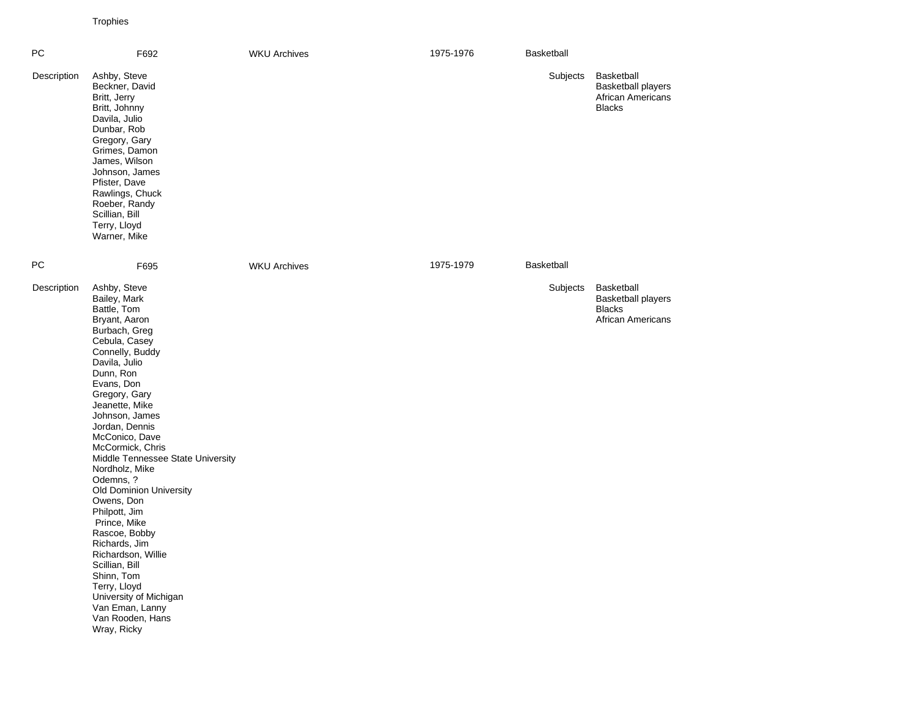Trophies

| PC          | F692                                                                                                                                                                                                                                                                                                                                                                                                                                                                                                                                                                                                                    | <b>WKU Archives</b> | 1975-1976 | Basketball        |                                                                                      |
|-------------|-------------------------------------------------------------------------------------------------------------------------------------------------------------------------------------------------------------------------------------------------------------------------------------------------------------------------------------------------------------------------------------------------------------------------------------------------------------------------------------------------------------------------------------------------------------------------------------------------------------------------|---------------------|-----------|-------------------|--------------------------------------------------------------------------------------|
| Description | Ashby, Steve<br>Beckner, David<br>Britt, Jerry<br>Britt, Johnny<br>Davila, Julio<br>Dunbar, Rob<br>Gregory, Gary<br>Grimes, Damon<br>James, Wilson<br>Johnson, James<br>Pfister, Dave<br>Rawlings, Chuck<br>Roeber, Randy<br>Scillian, Bill<br>Terry, Lloyd<br>Warner, Mike                                                                                                                                                                                                                                                                                                                                             |                     |           | Subjects          | Basketball<br><b>Basketball players</b><br>African Americans<br><b>Blacks</b>        |
| <b>PC</b>   | F695                                                                                                                                                                                                                                                                                                                                                                                                                                                                                                                                                                                                                    | <b>WKU Archives</b> | 1975-1979 | <b>Basketball</b> |                                                                                      |
| Description | Ashby, Steve<br>Bailey, Mark<br>Battle, Tom<br>Bryant, Aaron<br>Burbach, Greg<br>Cebula, Casey<br>Connelly, Buddy<br>Davila, Julio<br>Dunn, Ron<br>Evans, Don<br>Gregory, Gary<br>Jeanette, Mike<br>Johnson, James<br>Jordan, Dennis<br>McConico, Dave<br>McCormick, Chris<br>Middle Tennessee State University<br>Nordholz, Mike<br>Odemns, ?<br><b>Old Dominion University</b><br>Owens, Don<br>Philpott, Jim<br>Prince, Mike<br>Rascoe, Bobby<br>Richards, Jim<br>Richardson, Willie<br>Scillian, Bill<br>Shinn, Tom<br>Terry, Lloyd<br>University of Michigan<br>Van Eman, Lanny<br>Van Rooden, Hans<br>Wray, Ricky |                     |           | Subjects          | Basketball<br><b>Basketball players</b><br><b>Blacks</b><br><b>African Americans</b> |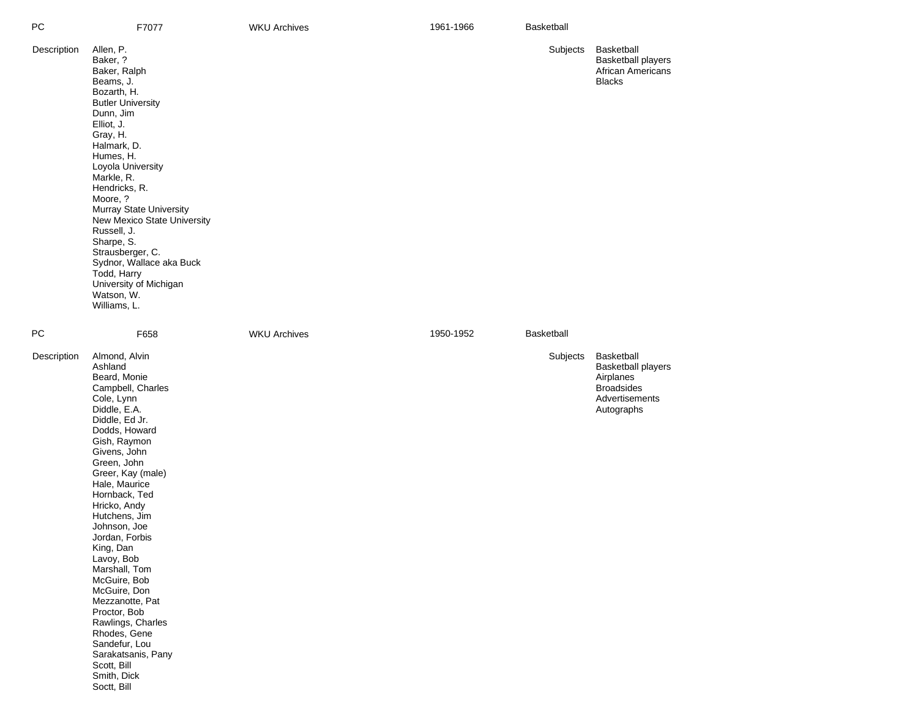| РC          | F7077                                                                                                                                                                                                                                                                                                                                                                                                                                                                                                                                           | <b>WKU Archives</b> | 1961-1966 | Basketball |                                                                                                    |
|-------------|-------------------------------------------------------------------------------------------------------------------------------------------------------------------------------------------------------------------------------------------------------------------------------------------------------------------------------------------------------------------------------------------------------------------------------------------------------------------------------------------------------------------------------------------------|---------------------|-----------|------------|----------------------------------------------------------------------------------------------------|
| Description | Allen, P.<br>Baker, ?<br>Baker, Ralph<br>Beams, J.<br>Bozarth, H.<br><b>Butler University</b><br>Dunn, Jim<br>Elliot, J.<br>Gray, H.<br>Halmark, D.<br>Humes, H.<br>Loyola University<br>Markle, R.<br>Hendricks, R.<br>Moore, ?<br>Murray State University<br>New Mexico State University<br>Russell, J.<br>Sharpe, S.<br>Strausberger, C.<br>Sydnor, Wallace aka Buck<br>Todd, Harry<br>University of Michigan<br>Watson, W.<br>Williams, L.                                                                                                  |                     |           | Subjects   | Basketball<br><b>Basketball players</b><br><b>African Americans</b><br><b>Blacks</b>               |
| PС          | F658                                                                                                                                                                                                                                                                                                                                                                                                                                                                                                                                            | <b>WKU Archives</b> | 1950-1952 | Basketball |                                                                                                    |
| Description | Almond, Alvin<br>Ashland<br>Beard, Monie<br>Campbell, Charles<br>Cole, Lynn<br>Diddle, E.A.<br>Diddle, Ed Jr.<br>Dodds, Howard<br>Gish, Raymon<br>Givens, John<br>Green, John<br>Greer, Kay (male)<br>Hale, Maurice<br>Hornback, Ted<br>Hricko, Andy<br>Hutchens, Jim<br>Johnson, Joe<br>Jordan, Forbis<br>King, Dan<br>Lavoy, Bob<br>Marshall, Tom<br>McGuire, Bob<br>McGuire, Don<br>Mezzanotte, Pat<br>Proctor, Bob<br>Rawlings, Charles<br>Rhodes, Gene<br>Sandefur, Lou<br>Sarakatsanis, Pany<br>Scott, Bill<br>Smith, Dick<br>Soctt, Bill |                     |           | Subjects   | Basketball<br>Basketball players<br>Airplanes<br><b>Broadsides</b><br>Advertisements<br>Autographs |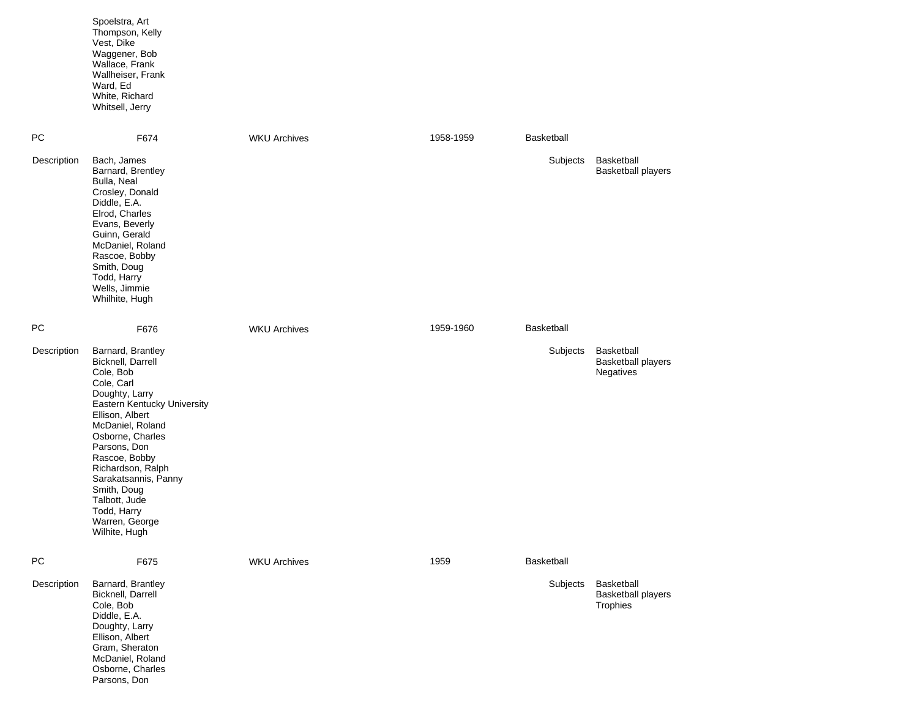|             | Spoelstra, Art<br>Thompson, Kelly<br>Vest, Dike<br>Waggener, Bob<br>Wallace, Frank<br>Wallheiser, Frank<br>Ward, Ed<br>White, Richard<br>Whitsell, Jerry                                                                                                                                                                                      |                     |           |                   |                                                      |
|-------------|-----------------------------------------------------------------------------------------------------------------------------------------------------------------------------------------------------------------------------------------------------------------------------------------------------------------------------------------------|---------------------|-----------|-------------------|------------------------------------------------------|
| <b>PC</b>   | F674                                                                                                                                                                                                                                                                                                                                          | <b>WKU Archives</b> | 1958-1959 | <b>Basketball</b> |                                                      |
| Description | Bach, James<br>Barnard, Brentley<br>Bulla, Neal<br>Crosley, Donald<br>Diddle, E.A.<br>Elrod, Charles<br>Evans, Beverly<br>Guinn, Gerald<br>McDaniel, Roland<br>Rascoe, Bobby<br>Smith, Doug<br>Todd, Harry<br>Wells, Jimmie<br>Whilhite, Hugh                                                                                                 |                     |           | Subjects          | Basketball<br><b>Basketball players</b>              |
| PC          | F676                                                                                                                                                                                                                                                                                                                                          | <b>WKU Archives</b> | 1959-1960 | <b>Basketball</b> |                                                      |
| Description | Barnard, Brantley<br>Bicknell, Darrell<br>Cole, Bob<br>Cole, Carl<br>Doughty, Larry<br>Eastern Kentucky University<br>Ellison, Albert<br>McDaniel, Roland<br>Osborne, Charles<br>Parsons, Don<br>Rascoe, Bobby<br>Richardson, Ralph<br>Sarakatsannis, Panny<br>Smith, Doug<br>Talbott, Jude<br>Todd, Harry<br>Warren, George<br>Wilhite, Hugh |                     |           | Subjects          | Basketball<br><b>Basketball players</b><br>Negatives |
| PC          | F675                                                                                                                                                                                                                                                                                                                                          | <b>WKU Archives</b> | 1959      | Basketball        |                                                      |
| Description | Barnard, Brantley<br>Bicknell, Darrell<br>Cole, Bob<br>Diddle, E.A.<br>Doughty, Larry<br>Ellison, Albert<br>Gram, Sheraton<br>McDaniel, Roland<br>Osborne, Charles<br>Parsons, Don                                                                                                                                                            |                     |           | Subjects          | Basketball<br><b>Basketball players</b><br>Trophies  |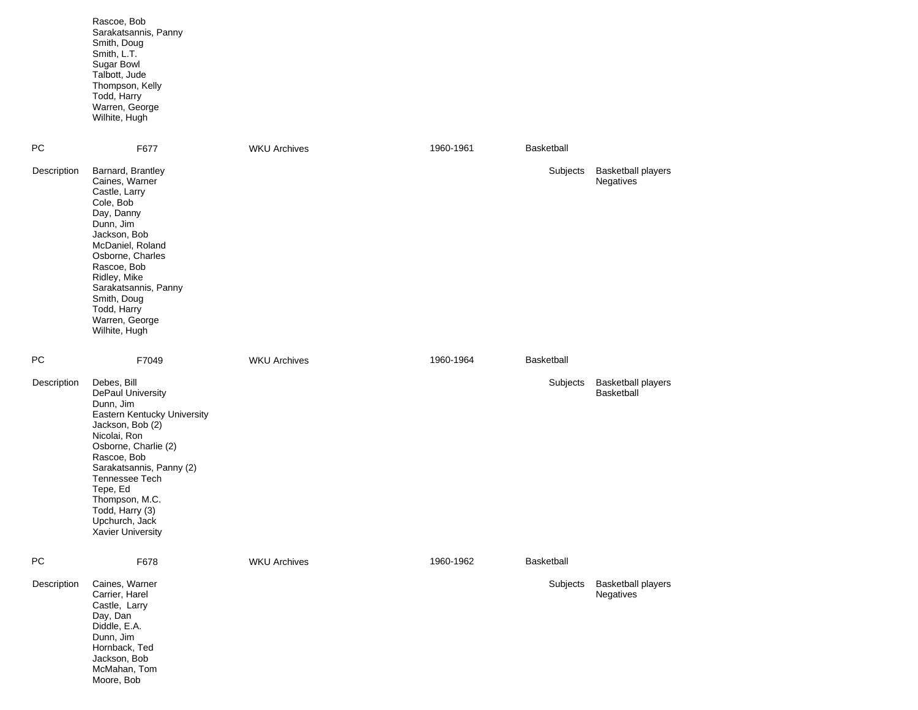|             | Rascoe, Bob<br>Sarakatsannis, Panny<br>Smith, Doug<br>Smith, L.T.<br><b>Sugar Bowl</b><br>Talbott, Jude<br>Thompson, Kelly<br>Todd, Harry<br>Warren, George<br>Wilhite, Hugh                                                                                                                  |                     |           |            |                                         |
|-------------|-----------------------------------------------------------------------------------------------------------------------------------------------------------------------------------------------------------------------------------------------------------------------------------------------|---------------------|-----------|------------|-----------------------------------------|
| PC          | F677                                                                                                                                                                                                                                                                                          | <b>WKU Archives</b> | 1960-1961 | Basketball |                                         |
| Description | Barnard, Brantley<br>Caines, Warner<br>Castle, Larry<br>Cole, Bob<br>Day, Danny<br>Dunn, Jim<br>Jackson, Bob<br>McDaniel, Roland<br>Osborne, Charles<br>Rascoe, Bob<br>Ridley, Mike<br>Sarakatsannis, Panny<br>Smith, Doug<br>Todd, Harry<br>Warren, George<br>Wilhite, Hugh                  |                     |           | Subjects   | <b>Basketball players</b><br>Negatives  |
| PC          | F7049                                                                                                                                                                                                                                                                                         | <b>WKU Archives</b> | 1960-1964 | Basketball |                                         |
| Description | Debes, Bill<br>DePaul University<br>Dunn, Jim<br>Eastern Kentucky University<br>Jackson, Bob (2)<br>Nicolai, Ron<br>Osborne, Charlie (2)<br>Rascoe, Bob<br>Sarakatsannis, Panny (2)<br>Tennessee Tech<br>Tepe, Ed<br>Thompson, M.C.<br>Todd, Harry (3)<br>Upchurch, Jack<br>Xavier University |                     |           | Subjects   | <b>Basketball players</b><br>Basketball |
| PC          | F678                                                                                                                                                                                                                                                                                          | <b>WKU Archives</b> | 1960-1962 | Basketball |                                         |
| Description | Caines, Warner<br>Carrier, Harel<br>Castle, Larry<br>Day, Dan<br>Diddle, E.A.<br>Dunn, Jim<br>Hornback, Ted<br>Jackson, Bob<br>McMahan, Tom<br>Moore, Bob                                                                                                                                     |                     |           | Subjects   | <b>Basketball players</b><br>Negatives  |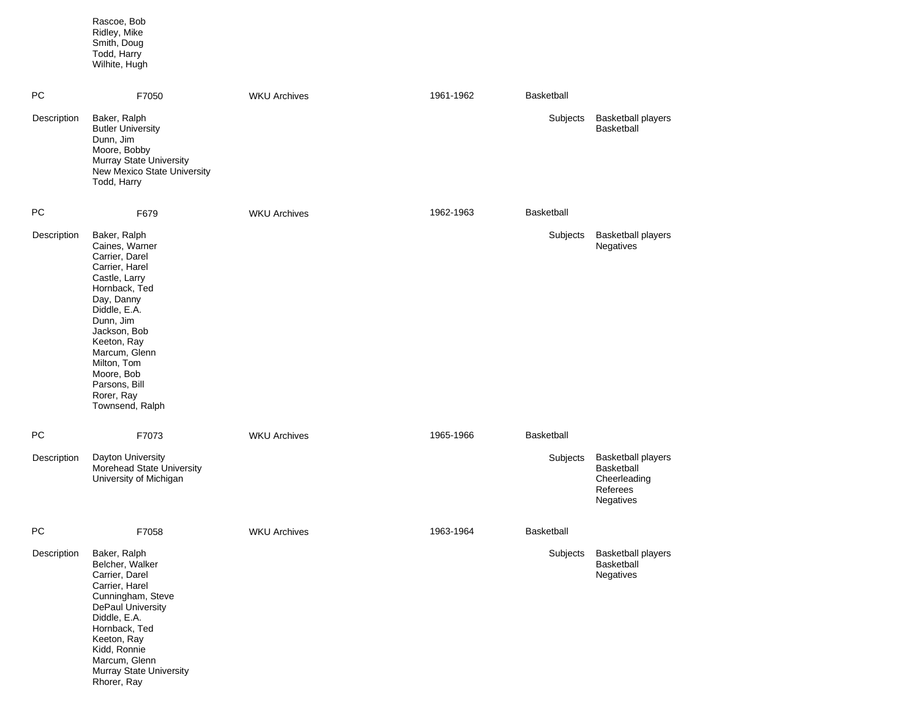|             | Rascoe, Bob<br>Ridley, Mike<br>Smith, Doug<br>Todd, Harry<br>Wilhite, Hugh                                                                                                                                                                                                     |                     |           |            |                                                                                         |
|-------------|--------------------------------------------------------------------------------------------------------------------------------------------------------------------------------------------------------------------------------------------------------------------------------|---------------------|-----------|------------|-----------------------------------------------------------------------------------------|
| PС          | F7050                                                                                                                                                                                                                                                                          | <b>WKU Archives</b> | 1961-1962 | Basketball |                                                                                         |
| Description | Baker, Ralph<br><b>Butler University</b><br>Dunn, Jim<br>Moore, Bobby<br>Murray State University<br>New Mexico State University<br>Todd, Harry                                                                                                                                 |                     |           | Subjects   | <b>Basketball players</b><br><b>Basketball</b>                                          |
| PC          | F679                                                                                                                                                                                                                                                                           | <b>WKU Archives</b> | 1962-1963 | Basketball |                                                                                         |
| Description | Baker, Ralph<br>Caines, Warner<br>Carrier, Darel<br>Carrier, Harel<br>Castle, Larry<br>Hornback, Ted<br>Day, Danny<br>Diddle, E.A.<br>Dunn, Jim<br>Jackson, Bob<br>Keeton, Ray<br>Marcum, Glenn<br>Milton, Tom<br>Moore, Bob<br>Parsons, Bill<br>Rorer, Ray<br>Townsend, Ralph |                     |           | Subjects   | <b>Basketball players</b><br><b>Negatives</b>                                           |
| PC          | F7073                                                                                                                                                                                                                                                                          | <b>WKU Archives</b> | 1965-1966 | Basketball |                                                                                         |
| Description | Dayton University<br>Morehead State University<br>University of Michigan                                                                                                                                                                                                       |                     |           | Subjects   | <b>Basketball players</b><br><b>Basketball</b><br>Cheerleading<br>Referees<br>Negatives |
| PC          | F7058                                                                                                                                                                                                                                                                          | <b>WKU Archives</b> | 1963-1964 | Basketball |                                                                                         |
| Description | Baker, Ralph<br>Belcher, Walker<br>Carrier, Darel<br>Carrier, Harel<br>Cunningham, Steve<br>DePaul University<br>Diddle, E.A.<br>Hornback, Ted<br>Keeton, Ray<br>Kidd, Ronnie<br>Marcum, Glenn<br>Murray State University<br>Rhorer, Ray                                       |                     |           | Subjects   | <b>Basketball players</b><br>Basketball<br>Negatives                                    |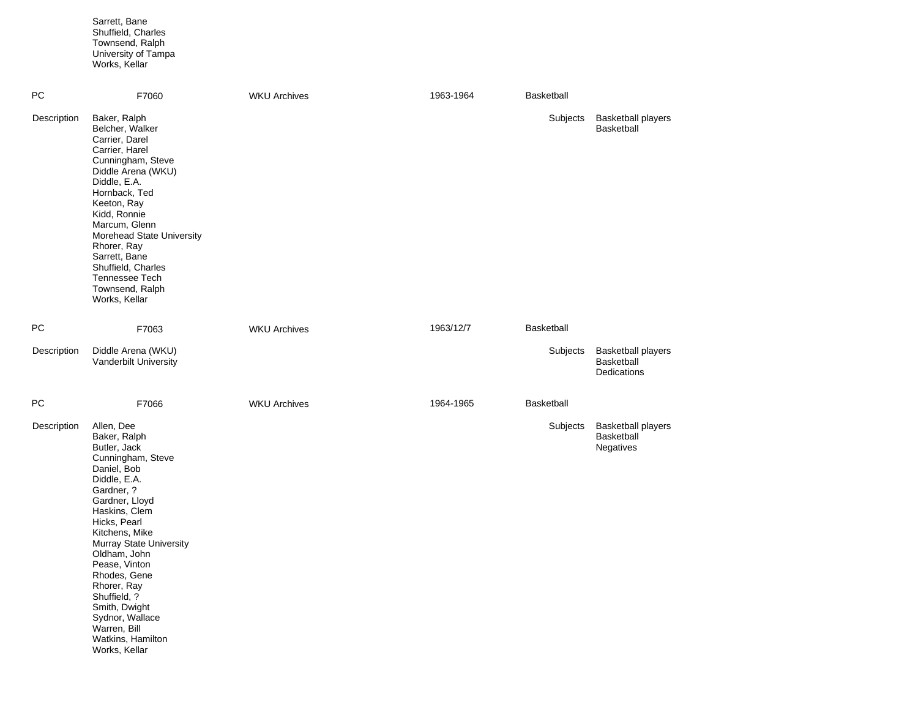|             | Sarrett, Bane<br>Shuffield, Charles<br>Townsend, Ralph<br>University of Tampa<br>Works, Kellar                                                                                                                                                                                                                                                                                         |                     |           |            |                                                        |
|-------------|----------------------------------------------------------------------------------------------------------------------------------------------------------------------------------------------------------------------------------------------------------------------------------------------------------------------------------------------------------------------------------------|---------------------|-----------|------------|--------------------------------------------------------|
| PC          | F7060                                                                                                                                                                                                                                                                                                                                                                                  | <b>WKU Archives</b> | 1963-1964 | Basketball |                                                        |
| Description | Baker, Ralph<br>Belcher, Walker<br>Carrier, Darel<br>Carrier, Harel<br>Cunningham, Steve<br>Diddle Arena (WKU)<br>Diddle, E.A.<br>Hornback, Ted<br>Keeton, Ray<br>Kidd, Ronnie<br>Marcum, Glenn<br>Morehead State University<br>Rhorer, Ray<br>Sarrett, Bane<br>Shuffield, Charles<br><b>Tennessee Tech</b><br>Townsend, Ralph<br>Works, Kellar                                        |                     |           | Subjects   | <b>Basketball players</b><br><b>Basketball</b>         |
| PC          | F7063                                                                                                                                                                                                                                                                                                                                                                                  | <b>WKU Archives</b> | 1963/12/7 | Basketball |                                                        |
| Description | Diddle Arena (WKU)<br>Vanderbilt University                                                                                                                                                                                                                                                                                                                                            |                     |           | Subjects   | <b>Basketball players</b><br>Basketball<br>Dedications |
| PC          | F7066                                                                                                                                                                                                                                                                                                                                                                                  | <b>WKU Archives</b> | 1964-1965 | Basketball |                                                        |
| Description | Allen, Dee<br>Baker, Ralph<br>Butler, Jack<br>Cunningham, Steve<br>Daniel, Bob<br>Diddle, E.A.<br>Gardner, ?<br>Gardner, Lloyd<br>Haskins, Clem<br>Hicks, Pearl<br>Kitchens, Mike<br>Murray State University<br>Oldham, John<br>Pease, Vinton<br>Rhodes, Gene<br>Rhorer, Ray<br>Shuffield, ?<br>Smith, Dwight<br>Sydnor, Wallace<br>Warren, Bill<br>Watkins, Hamilton<br>Works, Kellar |                     |           | Subjects   | <b>Basketball players</b><br>Basketball<br>Negatives   |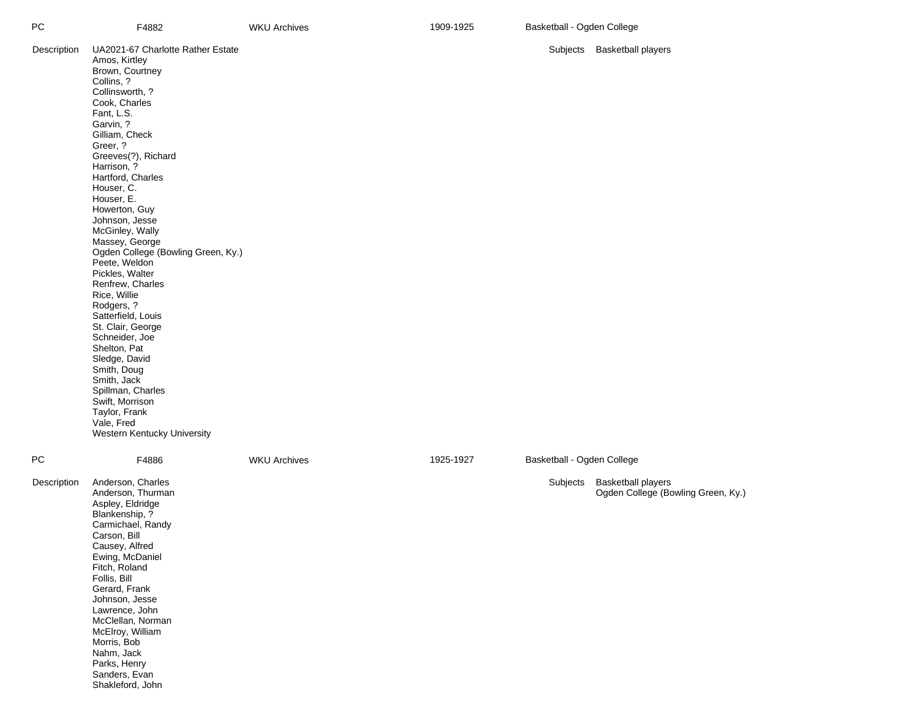| РC          | F4882                                                                                                                                                                                                                                                                                                                                                                                                                                                                                                                                                                                                                                                                                                         | <b>WKU Archives</b> | 1909-1925 | Basketball - Ogden College |                                                                 |
|-------------|---------------------------------------------------------------------------------------------------------------------------------------------------------------------------------------------------------------------------------------------------------------------------------------------------------------------------------------------------------------------------------------------------------------------------------------------------------------------------------------------------------------------------------------------------------------------------------------------------------------------------------------------------------------------------------------------------------------|---------------------|-----------|----------------------------|-----------------------------------------------------------------|
| Description | UA2021-67 Charlotte Rather Estate<br>Amos, Kirtley<br>Brown, Courtney<br>Collins, ?<br>Collinsworth, ?<br>Cook, Charles<br>Fant, L.S.<br>Garvin, ?<br>Gilliam, Check<br>Greer, ?<br>Greeves(?), Richard<br>Harrison, ?<br>Hartford, Charles<br>Houser, C.<br>Houser, E.<br>Howerton, Guy<br>Johnson, Jesse<br>McGinley, Wally<br>Massey, George<br>Ogden College (Bowling Green, Ky.)<br>Peete, Weldon<br>Pickles, Walter<br>Renfrew, Charles<br>Rice, Willie<br>Rodgers, ?<br>Satterfield, Louis<br>St. Clair, George<br>Schneider, Joe<br>Shelton, Pat<br>Sledge, David<br>Smith, Doug<br>Smith, Jack<br>Spillman, Charles<br>Swift, Morrison<br>Taylor, Frank<br>Vale, Fred<br>Western Kentucky University |                     |           |                            | Subjects Basketball players                                     |
| PС          | F4886                                                                                                                                                                                                                                                                                                                                                                                                                                                                                                                                                                                                                                                                                                         | <b>WKU Archives</b> | 1925-1927 | Basketball - Ogden College |                                                                 |
| Description | Anderson, Charles<br>Anderson, Thurman<br>Aspley, Eldridge<br>Blankenship, ?<br>Carmichael, Randy<br>Carson, Bill<br>Causey, Alfred<br>Ewing, McDaniel<br>Fitch, Roland<br>Follis, Bill<br>Gerard, Frank<br>Johnson, Jesse<br>Lawrence, John<br>McClellan, Norman<br>McElroy, William<br>Morris, Bob<br>Nahm, Jack<br>Parks, Henry<br>Sanders, Evan<br>Shakleford, John                                                                                                                                                                                                                                                                                                                                       |                     |           | Subjects                   | <b>Basketball players</b><br>Ogden College (Bowling Green, Ky.) |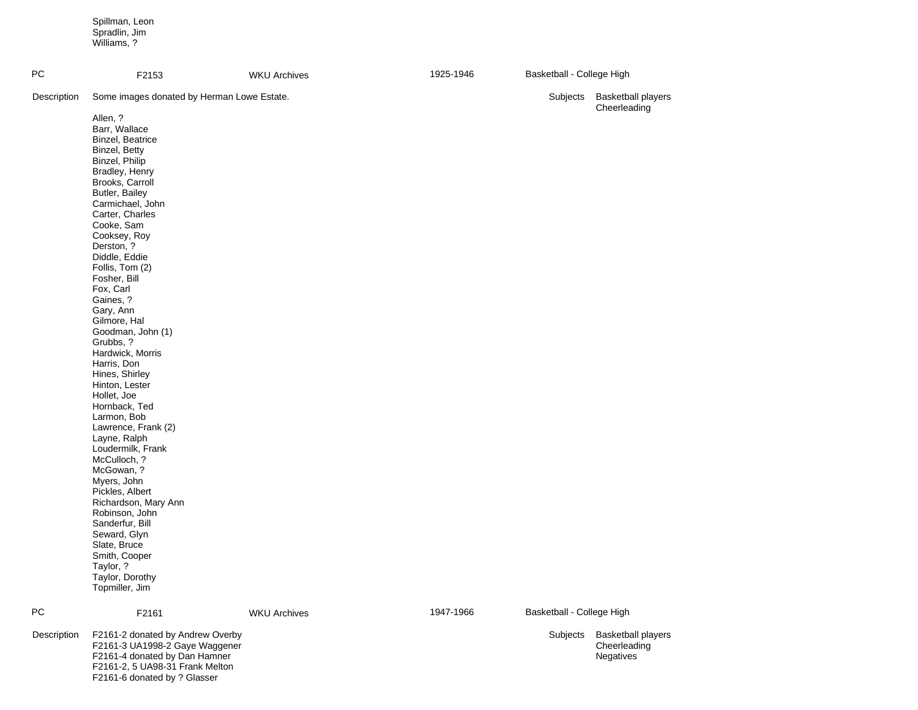Spillman, Leon Spradlin, Jim Williams, ?

F2161 -6 donated by ? Glasser

| PC          | F2153                                                                                                                                                                                                                                                                                                                                                                                                                                                                                                                                                                                                                                                                                                                                                                                     | <b>WKU Archives</b> | 1925-1946 | Basketball - College High |                                                        |
|-------------|-------------------------------------------------------------------------------------------------------------------------------------------------------------------------------------------------------------------------------------------------------------------------------------------------------------------------------------------------------------------------------------------------------------------------------------------------------------------------------------------------------------------------------------------------------------------------------------------------------------------------------------------------------------------------------------------------------------------------------------------------------------------------------------------|---------------------|-----------|---------------------------|--------------------------------------------------------|
| Description | Some images donated by Herman Lowe Estate.                                                                                                                                                                                                                                                                                                                                                                                                                                                                                                                                                                                                                                                                                                                                                |                     |           | Subjects                  | <b>Basketball players</b><br>Cheerleading              |
| PC          | Allen, ?<br>Barr, Wallace<br>Binzel, Beatrice<br>Binzel, Betty<br>Binzel, Philip<br>Bradley, Henry<br>Brooks, Carroll<br>Butler, Bailey<br>Carmichael, John<br>Carter, Charles<br>Cooke, Sam<br>Cooksey, Roy<br>Derston, ?<br>Diddle, Eddie<br>Follis, Tom (2)<br>Fosher, Bill<br>Fox, Carl<br>Gaines, ?<br>Gary, Ann<br>Gilmore, Hal<br>Goodman, John (1)<br>Grubbs, ?<br>Hardwick, Morris<br>Harris, Don<br>Hines, Shirley<br>Hinton, Lester<br>Hollet, Joe<br>Hornback, Ted<br>Larmon, Bob<br>Lawrence, Frank (2)<br>Layne, Ralph<br>Loudermilk, Frank<br>McCulloch, ?<br>McGowan, ?<br>Myers, John<br>Pickles, Albert<br>Richardson, Mary Ann<br>Robinson, John<br>Sanderfur, Bill<br>Seward, Glyn<br>Slate, Bruce<br>Smith, Cooper<br>Taylor, ?<br>Taylor, Dorothy<br>Topmiller, Jim |                     | 1947-1966 | Basketball - College High |                                                        |
| Description | F2161                                                                                                                                                                                                                                                                                                                                                                                                                                                                                                                                                                                                                                                                                                                                                                                     | <b>WKU Archives</b> |           |                           |                                                        |
|             | F2161-2 donated by Andrew Overby<br>F2161-3 UA1998-2 Gaye Waggener<br>F2161-4 donated by Dan Hamner<br>F2161-2, 5 UA98-31 Frank Melton                                                                                                                                                                                                                                                                                                                                                                                                                                                                                                                                                                                                                                                    |                     |           | Subjects                  | <b>Basketball players</b><br>Cheerleading<br>Negatives |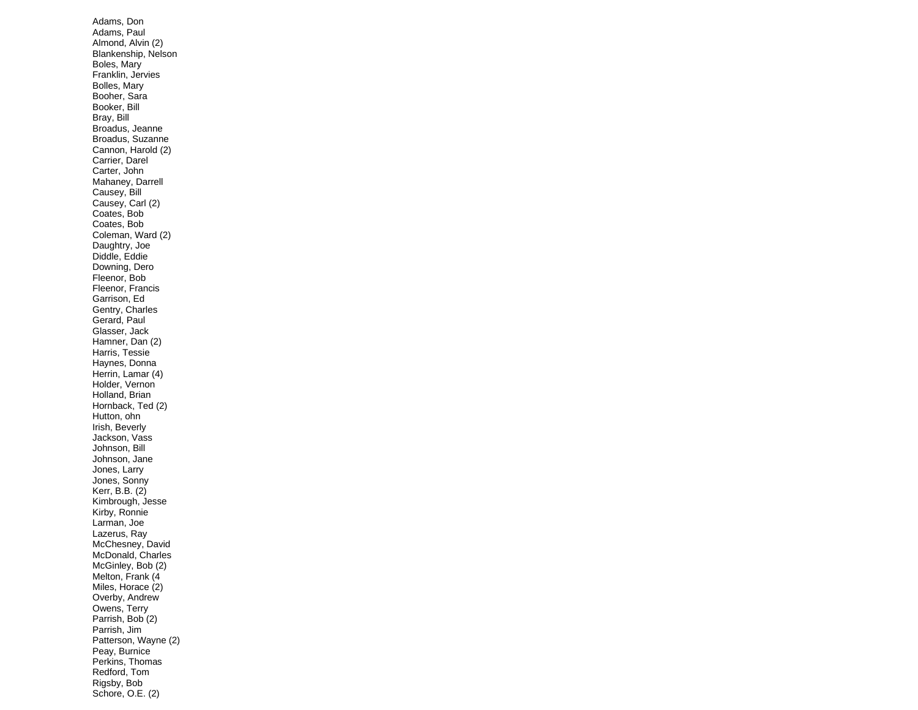Adams, Don Adams, Paul Almond, Alvin (2) Blankenship, Nelson Boles, Mary Franklin, Jervies Bolles, Mary Booher, Sara Booker, Bill Bray, Bill Broadus, Jeanne Broadus, Suzanne Cannon, Harold (2) Carrier, Darel Carter, John Mahaney, Darrell Causey, Bill Causey, Carl (2) Coates, Bob Coates, Bob Coleman, Ward (2) Daughtry, Joe Diddle, Eddie Downing, Dero Fleenor, Bob Fleenor, Francis Garrison, Ed Gentry, Charles Gerard, Paul Glasser, Jack Hamner, Dan (2) Harris, Tessie Haynes, Donna Herrin, Lamar (4) Holder, Vernon Holland, Brian Hornback, Ted (2) Hutton, ohn Irish, Beverly Jackson, Vass Johnson, Bill Johnson, Jane Jones, Larry Jones, Sonny Kerr, B.B. (2) Kimbrough, Jesse Kirby, Ronnie Larman, Joe Lazerus, Ray McChesney, David McDonald, Charles McGinley, Bob (2) Melton, Frank (4 Miles, Horace (2) Overby, Andrew Owens, Terry Parrish, Bob (2) Parrish, Jim Patterson, Wayne (2) Peay, Burnice Perkins, Thomas Redford, Tom Rigsby, Bob Schore, O.E. (2)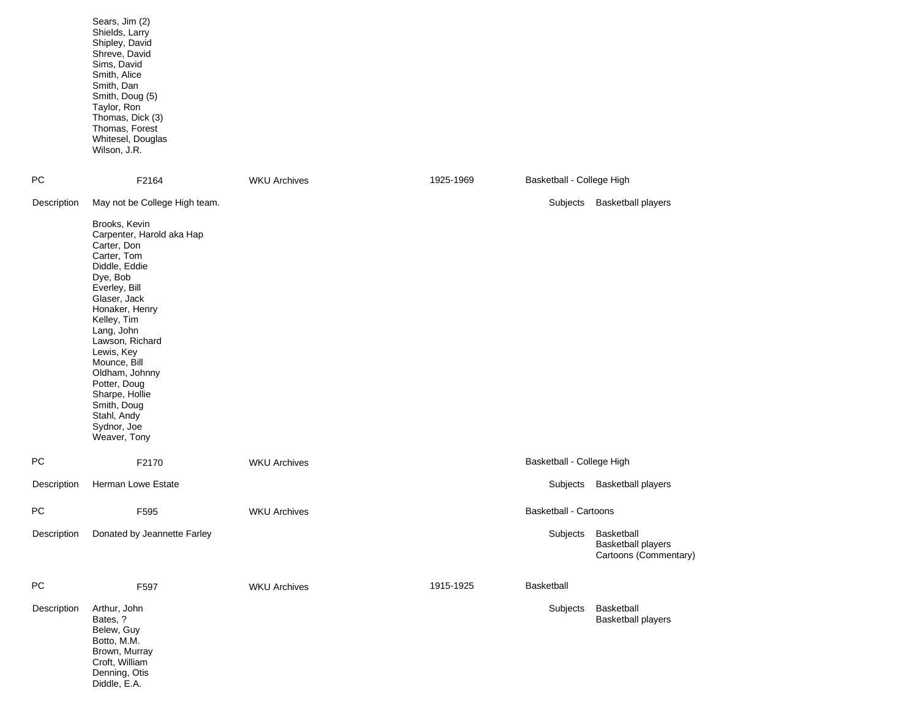|             | Sears, Jim (2)<br>Shields, Larry<br>Shipley, David<br>Shreve, David<br>Sims, David<br>Smith, Alice<br>Smith, Dan<br>Smith, Doug (5)<br>Taylor, Ron<br>Thomas, Dick (3)<br>Thomas, Forest<br>Whitesel, Douglas<br>Wilson, J.R.                                                                                                                           |                     |           |                              |                                                                           |
|-------------|---------------------------------------------------------------------------------------------------------------------------------------------------------------------------------------------------------------------------------------------------------------------------------------------------------------------------------------------------------|---------------------|-----------|------------------------------|---------------------------------------------------------------------------|
| РC          | F2164                                                                                                                                                                                                                                                                                                                                                   | <b>WKU Archives</b> | 1925-1969 | Basketball - College High    |                                                                           |
| Description | May not be College High team.                                                                                                                                                                                                                                                                                                                           |                     |           | Subjects                     | <b>Basketball players</b>                                                 |
|             | Brooks, Kevin<br>Carpenter, Harold aka Hap<br>Carter, Don<br>Carter, Tom<br>Diddle, Eddie<br>Dye, Bob<br>Everley, Bill<br>Glaser, Jack<br>Honaker, Henry<br>Kelley, Tim<br>Lang, John<br>Lawson, Richard<br>Lewis, Key<br>Mounce, Bill<br>Oldham, Johnny<br>Potter, Doug<br>Sharpe, Hollie<br>Smith, Doug<br>Stahl, Andy<br>Sydnor, Joe<br>Weaver, Tony |                     |           |                              |                                                                           |
| PC          | F2170                                                                                                                                                                                                                                                                                                                                                   | <b>WKU Archives</b> |           | Basketball - College High    |                                                                           |
| Description | Herman Lowe Estate                                                                                                                                                                                                                                                                                                                                      |                     |           | Subjects                     | <b>Basketball players</b>                                                 |
| PC          | F595                                                                                                                                                                                                                                                                                                                                                    | <b>WKU Archives</b> |           | <b>Basketball - Cartoons</b> |                                                                           |
|             | Description Donated by Jeannette Farley                                                                                                                                                                                                                                                                                                                 |                     |           |                              | Subjects Basketball<br><b>Basketball players</b><br>Cartoons (Commentary) |
| PC          | F597                                                                                                                                                                                                                                                                                                                                                    | <b>WKU Archives</b> | 1915-1925 | Basketball                   |                                                                           |
| Description | Arthur, John<br>Bates, ?<br>Belew, Guy<br>Botto, M.M.<br>Brown, Murray<br>Croft, William<br>Denning, Otis<br>Diddle, E.A.                                                                                                                                                                                                                               |                     |           | Subjects                     | Basketball<br><b>Basketball players</b>                                   |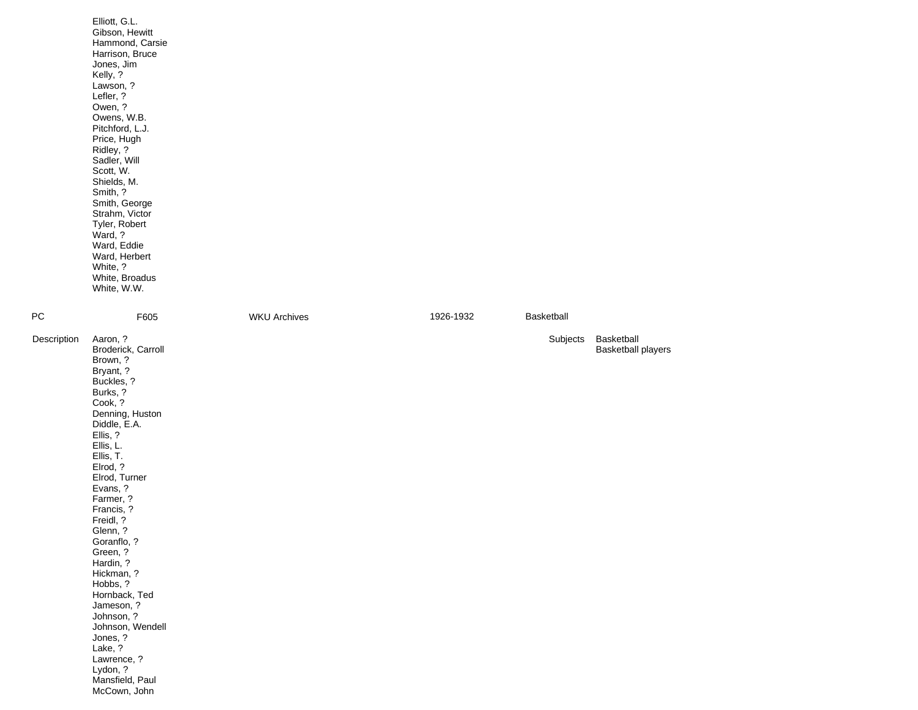|             | Elliott, G.L.<br>Gibson, Hewitt<br>Hammond, Carsie<br>Harrison, Bruce<br>Jones, Jim<br>Kelly, ?<br>Lawson, ?<br>Lefler, ?<br>Owen, ?<br>Owens, W.B.<br>Pitchford, L.J.<br>Price, Hugh<br>Ridley, ?<br>Sadler, Will<br>Scott, W.<br>Shields, M.<br>Smith, ?<br>Smith, George<br>Strahm, Victor<br>Tyler, Robert<br>Ward, ?<br>Ward, Eddie<br>Ward, Herbert<br>White, ?<br>White, Broadus<br>White, W.W.                                                                                     |                     |           |            |                                         |
|-------------|--------------------------------------------------------------------------------------------------------------------------------------------------------------------------------------------------------------------------------------------------------------------------------------------------------------------------------------------------------------------------------------------------------------------------------------------------------------------------------------------|---------------------|-----------|------------|-----------------------------------------|
| РC          | F605                                                                                                                                                                                                                                                                                                                                                                                                                                                                                       | <b>WKU Archives</b> | 1926-1932 | Basketball |                                         |
| Description | Aaron, ?<br>Broderick, Carroll<br>Brown, ?<br>Bryant, ?<br>Buckles, ?<br>Burks, ?<br>Cook, ?<br>Denning, Huston<br>Diddle, E.A.<br>Ellis, ?<br>Ellis, L.<br>Ellis, T.<br>Elrod, ?<br>Elrod, Turner<br>Evans, ?<br>Farmer, ?<br>Francis, ?<br>Freidl, ?<br>Glenn, ?<br>Goranflo, ?<br>Green, ?<br>Hardin, ?<br>Hickman, ?<br>Hobbs, ?<br>Hornback, Ted<br>Jameson, ?<br>Johnson, ?<br>Johnson, Wendell<br>Jones, ?<br>Lake, ?<br>Lawrence, ?<br>Lydon, ?<br>Mansfield, Paul<br>McCown, John |                     |           | Subjects   | Basketball<br><b>Basketball players</b> |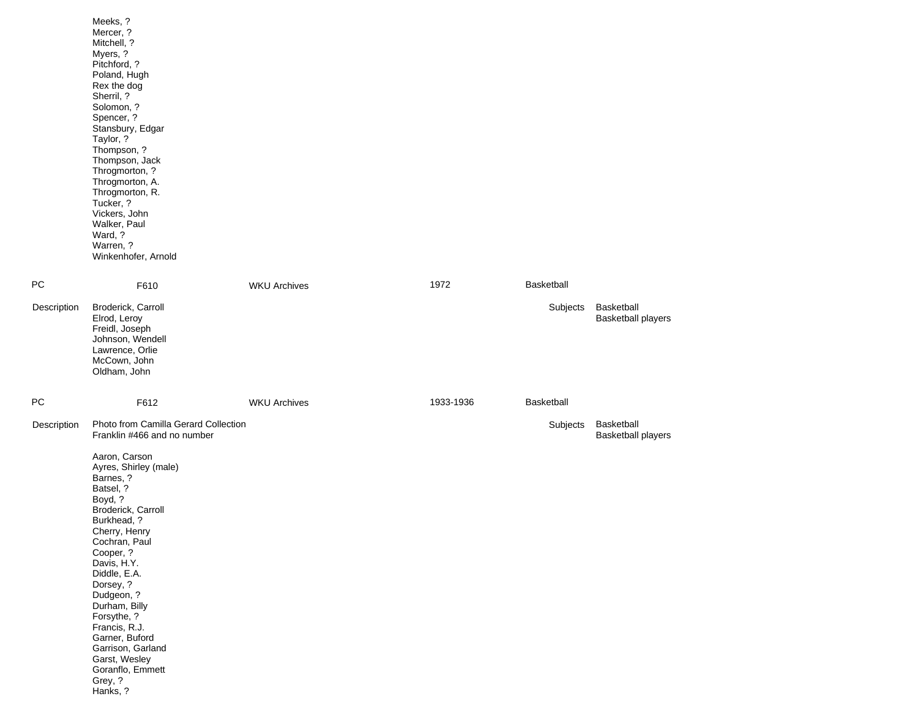|             | Meeks, ?<br>Mercer, ?<br>Mitchell, ?<br>Myers, ?<br>Pitchford, ?<br>Poland, Hugh<br>Rex the dog<br>Sherril, ?<br>Solomon, ?<br>Spencer, ?<br>Stansbury, Edgar<br>Taylor, ?<br>Thompson, ?<br>Thompson, Jack<br>Throgmorton, ?<br>Throgmorton, A.<br>Throgmorton, R.<br>Tucker, ?<br>Vickers, John<br>Walker, Paul<br>Ward, ?<br>Warren, ?<br>Winkenhofer, Arnold              |                     |           |                   |                                         |
|-------------|-------------------------------------------------------------------------------------------------------------------------------------------------------------------------------------------------------------------------------------------------------------------------------------------------------------------------------------------------------------------------------|---------------------|-----------|-------------------|-----------------------------------------|
| РC          | F610                                                                                                                                                                                                                                                                                                                                                                          | <b>WKU Archives</b> | 1972      | <b>Basketball</b> |                                         |
| Description | Broderick, Carroll<br>Elrod, Leroy<br>Freidl, Joseph<br>Johnson, Wendell<br>Lawrence, Orlie<br>McCown, John<br>Oldham, John                                                                                                                                                                                                                                                   |                     |           | Subjects          | Basketball<br><b>Basketball players</b> |
| РC          | F612                                                                                                                                                                                                                                                                                                                                                                          | <b>WKU Archives</b> | 1933-1936 | Basketball        |                                         |
| Description | Photo from Camilla Gerard Collection<br>Franklin #466 and no number                                                                                                                                                                                                                                                                                                           |                     |           | Subjects          | Basketball<br><b>Basketball players</b> |
|             | Aaron, Carson<br>Ayres, Shirley (male)<br>Barnes, ?<br>Batsel, ?<br>Boyd, ?<br>Broderick, Carroll<br>Burkhead, ?<br>Cherry, Henry<br>Cochran, Paul<br>Cooper, ?<br>Davis, H.Y.<br>Diddle, E.A.<br>Dorsey, ?<br>Dudgeon, ?<br>Durham, Billy<br>Forsythe, ?<br>Francis, R.J.<br>Garner, Buford<br>Garrison, Garland<br>Garst, Wesley<br>Goranflo, Emmett<br>Grey, ?<br>Hanks, ? |                     |           |                   |                                         |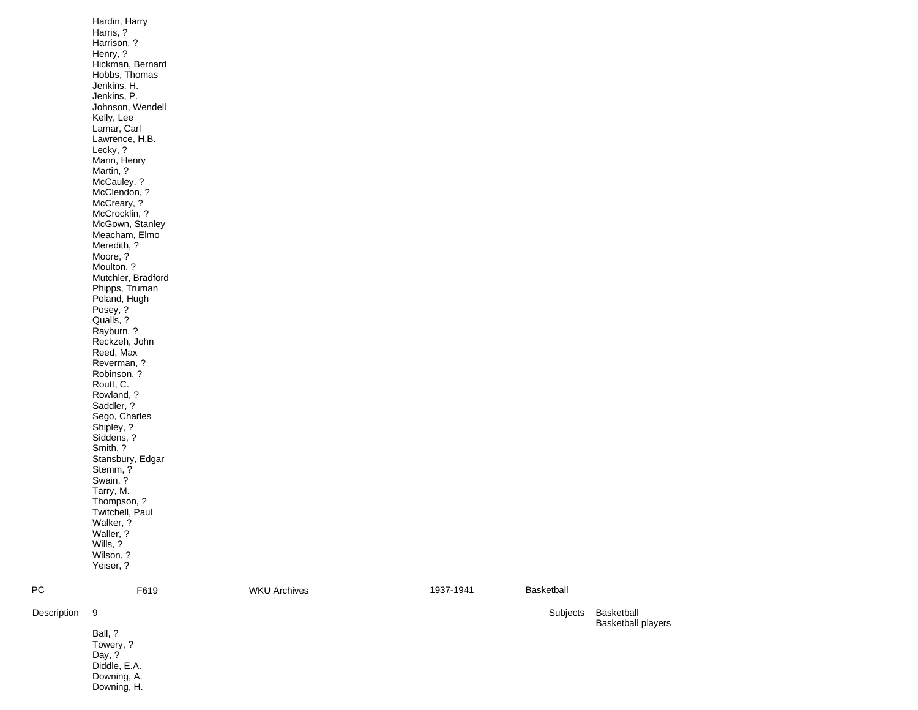| РC<br>Description | Stemm, ?<br>Swain, ?<br>Tarry, M.<br>Thompson, ?<br>Twitchell, Paul<br>Walker, ?<br>Waller, ?<br>Wills, ?<br>Wilson, ?<br>Yeiser, ?<br>F619<br>9<br>Ball, ?<br>Towery, ?<br>Day, ?<br>Diddle, E.A.<br>Downing, A.                                                                                                                                                                                                                                                                                                                                                                                       | <b>WKU Archives</b> | 1937-1941 | Basketball<br>Subjects | Basketball<br><b>Basketball players</b> |
|-------------------|---------------------------------------------------------------------------------------------------------------------------------------------------------------------------------------------------------------------------------------------------------------------------------------------------------------------------------------------------------------------------------------------------------------------------------------------------------------------------------------------------------------------------------------------------------------------------------------------------------|---------------------|-----------|------------------------|-----------------------------------------|
|                   | Hickman, Bernard<br>Hobbs, Thomas<br>Jenkins, H.<br>Jenkins, P.<br>Johnson, Wendell<br>Kelly, Lee<br>Lamar, Carl<br>Lawrence, H.B.<br>Lecky, ?<br>Mann, Henry<br>Martin, ?<br>McCauley, ?<br>McClendon, ?<br>McCreary, ?<br>McCrocklin, ?<br>McGown, Stanley<br>Meacham, Elmo<br>Meredith, ?<br>Moore, ?<br>Moulton, ?<br>Mutchler, Bradford<br>Phipps, Truman<br>Poland, Hugh<br>Posey, ?<br>Qualls, ?<br>Rayburn, ?<br>Reckzeh, John<br>Reed, Max<br>Reverman, ?<br>Robinson, ?<br>Routt, C.<br>Rowland, ?<br>Saddler, ?<br>Sego, Charles<br>Shipley, ?<br>Siddens, ?<br>Smith, ?<br>Stansbury, Edgar |                     |           |                        |                                         |
|                   | Hardin, Harry<br>Harris, ?<br>Harrison, ?<br>Henry, ?                                                                                                                                                                                                                                                                                                                                                                                                                                                                                                                                                   |                     |           |                        |                                         |

Descrip

Downing, H.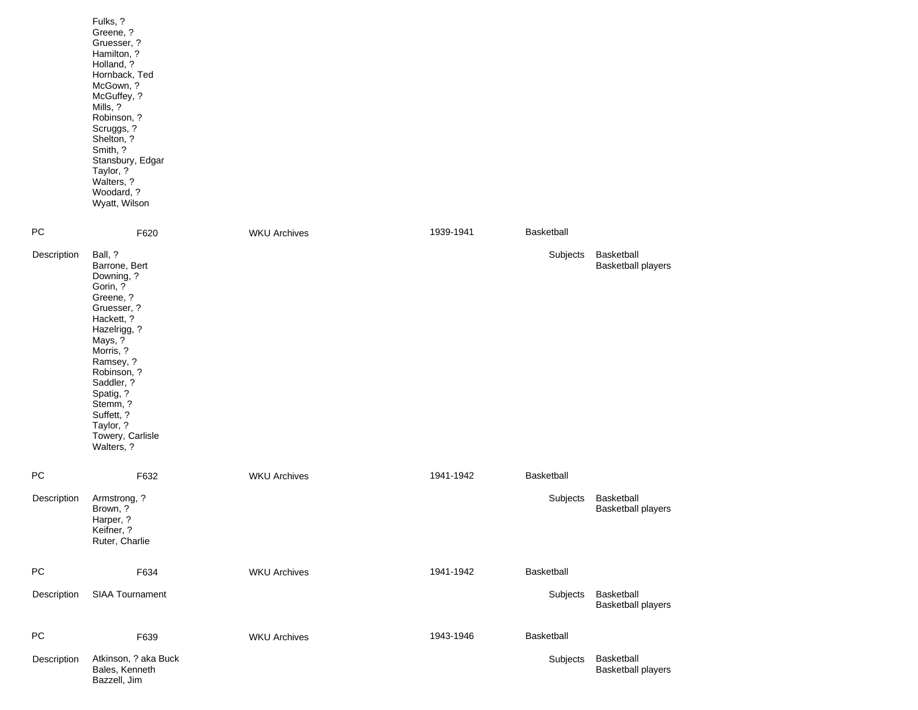|             | Fulks, ?<br>Greene, ?<br>Gruesser, ?<br>Hamilton, ?<br>Holland, ?<br>Hornback, Ted<br>McGown, ?<br>McGuffey, ?<br>Mills, ?<br>Robinson, ?<br>Scruggs, ?<br>Shelton, ?<br>Smith, ?<br>Stansbury, Edgar<br>Taylor, ?<br>Walters, ?<br>Woodard, ?<br>Wyatt, Wilson      |                     |           |                   |                                         |
|-------------|----------------------------------------------------------------------------------------------------------------------------------------------------------------------------------------------------------------------------------------------------------------------|---------------------|-----------|-------------------|-----------------------------------------|
| PC          | F620                                                                                                                                                                                                                                                                 | <b>WKU Archives</b> | 1939-1941 | Basketball        |                                         |
| Description | Ball, ?<br>Barrone, Bert<br>Downing, ?<br>Gorin, ?<br>Greene, ?<br>Gruesser, ?<br>Hackett, ?<br>Hazelrigg, ?<br>Mays, ?<br>Morris, ?<br>Ramsey, ?<br>Robinson, ?<br>Saddler, ?<br>Spatig, ?<br>Stemm, ?<br>Suffett, ?<br>Taylor, ?<br>Towery, Carlisle<br>Walters, ? |                     |           | Subjects          | Basketball<br><b>Basketball players</b> |
| PC          | F632                                                                                                                                                                                                                                                                 | <b>WKU Archives</b> | 1941-1942 | Basketball        |                                         |
| Description | Armstrong, ?<br>Brown, ?<br>Harper, ?<br>Keifner, ?<br>Ruter, Charlie                                                                                                                                                                                                |                     |           | Subjects          | Basketball<br><b>Basketball players</b> |
| PC          | F634                                                                                                                                                                                                                                                                 | <b>WKU Archives</b> | 1941-1942 | Basketball        |                                         |
| Description | SIAA Tournament                                                                                                                                                                                                                                                      |                     |           | Subjects          | Basketball<br><b>Basketball players</b> |
| PC          | F639                                                                                                                                                                                                                                                                 | <b>WKU Archives</b> | 1943-1946 | <b>Basketball</b> |                                         |
| Description | Atkinson, ? aka Buck<br>Bales, Kenneth<br>Bazzell, Jim                                                                                                                                                                                                               |                     |           | Subjects          | Basketball<br><b>Basketball players</b> |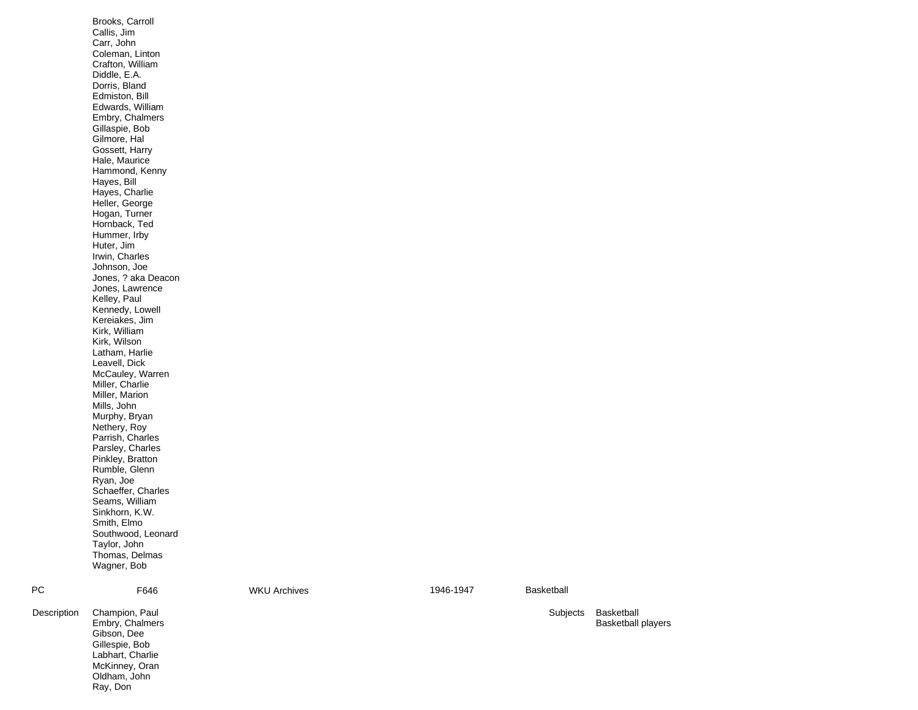|             | Brooks, Carroll<br>Callis, Jim<br>Carr, John<br>Coleman, Linton<br>Crafton, William<br>Diddle, E.A.<br>Dorris, Bland<br>Edmiston, Bill<br>Edwards, William<br>Embry, Chalmers<br>Gillaspie, Bob<br>Gilmore, Hal<br>Gossett, Harry<br>Hale, Maurice<br>Hammond, Kenny<br>Hayes, Bill<br>Hayes, Charlie<br>Heller, George<br>Hogan, Turner<br>Hornback, Ted<br>Hummer, Irby<br>Huter, Jim<br>Irwin, Charles<br>Johnson, Joe<br>Jones, ? aka Deacon<br>Jones, Lawrence<br>Kelley, Paul<br>Kennedy, Lowell<br>Kereiakes, Jim<br>Kirk, William<br>Kirk, Wilson<br>Latham, Harlie<br>Leavell, Dick<br>McCauley, Warren<br>Miller, Charlie<br>Miller, Marion<br>Mills, John<br>Murphy, Bryan<br>Nethery, Roy<br>Parrish, Charles<br>Parsley, Charles<br>Pinkley, Bratton<br>Rumble, Glenn<br>Ryan, Joe<br>Schaeffer, Charles<br>Seams, William<br>Sinkhorn, K.W.<br>Smith, Elmo |                     |           |            |
|-------------|--------------------------------------------------------------------------------------------------------------------------------------------------------------------------------------------------------------------------------------------------------------------------------------------------------------------------------------------------------------------------------------------------------------------------------------------------------------------------------------------------------------------------------------------------------------------------------------------------------------------------------------------------------------------------------------------------------------------------------------------------------------------------------------------------------------------------------------------------------------------------|---------------------|-----------|------------|
|             | Southwood, Leonard<br>Taylor, John<br>Thomas, Delmas<br>Wagner, Bob                                                                                                                                                                                                                                                                                                                                                                                                                                                                                                                                                                                                                                                                                                                                                                                                      |                     |           |            |
| <b>PC</b>   | F646                                                                                                                                                                                                                                                                                                                                                                                                                                                                                                                                                                                                                                                                                                                                                                                                                                                                     | <b>WKU Archives</b> | 1946-1947 | Basketball |
| Description | Champion, Paul<br>Embry, Chalmers<br>Gibson, Dee<br>Gillespie, Bob<br>Labhart, Charlie<br>McKinney, Oran                                                                                                                                                                                                                                                                                                                                                                                                                                                                                                                                                                                                                                                                                                                                                                 |                     |           | Subjects   |

Oldham, John Ray, Don

Basketball Basketball players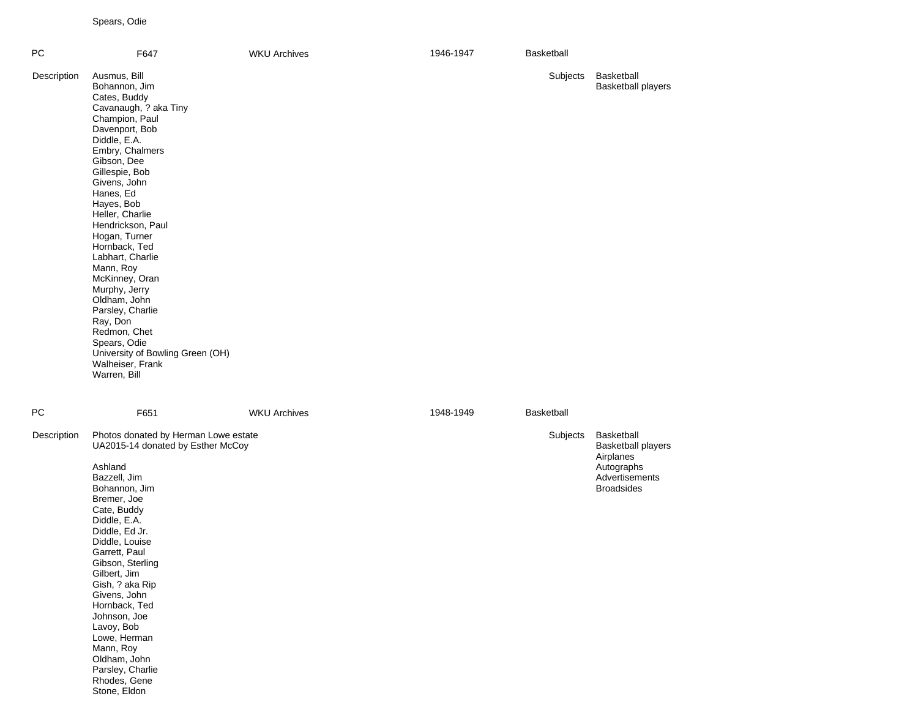Spears, Odie

| PC          | F647                                                                                                                                                                                                                                                                                                                                                                                                                                                                                                                            | <b>WKU Archives</b> | 1946-1947 | Basketball |                                                                                                           |
|-------------|---------------------------------------------------------------------------------------------------------------------------------------------------------------------------------------------------------------------------------------------------------------------------------------------------------------------------------------------------------------------------------------------------------------------------------------------------------------------------------------------------------------------------------|---------------------|-----------|------------|-----------------------------------------------------------------------------------------------------------|
| Description | Ausmus, Bill<br>Bohannon, Jim<br>Cates, Buddy<br>Cavanaugh, ? aka Tiny<br>Champion, Paul<br>Davenport, Bob<br>Diddle, E.A.<br>Embry, Chalmers<br>Gibson, Dee<br>Gillespie, Bob<br>Givens, John<br>Hanes, Ed<br>Hayes, Bob<br>Heller, Charlie<br>Hendrickson, Paul<br>Hogan, Turner<br>Hornback, Ted<br>Labhart, Charlie<br>Mann, Roy<br>McKinney, Oran<br>Murphy, Jerry<br>Oldham, John<br>Parsley, Charlie<br>Ray, Don<br>Redmon, Chet<br>Spears, Odie<br>University of Bowling Green (OH)<br>Walheiser, Frank<br>Warren, Bill |                     |           | Subjects   | Basketball<br><b>Basketball players</b>                                                                   |
| ${\sf PC}$  | F651                                                                                                                                                                                                                                                                                                                                                                                                                                                                                                                            | <b>WKU Archives</b> | 1948-1949 | Basketball |                                                                                                           |
| Description | Photos donated by Herman Lowe estate<br>UA2015-14 donated by Esther McCoy<br>Ashland<br>Bazzell, Jim<br>Bohannon, Jim<br>Bremer, Joe<br>Cate, Buddy<br>Diddle, E.A.<br>Diddle, Ed Jr.<br>Diddle, Louise<br>Garrett, Paul<br>Gibson, Sterling<br>Gilbert, Jim<br>Gish, ? aka Rip<br>Givens, John<br>Hornback, Ted<br>Johnson, Joe<br>Lavoy, Bob<br>Lowe, Herman<br>Mann, Roy<br>Oldham, John<br>Parsley, Charlie<br>Rhodes, Gene<br>Stone, Eldon                                                                                 |                     |           | Subjects   | Basketball<br><b>Basketball players</b><br>Airplanes<br>Autographs<br>Advertisements<br><b>Broadsides</b> |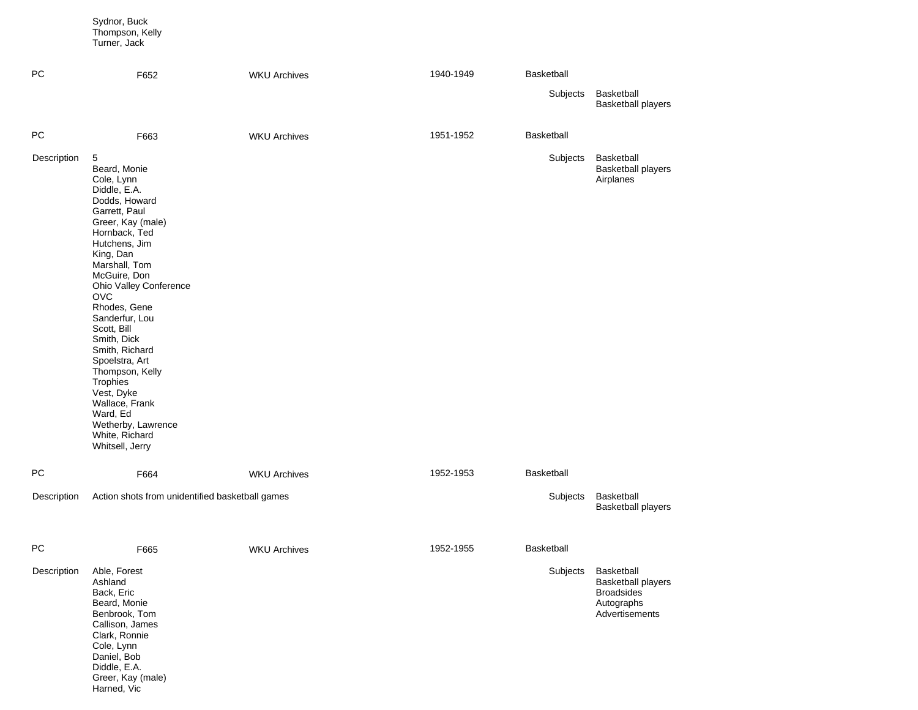|             | Sydnor, Buck<br>Thompson, Kelly<br>Turner, Jack                                                                                                                                                                                                                                                                                                                                                                                                                          |                     |           |            |                                                                                              |
|-------------|--------------------------------------------------------------------------------------------------------------------------------------------------------------------------------------------------------------------------------------------------------------------------------------------------------------------------------------------------------------------------------------------------------------------------------------------------------------------------|---------------------|-----------|------------|----------------------------------------------------------------------------------------------|
| <b>PC</b>   | F652                                                                                                                                                                                                                                                                                                                                                                                                                                                                     | <b>WKU Archives</b> | 1940-1949 | Basketball |                                                                                              |
|             |                                                                                                                                                                                                                                                                                                                                                                                                                                                                          |                     |           | Subjects   | Basketball<br><b>Basketball players</b>                                                      |
| ${\sf PC}$  | F663                                                                                                                                                                                                                                                                                                                                                                                                                                                                     | <b>WKU Archives</b> | 1951-1952 | Basketball |                                                                                              |
| Description | 5<br>Beard, Monie<br>Cole, Lynn<br>Diddle, E.A.<br>Dodds, Howard<br>Garrett, Paul<br>Greer, Kay (male)<br>Hornback, Ted<br>Hutchens, Jim<br>King, Dan<br>Marshall, Tom<br>McGuire, Don<br>Ohio Valley Conference<br><b>OVC</b><br>Rhodes, Gene<br>Sanderfur, Lou<br>Scott, Bill<br>Smith, Dick<br>Smith, Richard<br>Spoelstra, Art<br>Thompson, Kelly<br>Trophies<br>Vest, Dyke<br>Wallace, Frank<br>Ward, Ed<br>Wetherby, Lawrence<br>White, Richard<br>Whitsell, Jerry |                     |           | Subjects   | Basketball<br><b>Basketball players</b><br>Airplanes                                         |
| PC          | F664                                                                                                                                                                                                                                                                                                                                                                                                                                                                     | <b>WKU Archives</b> | 1952-1953 | Basketball |                                                                                              |
| Description | Action shots from unidentified basketball games                                                                                                                                                                                                                                                                                                                                                                                                                          |                     |           | Subjects   | Basketball<br><b>Basketball players</b>                                                      |
| PC          | F665                                                                                                                                                                                                                                                                                                                                                                                                                                                                     | <b>WKU Archives</b> | 1952-1955 | Basketball |                                                                                              |
| Description | Able, Forest<br>Ashland<br>Back, Eric<br>Beard, Monie<br>Benbrook, Tom<br>Callison, James<br>Clark, Ronnie<br>Cole, Lynn<br>Daniel, Bob<br>Diddle, E.A.<br>Greer, Kay (male)                                                                                                                                                                                                                                                                                             |                     |           | Subjects   | Basketball<br><b>Basketball players</b><br><b>Broadsides</b><br>Autographs<br>Advertisements |

Harned, Vic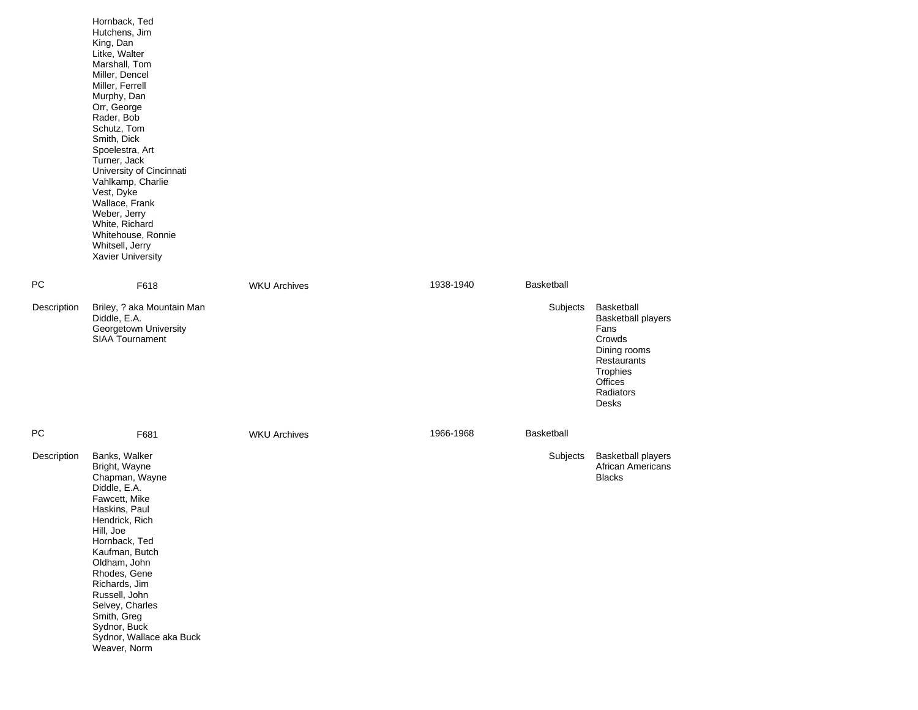|             | Hornback, Ted<br>Hutchens, Jim<br>King, Dan<br>Litke, Walter<br>Marshall, Tom<br>Miller, Dencel<br>Miller, Ferrell<br>Murphy, Dan<br>Orr, George<br>Rader, Bob<br>Schutz, Tom<br>Smith, Dick<br>Spoelestra, Art<br>Turner, Jack<br>University of Cincinnati<br>Vahlkamp, Charlie<br>Vest, Dyke<br>Wallace, Frank<br>Weber, Jerry<br>White, Richard<br>Whitehouse, Ronnie<br>Whitsell, Jerry<br>Xavier University |                     |           |            |                                                                                                                                       |
|-------------|------------------------------------------------------------------------------------------------------------------------------------------------------------------------------------------------------------------------------------------------------------------------------------------------------------------------------------------------------------------------------------------------------------------|---------------------|-----------|------------|---------------------------------------------------------------------------------------------------------------------------------------|
| <b>PC</b>   | F618                                                                                                                                                                                                                                                                                                                                                                                                             | <b>WKU Archives</b> | 1938-1940 | Basketball |                                                                                                                                       |
| Description | Briley, ? aka Mountain Man<br>Diddle, E.A.<br>Georgetown University<br>SIAA Tournament                                                                                                                                                                                                                                                                                                                           |                     |           | Subjects   | Basketball<br><b>Basketball players</b><br>Fans<br>Crowds<br>Dining rooms<br>Restaurants<br>Trophies<br>Offices<br>Radiators<br>Desks |
| <b>PC</b>   | F681                                                                                                                                                                                                                                                                                                                                                                                                             | <b>WKU Archives</b> | 1966-1968 | Basketball |                                                                                                                                       |
| Description | Banks, Walker<br>Bright, Wayne<br>Chapman, Wayne<br>Diddle, E.A.<br>Fawcett, Mike<br>Haskins, Paul<br>Hendrick, Rich<br>Hill, Joe<br>Hornback, Ted<br>Kaufman, Butch<br>Oldham, John<br>Rhodes, Gene<br>Richards, Jim<br>Russell, John<br>Selvey, Charles<br>Smith, Greg<br>Sydnor, Buck<br>Sydnor, Wallace aka Buck<br>Weaver, Norm                                                                             |                     |           | Subjects   | <b>Basketball players</b><br>African Americans<br><b>Blacks</b>                                                                       |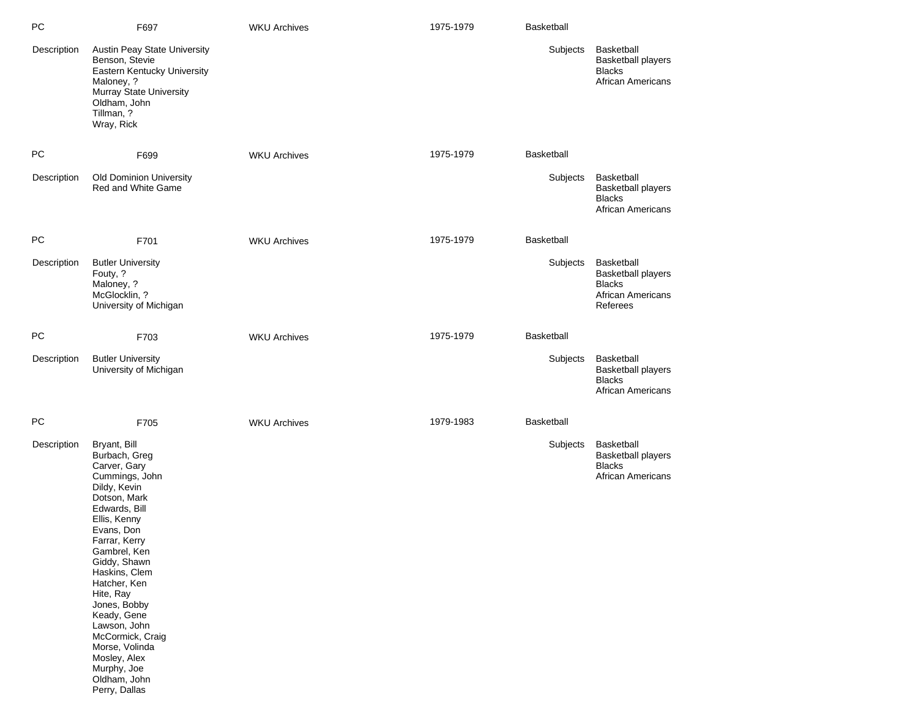| PC          | F697                                                                                                                                                                                                                                                                                                                                                                                               | <b>WKU Archives</b> | 1975-1979 | Basketball        |                                                                                                  |
|-------------|----------------------------------------------------------------------------------------------------------------------------------------------------------------------------------------------------------------------------------------------------------------------------------------------------------------------------------------------------------------------------------------------------|---------------------|-----------|-------------------|--------------------------------------------------------------------------------------------------|
| Description | Austin Peay State University<br>Benson, Stevie<br>Eastern Kentucky University<br>Maloney, ?<br>Murray State University<br>Oldham, John<br>Tillman, ?<br>Wray, Rick                                                                                                                                                                                                                                 |                     |           | Subjects          | Basketball<br><b>Basketball players</b><br><b>Blacks</b><br><b>African Americans</b>             |
| <b>PC</b>   | F699                                                                                                                                                                                                                                                                                                                                                                                               | <b>WKU Archives</b> | 1975-1979 | <b>Basketball</b> |                                                                                                  |
| Description | Old Dominion University<br>Red and White Game                                                                                                                                                                                                                                                                                                                                                      |                     |           | Subjects          | Basketball<br><b>Basketball players</b><br><b>Blacks</b><br>African Americans                    |
| РC          | F701                                                                                                                                                                                                                                                                                                                                                                                               | <b>WKU Archives</b> | 1975-1979 | <b>Basketball</b> |                                                                                                  |
| Description | <b>Butler University</b><br>Fouty, ?<br>Maloney, ?<br>McGlocklin, ?<br>University of Michigan                                                                                                                                                                                                                                                                                                      |                     |           | Subjects          | Basketball<br><b>Basketball players</b><br><b>Blacks</b><br><b>African Americans</b><br>Referees |
| <b>PC</b>   | F703                                                                                                                                                                                                                                                                                                                                                                                               | <b>WKU Archives</b> | 1975-1979 | <b>Basketball</b> |                                                                                                  |
| Description | <b>Butler University</b><br>University of Michigan                                                                                                                                                                                                                                                                                                                                                 |                     |           | Subjects          | Basketball<br><b>Basketball players</b><br><b>Blacks</b><br>African Americans                    |
| PC          | F705                                                                                                                                                                                                                                                                                                                                                                                               | <b>WKU Archives</b> | 1979-1983 | <b>Basketball</b> |                                                                                                  |
| Description | Bryant, Bill<br>Burbach, Greg<br>Carver, Gary<br>Cummings, John<br>Dildy, Kevin<br>Dotson, Mark<br>Edwards, Bill<br>Ellis, Kenny<br>Evans, Don<br>Farrar, Kerry<br>Gambrel, Ken<br>Giddy, Shawn<br>Haskins, Clem<br>Hatcher, Ken<br>Hite, Ray<br>Jones, Bobby<br>Keady, Gene<br>Lawson, John<br>McCormick, Craig<br>Morse, Volinda<br>Mosley, Alex<br>Murphy, Joe<br>Oldham, John<br>Perry, Dallas |                     |           | Subjects          | Basketball<br><b>Basketball players</b><br><b>Blacks</b><br>African Americans                    |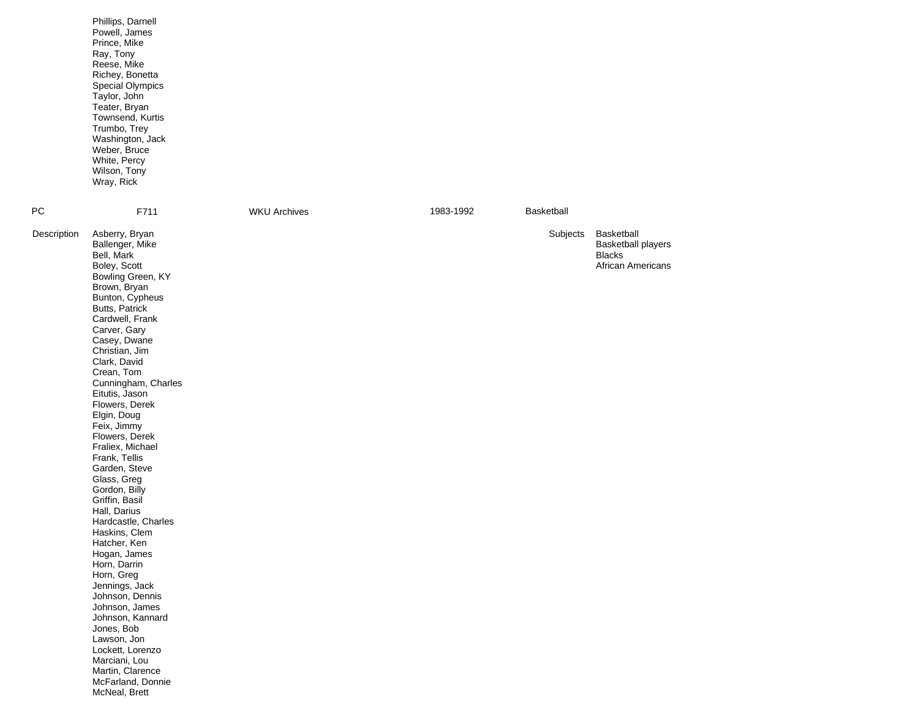|             | Phillips, Darnell<br>Powell, James<br>Prince, Mike<br>Ray, Tony<br>Reese, Mike<br>Richey, Bonetta<br>Special Olympics<br>Taylor, John<br>Teater, Bryan<br>Townsend, Kurtis<br>Trumbo, Trey<br>Washington, Jack<br>Weber, Bruce<br>White, Percy<br>Wilson, Tony<br>Wray, Rick                                                                                                                                                                                                                                                                                                                                                                                                                                                                                                                 |                     |           |            |                                                                        |
|-------------|----------------------------------------------------------------------------------------------------------------------------------------------------------------------------------------------------------------------------------------------------------------------------------------------------------------------------------------------------------------------------------------------------------------------------------------------------------------------------------------------------------------------------------------------------------------------------------------------------------------------------------------------------------------------------------------------------------------------------------------------------------------------------------------------|---------------------|-----------|------------|------------------------------------------------------------------------|
| PС          | F711                                                                                                                                                                                                                                                                                                                                                                                                                                                                                                                                                                                                                                                                                                                                                                                         | <b>WKU Archives</b> | 1983-1992 | Basketball |                                                                        |
| Description | Asberry, Bryan<br>Ballenger, Mike<br>Bell, Mark<br>Boley, Scott<br>Bowling Green, KY<br>Brown, Bryan<br>Bunton, Cypheus<br>Butts, Patrick<br>Cardwell, Frank<br>Carver, Gary<br>Casey, Dwane<br>Christian, Jim<br>Clark, David<br>Crean, Tom<br>Cunningham, Charles<br>Eitutis, Jason<br>Flowers, Derek<br>Elgin, Doug<br>Feix, Jimmy<br>Flowers, Derek<br>Fraliex, Michael<br>Frank, Tellis<br>Garden, Steve<br>Glass, Greg<br>Gordon, Billy<br>Griffin, Basil<br>Hall, Darius<br>Hardcastle, Charles<br>Haskins, Clem<br>Hatcher, Ken<br>Hogan, James<br>Horn, Darrin<br>Horn, Greg<br>Jennings, Jack<br>Johnson, Dennis<br>Johnson, James<br>Johnson, Kannard<br>Jones, Bob<br>Lawson, Jon<br>Lockett, Lorenzo<br>Marciani, Lou<br>Martin, Clarence<br>McFarland, Donnie<br>McNeal, Brett |                     |           | Subjects   | Basketball<br>Basketball players<br><b>Blacks</b><br>African Americans |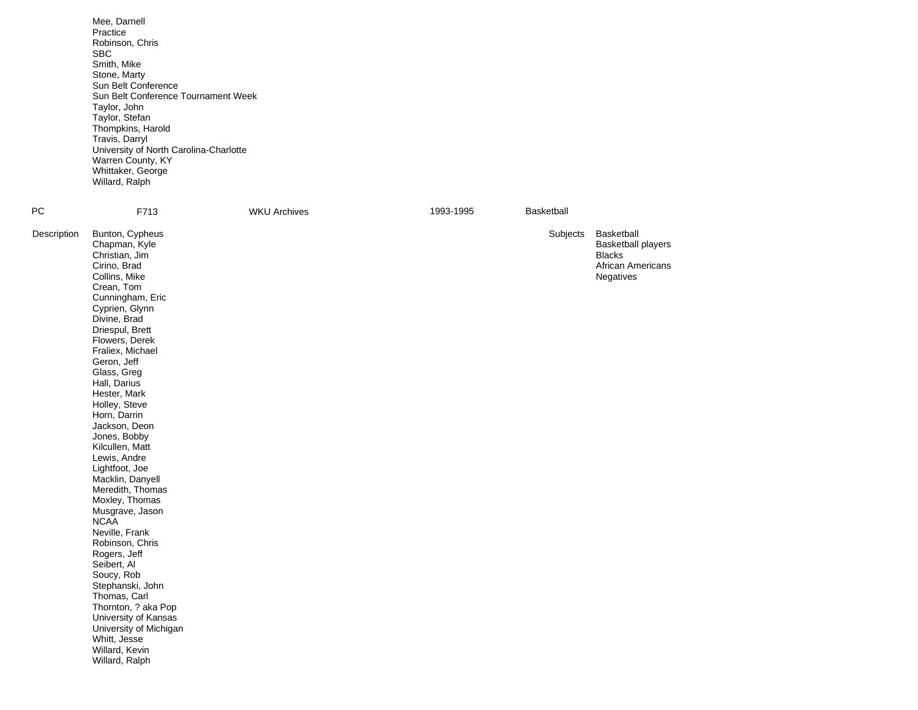|             | Mee, Darnell<br>Practice<br>Robinson, Chris<br><b>SBC</b><br>Smith, Mike<br>Stone, Marty<br>Sun Belt Conference<br>Sun Belt Conference Tournament Week<br>Taylor, John<br>Taylor, Stefan<br>Thompkins, Harold<br>Travis, Darryl<br>University of North Carolina-Charlotte<br>Warren County, KY<br>Whittaker, George<br>Willard, Ralph                                                                                                                                                                                                                                                                                                                                                                                                                |                     |           |            |                                                                                                   |
|-------------|------------------------------------------------------------------------------------------------------------------------------------------------------------------------------------------------------------------------------------------------------------------------------------------------------------------------------------------------------------------------------------------------------------------------------------------------------------------------------------------------------------------------------------------------------------------------------------------------------------------------------------------------------------------------------------------------------------------------------------------------------|---------------------|-----------|------------|---------------------------------------------------------------------------------------------------|
| PC          | F713                                                                                                                                                                                                                                                                                                                                                                                                                                                                                                                                                                                                                                                                                                                                                 | <b>WKU Archives</b> | 1993-1995 | Basketball |                                                                                                   |
| Description | Bunton, Cypheus<br>Chapman, Kyle<br>Christian, Jim<br>Cirino, Brad<br>Collins, Mike<br>Crean, Tom<br>Cunningham, Eric<br>Cyprien, Glynn<br>Divine, Brad<br>Driespul, Brett<br>Flowers, Derek<br>Fraliex, Michael<br>Geron, Jeff<br>Glass, Greg<br>Hall, Darius<br>Hester, Mark<br>Holley, Steve<br>Horn, Darrin<br>Jackson, Deon<br>Jones, Bobby<br>Kilcullen, Matt<br>Lewis, Andre<br>Lightfoot, Joe<br>Macklin, Danyell<br>Meredith, Thomas<br>Moxley, Thomas<br>Musgrave, Jason<br><b>NCAA</b><br>Neville, Frank<br>Robinson, Chris<br>Rogers, Jeff<br>Seibert, Al<br>Soucy, Rob<br>Stephanski, John<br>Thomas, Carl<br>Thornton, ? aka Pop<br>University of Kansas<br>University of Michigan<br>Whitt, Jesse<br>Willard, Kevin<br>Willard, Ralph |                     |           | Subjects   | Basketball<br><b>Basketball players</b><br><b>Blacks</b><br><b>African Americans</b><br>Negatives |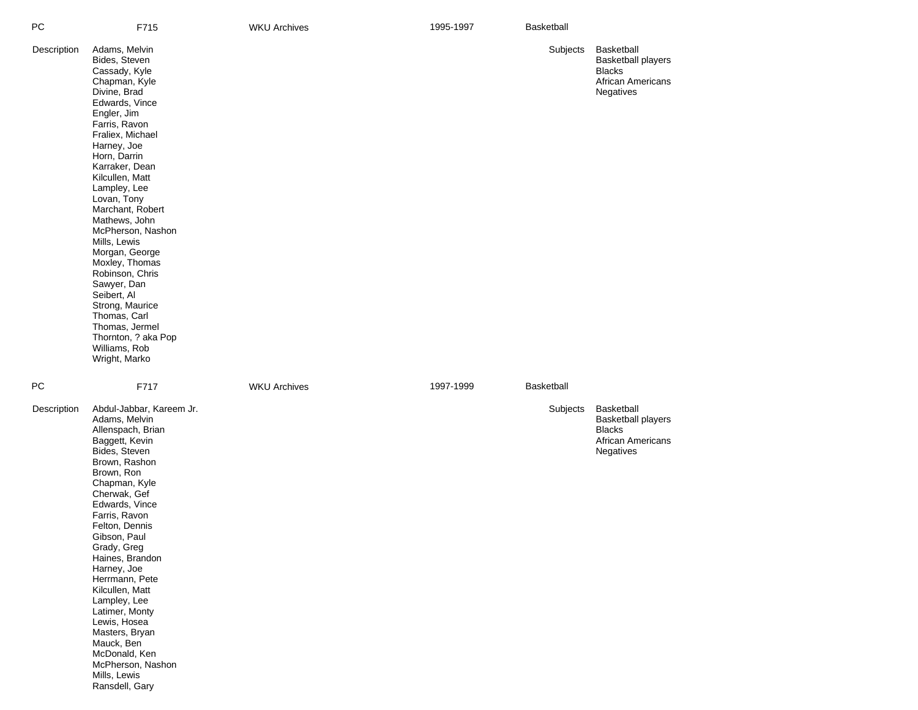| РC          | F715                                                                                                                                                                                                                                                                                                                                                                                                                                                                                                                                   | <b>WKU Archives</b> | 1995-1997 | Basketball |                                                                                                   |
|-------------|----------------------------------------------------------------------------------------------------------------------------------------------------------------------------------------------------------------------------------------------------------------------------------------------------------------------------------------------------------------------------------------------------------------------------------------------------------------------------------------------------------------------------------------|---------------------|-----------|------------|---------------------------------------------------------------------------------------------------|
| Description | Adams, Melvin<br>Bides, Steven<br>Cassady, Kyle<br>Chapman, Kyle<br>Divine, Brad<br>Edwards, Vince<br>Engler, Jim<br>Farris, Ravon<br>Fraliex, Michael<br>Harney, Joe<br>Horn, Darrin<br>Karraker, Dean<br>Kilcullen, Matt<br>Lampley, Lee<br>Lovan, Tony<br>Marchant, Robert<br>Mathews, John<br>McPherson, Nashon<br>Mills, Lewis<br>Morgan, George<br>Moxley, Thomas<br>Robinson, Chris<br>Sawyer, Dan<br>Seibert, Al<br>Strong, Maurice<br>Thomas, Carl<br>Thomas, Jermel<br>Thornton, ? aka Pop<br>Williams, Rob<br>Wright, Marko |                     |           | Subjects   | <b>Basketball</b><br><b>Basketball players</b><br><b>Blacks</b><br>African Americans<br>Negatives |
| PС          | F717                                                                                                                                                                                                                                                                                                                                                                                                                                                                                                                                   | <b>WKU Archives</b> | 1997-1999 | Basketball |                                                                                                   |
| Description | Abdul-Jabbar, Kareem Jr.<br>Adams, Melvin<br>Allenspach, Brian<br>Baggett, Kevin<br>Bides, Steven<br>Brown, Rashon<br>Brown, Ron<br>Chapman, Kyle<br>Cherwak, Gef<br>Edwards, Vince<br>Farris, Ravon<br>Felton, Dennis<br>Gibson, Paul<br>Grady, Greg<br>Haines, Brandon<br>Harney, Joe<br>Herrmann, Pete<br>Kilcullen, Matt<br>Lampley, Lee<br>Latimer, Monty<br>Lewis, Hosea<br>Masters, Bryan<br>Mauck, Ben<br>McDonald, Ken<br>McPherson, Nashon<br>Mills, Lewis<br>Ransdell, Gary                                                 |                     |           | Subjects   | Basketball<br><b>Basketball players</b><br><b>Blacks</b><br><b>African Americans</b><br>Negatives |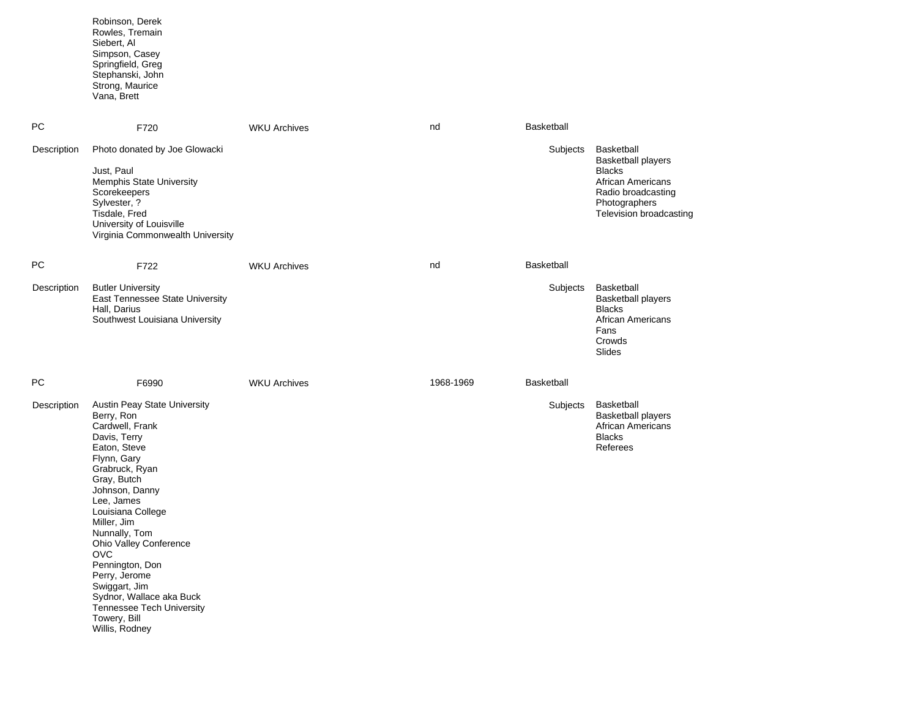|             | Robinson, Derek<br>Rowles, Tremain<br>Siebert, Al<br>Simpson, Casey<br>Springfield, Greg<br>Stephanski, John<br>Strong, Maurice<br>Vana, Brett                                                                                                                                                                                                                                                                                    |                     |           |                   |                                                                                                                                                        |
|-------------|-----------------------------------------------------------------------------------------------------------------------------------------------------------------------------------------------------------------------------------------------------------------------------------------------------------------------------------------------------------------------------------------------------------------------------------|---------------------|-----------|-------------------|--------------------------------------------------------------------------------------------------------------------------------------------------------|
| PC          | F720                                                                                                                                                                                                                                                                                                                                                                                                                              | <b>WKU Archives</b> | nd        | Basketball        |                                                                                                                                                        |
| Description | Photo donated by Joe Glowacki<br>Just, Paul<br><b>Memphis State University</b><br>Scorekeepers<br>Sylvester, ?<br>Tisdale, Fred<br>University of Louisville<br>Virginia Commonwealth University                                                                                                                                                                                                                                   |                     |           | Subjects          | Basketball<br><b>Basketball players</b><br><b>Blacks</b><br><b>African Americans</b><br>Radio broadcasting<br>Photographers<br>Television broadcasting |
| PC          | F722                                                                                                                                                                                                                                                                                                                                                                                                                              | <b>WKU Archives</b> | nd        | <b>Basketball</b> |                                                                                                                                                        |
| Description | <b>Butler University</b><br>East Tennessee State University<br>Hall, Darius<br>Southwest Louisiana University                                                                                                                                                                                                                                                                                                                     |                     |           | Subjects          | Basketball<br><b>Basketball players</b><br><b>Blacks</b><br><b>African Americans</b><br>Fans<br>Crowds<br>Slides                                       |
| PC          | F6990                                                                                                                                                                                                                                                                                                                                                                                                                             | <b>WKU Archives</b> | 1968-1969 | <b>Basketball</b> |                                                                                                                                                        |
| Description | Austin Peay State University<br>Berry, Ron<br>Cardwell, Frank<br>Davis, Terry<br>Eaton, Steve<br>Flynn, Gary<br>Grabruck, Ryan<br>Gray, Butch<br>Johnson, Danny<br>Lee, James<br>Louisiana College<br>Miller, Jim<br>Nunnally, Tom<br><b>Ohio Valley Conference</b><br><b>OVC</b><br>Pennington, Don<br>Perry, Jerome<br>Swiggart, Jim<br>Sydnor, Wallace aka Buck<br>Tennessee Tech University<br>Towery, Bill<br>Willis, Rodney |                     |           | Subjects          | Basketball<br><b>Basketball players</b><br><b>African Americans</b><br><b>Blacks</b><br>Referees                                                       |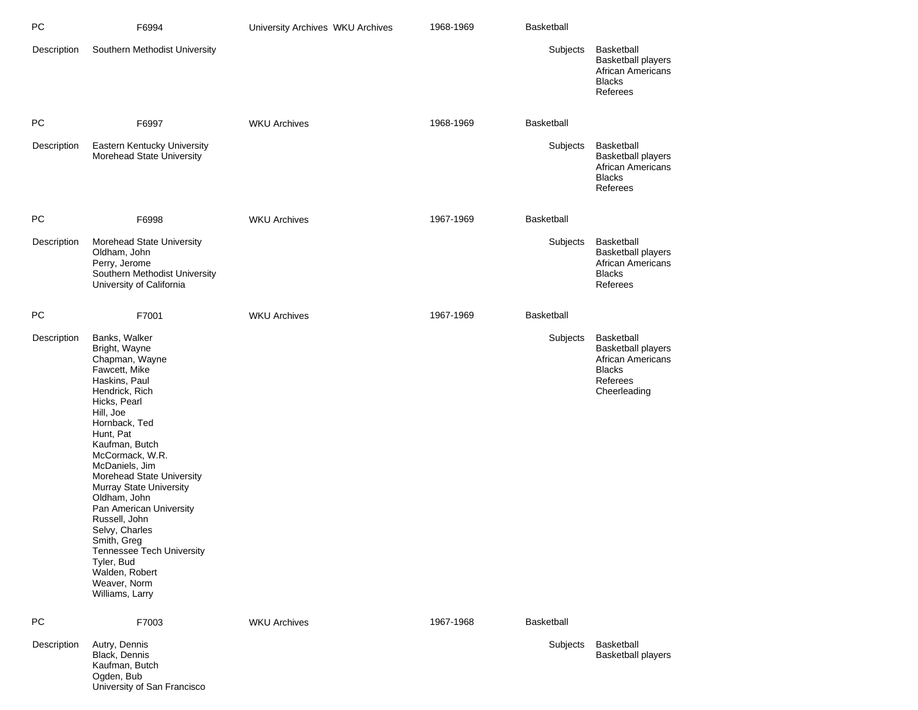| PC          | F6994                                                                                                                                                                                                                                                                                                                                                                                                                                                                       | University Archives WKU Archives | 1968-1969 | <b>Basketball</b> |                                                                                                                         |
|-------------|-----------------------------------------------------------------------------------------------------------------------------------------------------------------------------------------------------------------------------------------------------------------------------------------------------------------------------------------------------------------------------------------------------------------------------------------------------------------------------|----------------------------------|-----------|-------------------|-------------------------------------------------------------------------------------------------------------------------|
| Description | Southern Methodist University                                                                                                                                                                                                                                                                                                                                                                                                                                               |                                  |           | Subjects          | <b>Basketball</b><br><b>Basketball players</b><br><b>African Americans</b><br><b>Blacks</b><br>Referees                 |
| PC.         | F6997                                                                                                                                                                                                                                                                                                                                                                                                                                                                       | <b>WKU Archives</b>              | 1968-1969 | <b>Basketball</b> |                                                                                                                         |
| Description | Eastern Kentucky University<br>Morehead State University                                                                                                                                                                                                                                                                                                                                                                                                                    |                                  |           | Subjects          | Basketball<br><b>Basketball players</b><br>African Americans<br><b>Blacks</b><br>Referees                               |
| PC          | F6998                                                                                                                                                                                                                                                                                                                                                                                                                                                                       | <b>WKU Archives</b>              | 1967-1969 | <b>Basketball</b> |                                                                                                                         |
| Description | Morehead State University<br>Oldham, John<br>Perry, Jerome<br>Southern Methodist University<br>University of California                                                                                                                                                                                                                                                                                                                                                     |                                  |           | Subjects          | Basketball<br><b>Basketball players</b><br><b>African Americans</b><br><b>Blacks</b><br>Referees                        |
| PC.         | F7001                                                                                                                                                                                                                                                                                                                                                                                                                                                                       | <b>WKU Archives</b>              | 1967-1969 | <b>Basketball</b> |                                                                                                                         |
| Description | Banks, Walker<br>Bright, Wayne<br>Chapman, Wayne<br>Fawcett, Mike<br>Haskins, Paul<br>Hendrick, Rich<br>Hicks, Pearl<br>Hill, Joe<br>Hornback, Ted<br>Hunt, Pat<br>Kaufman, Butch<br>McCormack, W.R.<br>McDaniels, Jim<br>Morehead State University<br>Murray State University<br>Oldham, John<br>Pan American University<br>Russell, John<br>Selvy, Charles<br>Smith, Greg<br>Tennessee Tech University<br>Tyler, Bud<br>Walden, Robert<br>Weaver, Norm<br>Williams, Larry |                                  |           | Subjects          | <b>Basketball</b><br><b>Basketball players</b><br><b>African Americans</b><br><b>Blacks</b><br>Referees<br>Cheerleading |
| <b>PC</b>   | F7003                                                                                                                                                                                                                                                                                                                                                                                                                                                                       | <b>WKU Archives</b>              | 1967-1968 | <b>Basketball</b> |                                                                                                                         |
| Description | Autry, Dennis<br>Black, Dennis<br>Kaufman, Butch<br>Ogden, Bub                                                                                                                                                                                                                                                                                                                                                                                                              |                                  |           | Subjects          | Basketball<br><b>Basketball players</b>                                                                                 |

University of San Francisco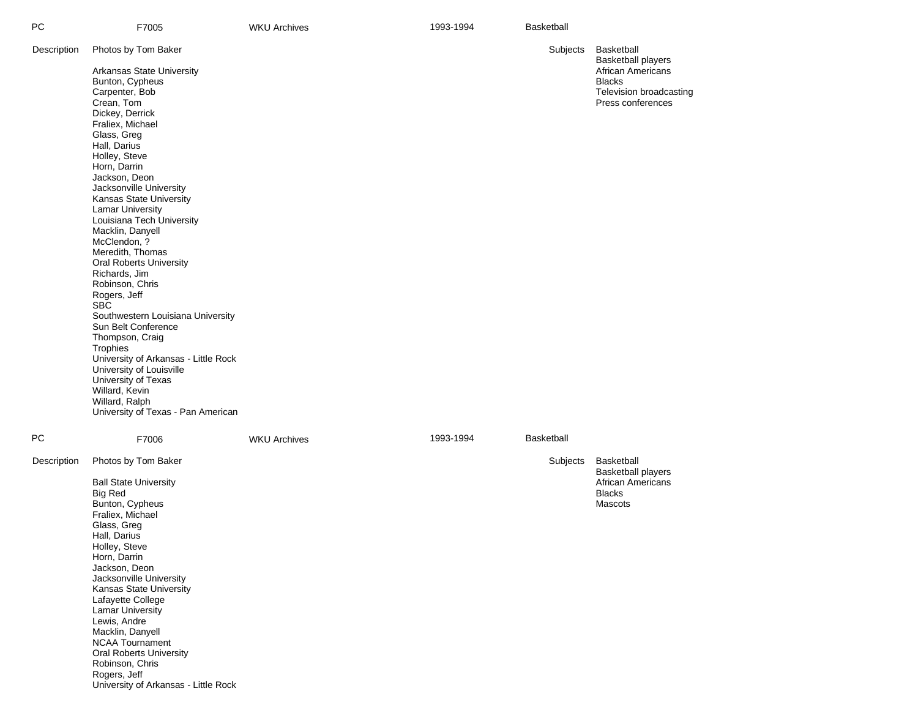| PC          | F7005                                                                                                                                                                                                                                                                                                                                                                                                                                                                                                                                                                                                                                                                                                                                                                 | <b>WKU Archives</b> | 1993-1994 | Basketball        |                                                                                                                                      |
|-------------|-----------------------------------------------------------------------------------------------------------------------------------------------------------------------------------------------------------------------------------------------------------------------------------------------------------------------------------------------------------------------------------------------------------------------------------------------------------------------------------------------------------------------------------------------------------------------------------------------------------------------------------------------------------------------------------------------------------------------------------------------------------------------|---------------------|-----------|-------------------|--------------------------------------------------------------------------------------------------------------------------------------|
| Description | Photos by Tom Baker<br>Arkansas State University<br>Bunton, Cypheus<br>Carpenter, Bob<br>Crean, Tom<br>Dickey, Derrick<br>Fraliex, Michael<br>Glass, Greg<br>Hall, Darius<br>Holley, Steve<br>Horn, Darrin<br>Jackson, Deon<br>Jacksonville University<br>Kansas State University<br><b>Lamar University</b><br>Louisiana Tech University<br>Macklin, Danyell<br>McClendon, ?<br>Meredith, Thomas<br><b>Oral Roberts University</b><br>Richards, Jim<br>Robinson, Chris<br>Rogers, Jeff<br><b>SBC</b><br>Southwestern Louisiana University<br>Sun Belt Conference<br>Thompson, Craig<br>Trophies<br>University of Arkansas - Little Rock<br>University of Louisville<br>University of Texas<br>Willard, Kevin<br>Willard, Ralph<br>University of Texas - Pan American |                     |           | Subjects          | Basketball<br><b>Basketball players</b><br><b>African Americans</b><br><b>Blacks</b><br>Television broadcasting<br>Press conferences |
| PC          | F7006                                                                                                                                                                                                                                                                                                                                                                                                                                                                                                                                                                                                                                                                                                                                                                 | <b>WKU Archives</b> | 1993-1994 | <b>Basketball</b> |                                                                                                                                      |
| Description | Photos by Tom Baker<br><b>Ball State University</b><br><b>Big Red</b><br>Bunton, Cypheus<br>Fraliex, Michael<br>Glass, Greg<br>Hall, Darius<br>Holley, Steve<br>Horn, Darrin<br>Jackson, Deon<br>Jacksonville University<br>Kansas State University<br>Lafayette College<br><b>Lamar University</b><br>Lewis, Andre<br>Macklin, Danyell<br><b>NCAA Tournament</b><br><b>Oral Roberts University</b><br>Robinson, Chris<br>Rogers, Jeff<br>University of Arkansas - Little Rock                                                                                                                                                                                                                                                                                        |                     |           | Subjects          | Basketball<br><b>Basketball players</b><br>African Americans<br><b>Blacks</b><br>Mascots                                             |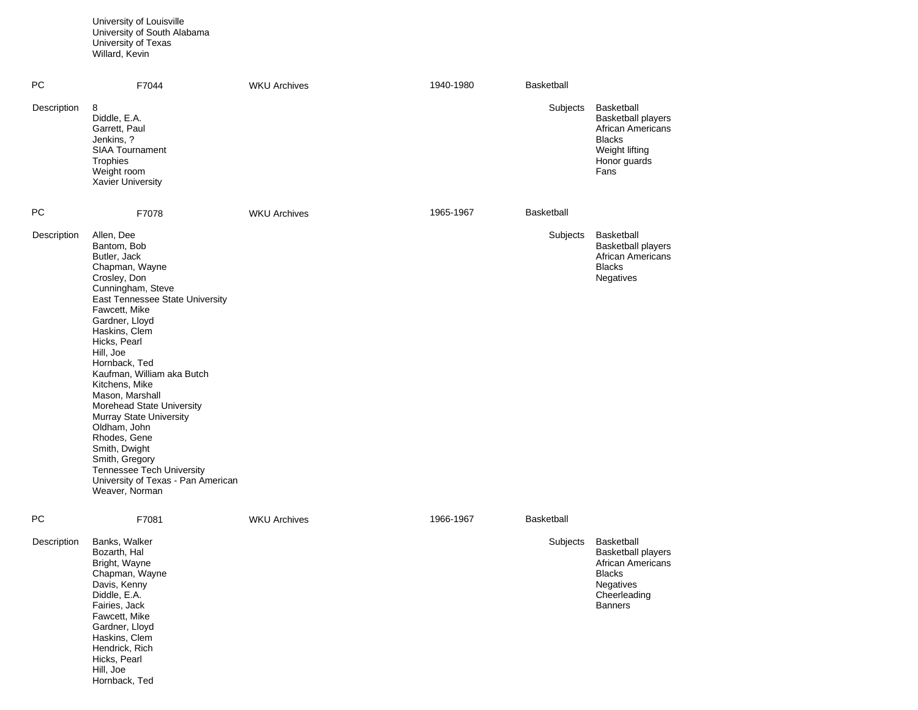University of Louisville University of South Alabama University of Texas Willard, Kevin

Hill, Joe Hornback, Ted

| <b>PC</b>   | F7044                                                                                                                                                                                                                                                                                                                                                                                                                                                                                                                                  | <b>WKU Archives</b> | 1940-1980 | <b>Basketball</b> |                                                                                                                                            |
|-------------|----------------------------------------------------------------------------------------------------------------------------------------------------------------------------------------------------------------------------------------------------------------------------------------------------------------------------------------------------------------------------------------------------------------------------------------------------------------------------------------------------------------------------------------|---------------------|-----------|-------------------|--------------------------------------------------------------------------------------------------------------------------------------------|
| Description | 8<br>Diddle, E.A.<br>Garrett, Paul<br>Jenkins, ?<br><b>SIAA Tournament</b><br>Trophies<br>Weight room<br><b>Xavier University</b>                                                                                                                                                                                                                                                                                                                                                                                                      |                     |           | Subjects          | Basketball<br><b>Basketball players</b><br><b>African Americans</b><br><b>Blacks</b><br>Weight lifting<br>Honor guards<br>Fans             |
| PC          | F7078                                                                                                                                                                                                                                                                                                                                                                                                                                                                                                                                  | <b>WKU Archives</b> | 1965-1967 | <b>Basketball</b> |                                                                                                                                            |
| Description | Allen, Dee<br>Bantom, Bob<br>Butler, Jack<br>Chapman, Wayne<br>Crosley, Don<br>Cunningham, Steve<br>East Tennessee State University<br>Fawcett, Mike<br>Gardner, Lloyd<br>Haskins, Clem<br>Hicks, Pearl<br>Hill, Joe<br>Hornback, Ted<br>Kaufman, William aka Butch<br>Kitchens, Mike<br>Mason, Marshall<br>Morehead State University<br><b>Murray State University</b><br>Oldham, John<br>Rhodes, Gene<br>Smith, Dwight<br>Smith, Gregory<br><b>Tennessee Tech University</b><br>University of Texas - Pan American<br>Weaver, Norman |                     |           | Subjects          | Basketball<br><b>Basketball players</b><br><b>African Americans</b><br><b>Blacks</b><br>Negatives                                          |
| РC          | F7081                                                                                                                                                                                                                                                                                                                                                                                                                                                                                                                                  | <b>WKU Archives</b> | 1966-1967 | <b>Basketball</b> |                                                                                                                                            |
| Description | Banks, Walker<br>Bozarth, Hal<br>Bright, Wayne<br>Chapman, Wayne<br>Davis, Kenny<br>Diddle, E.A.<br>Fairies, Jack<br>Fawcett, Mike<br>Gardner, Lloyd<br>Haskins, Clem<br>Hendrick, Rich<br>Hicks, Pearl                                                                                                                                                                                                                                                                                                                                |                     |           | Subjects          | Basketball<br><b>Basketball players</b><br><b>African Americans</b><br><b>Blacks</b><br><b>Negatives</b><br>Cheerleading<br><b>Banners</b> |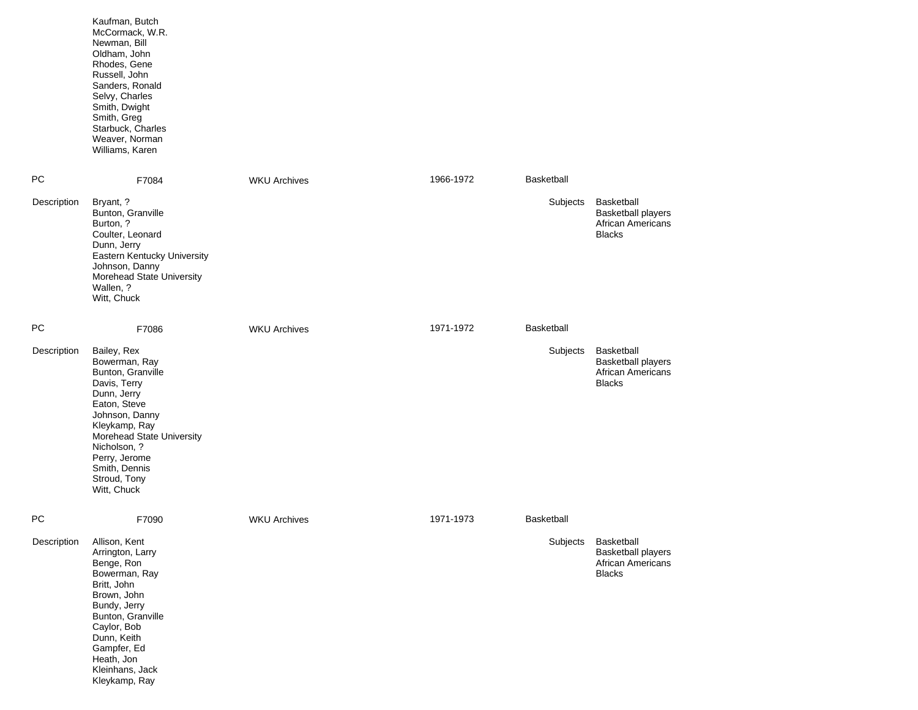|             | Kaufman, Butch<br>McCormack, W.R.<br>Newman, Bill<br>Oldham, John<br>Rhodes, Gene<br>Russell, John<br>Sanders, Ronald<br>Selvy, Charles<br>Smith, Dwight<br>Smith, Greg<br>Starbuck, Charles<br>Weaver, Norman<br>Williams, Karen                 |                     |           |            |                                                                                      |
|-------------|---------------------------------------------------------------------------------------------------------------------------------------------------------------------------------------------------------------------------------------------------|---------------------|-----------|------------|--------------------------------------------------------------------------------------|
| <b>PC</b>   | F7084                                                                                                                                                                                                                                             | <b>WKU Archives</b> | 1966-1972 | Basketball |                                                                                      |
| Description | Bryant, ?<br>Bunton, Granville<br>Burton, ?<br>Coulter, Leonard<br>Dunn, Jerry<br>Eastern Kentucky University<br>Johnson, Danny<br>Morehead State University<br>Wallen, ?<br>Witt, Chuck                                                          |                     |           | Subjects   | Basketball<br><b>Basketball players</b><br><b>African Americans</b><br><b>Blacks</b> |
| <b>PC</b>   | F7086                                                                                                                                                                                                                                             | <b>WKU Archives</b> | 1971-1972 | Basketball |                                                                                      |
| Description | Bailey, Rex<br>Bowerman, Ray<br>Bunton, Granville<br>Davis, Terry<br>Dunn, Jerry<br>Eaton, Steve<br>Johnson, Danny<br>Kleykamp, Ray<br>Morehead State University<br>Nicholson, ?<br>Perry, Jerome<br>Smith, Dennis<br>Stroud, Tony<br>Witt, Chuck |                     |           | Subjects   | Basketball<br><b>Basketball players</b><br>African Americans<br><b>Blacks</b>        |
| <b>PC</b>   | F7090                                                                                                                                                                                                                                             | <b>WKU Archives</b> | 1971-1973 | Basketball |                                                                                      |
| Description | Allison, Kent<br>Arrington, Larry<br>Benge, Ron<br>Bowerman, Ray<br>Britt, John<br>Brown, John<br>Bundy, Jerry<br>Bunton, Granville<br>Caylor, Bob<br>Dunn, Keith<br>Gampfer, Ed<br>Heath, Jon<br>Kleinhans, Jack<br>Kleykamp, Ray                |                     |           | Subjects   | Basketball<br><b>Basketball players</b><br><b>African Americans</b><br><b>Blacks</b> |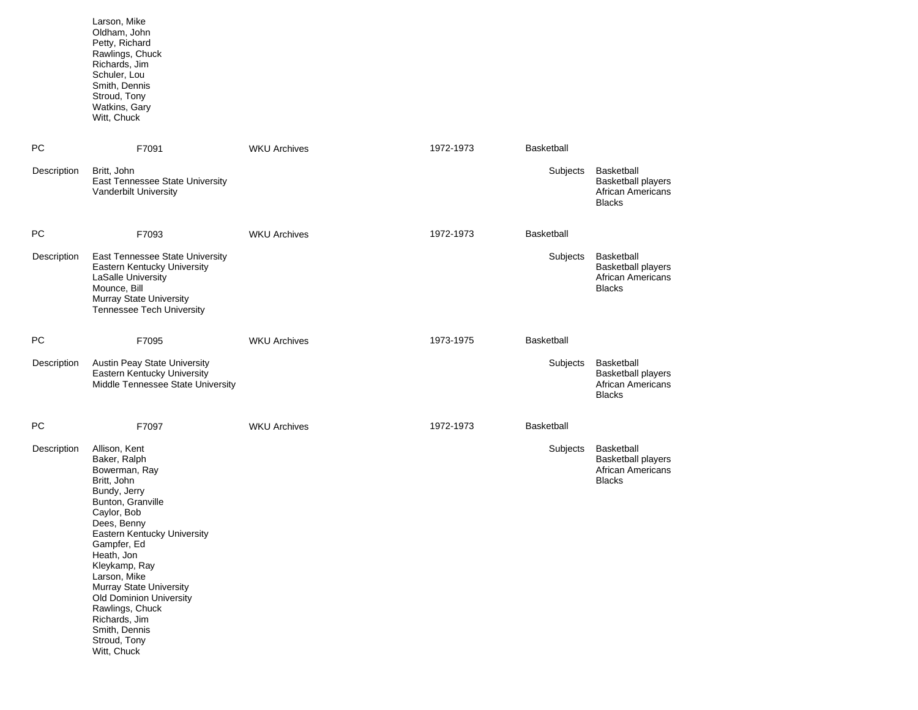| Larson, Mike    |
|-----------------|
| Oldham, John    |
| Petty, Richard  |
| Rawlings, Chuck |
| Richards, Jim   |
| Schuler, Lou    |
| Smith, Dennis   |
| Stroud, Tony    |
| Watkins, Gary   |
| Witt. Chuck     |

| PC          | F7091                                                                                                                                                                                                                                                                                                                                                                                 | <b>WKU Archives</b> | 1972-1973 | <b>Basketball</b> |                                                                                      |
|-------------|---------------------------------------------------------------------------------------------------------------------------------------------------------------------------------------------------------------------------------------------------------------------------------------------------------------------------------------------------------------------------------------|---------------------|-----------|-------------------|--------------------------------------------------------------------------------------|
| Description | Britt, John<br>East Tennessee State University<br>Vanderbilt University                                                                                                                                                                                                                                                                                                               |                     |           | Subjects          | Basketball<br><b>Basketball players</b><br>African Americans<br><b>Blacks</b>        |
| PC          | F7093                                                                                                                                                                                                                                                                                                                                                                                 | <b>WKU Archives</b> | 1972-1973 | Basketball        |                                                                                      |
| Description | East Tennessee State University<br>Eastern Kentucky University<br>LaSalle University<br>Mounce, Bill<br>Murray State University<br><b>Tennessee Tech University</b>                                                                                                                                                                                                                   |                     |           | Subjects          | Basketball<br><b>Basketball players</b><br><b>African Americans</b><br><b>Blacks</b> |
| PC.         | F7095                                                                                                                                                                                                                                                                                                                                                                                 | <b>WKU Archives</b> | 1973-1975 | <b>Basketball</b> |                                                                                      |
| Description | Austin Peay State University<br>Eastern Kentucky University<br>Middle Tennessee State University                                                                                                                                                                                                                                                                                      |                     |           | Subjects          | Basketball<br><b>Basketball players</b><br>African Americans<br><b>Blacks</b>        |
| PC          | F7097                                                                                                                                                                                                                                                                                                                                                                                 | <b>WKU Archives</b> | 1972-1973 | Basketball        |                                                                                      |
| Description | Allison, Kent<br>Baker, Ralph<br>Bowerman, Ray<br>Britt, John<br>Bundy, Jerry<br>Bunton, Granville<br>Caylor, Bob<br>Dees, Benny<br>Eastern Kentucky University<br>Gampfer, Ed<br>Heath, Jon<br>Kleykamp, Ray<br>Larson, Mike<br><b>Murray State University</b><br><b>Old Dominion University</b><br>Rawlings, Chuck<br>Richards, Jim<br>Smith, Dennis<br>Stroud, Tony<br>Witt, Chuck |                     |           | Subjects          | Basketball<br><b>Basketball players</b><br><b>African Americans</b><br><b>Blacks</b> |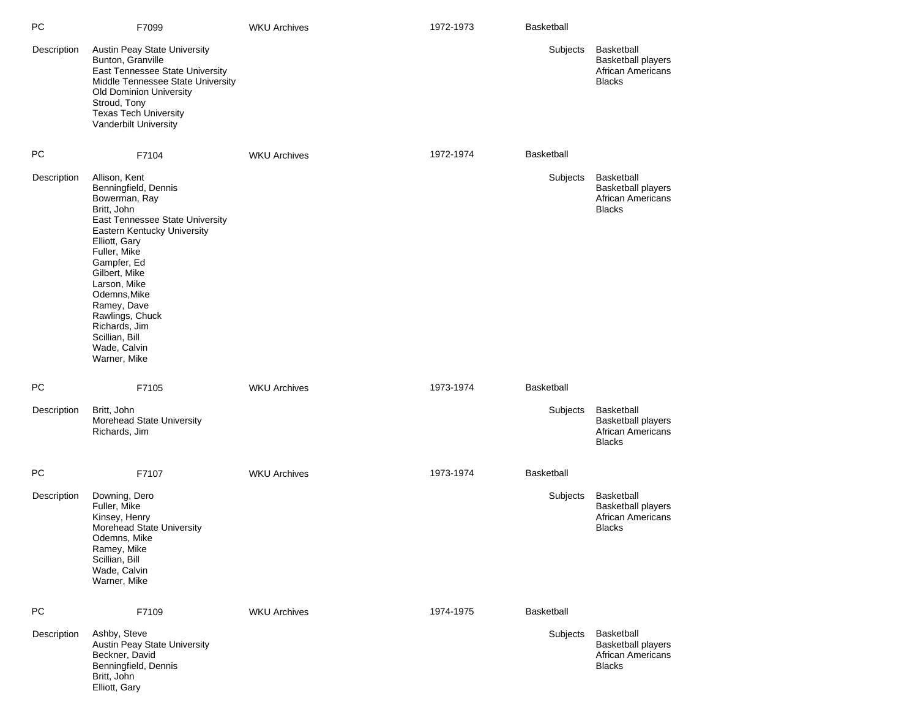| РC          | F7099                                                                                                                                                                                                                                                                                                                                         | <b>WKU Archives</b> | 1972-1973 | <b>Basketball</b> |                                                                                      |
|-------------|-----------------------------------------------------------------------------------------------------------------------------------------------------------------------------------------------------------------------------------------------------------------------------------------------------------------------------------------------|---------------------|-----------|-------------------|--------------------------------------------------------------------------------------|
| Description | <b>Austin Peay State University</b><br>Bunton, Granville<br>East Tennessee State University<br>Middle Tennessee State University<br>Old Dominion University<br>Stroud, Tony<br><b>Texas Tech University</b><br>Vanderbilt University                                                                                                          |                     |           | Subjects          | Basketball<br><b>Basketball players</b><br><b>African Americans</b><br><b>Blacks</b> |
| PC          | F7104                                                                                                                                                                                                                                                                                                                                         | <b>WKU Archives</b> | 1972-1974 | Basketball        |                                                                                      |
| Description | Allison, Kent<br>Benningfield, Dennis<br>Bowerman, Ray<br>Britt, John<br>East Tennessee State University<br>Eastern Kentucky University<br>Elliott, Gary<br>Fuller, Mike<br>Gampfer, Ed<br>Gilbert, Mike<br>Larson, Mike<br>Odemns, Mike<br>Ramey, Dave<br>Rawlings, Chuck<br>Richards, Jim<br>Scillian, Bill<br>Wade, Calvin<br>Warner, Mike |                     |           | Subjects          | Basketball<br><b>Basketball players</b><br><b>African Americans</b><br><b>Blacks</b> |
| PC          | F7105                                                                                                                                                                                                                                                                                                                                         | <b>WKU Archives</b> | 1973-1974 | Basketball        |                                                                                      |
| Description | Britt, John<br>Morehead State University<br>Richards, Jim                                                                                                                                                                                                                                                                                     |                     |           | Subjects          | Basketball<br><b>Basketball players</b><br><b>African Americans</b><br><b>Blacks</b> |
| РC          | F7107                                                                                                                                                                                                                                                                                                                                         | <b>WKU Archives</b> | 1973-1974 | Basketball        |                                                                                      |
| Description | Downing, Dero<br>Fuller, Mike<br>Kinsey, Henry<br>Morehead State University<br>Odemns, Mike<br>Ramey, Mike<br>Scillian, Bill<br>Wade, Calvin<br>Warner, Mike                                                                                                                                                                                  |                     |           | Subjects          | Basketball<br><b>Basketball players</b><br><b>African Americans</b><br><b>Blacks</b> |
| PC          | F7109                                                                                                                                                                                                                                                                                                                                         | <b>WKU Archives</b> | 1974-1975 | Basketball        |                                                                                      |
| Description | Ashby, Steve<br>Austin Peay State University<br>Beckner, David<br>Benningfield, Dennis<br>Britt, John<br>Elliott, Gary                                                                                                                                                                                                                        |                     |           | Subjects          | Basketball<br><b>Basketball players</b><br><b>African Americans</b><br><b>Blacks</b> |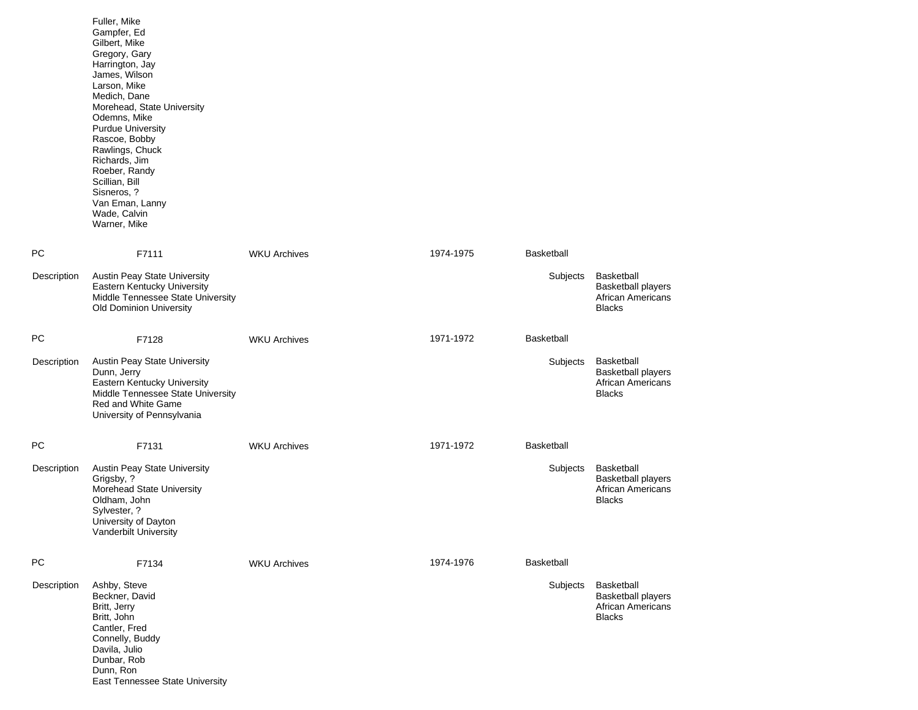|             | Fuller, Mike<br>Gampfer, Ed<br>Gilbert, Mike<br>Gregory, Gary<br>Harrington, Jay<br>James, Wilson<br>Larson, Mike<br>Medich, Dane<br>Morehead, State University<br>Odemns, Mike<br><b>Purdue University</b><br>Rascoe, Bobby<br>Rawlings, Chuck<br>Richards, Jim<br>Roeber, Randy<br>Scillian, Bill<br>Sisneros, ?<br>Van Eman, Lanny<br>Wade, Calvin<br>Warner, Mike |                     |           |                   |                                                                                      |
|-------------|-----------------------------------------------------------------------------------------------------------------------------------------------------------------------------------------------------------------------------------------------------------------------------------------------------------------------------------------------------------------------|---------------------|-----------|-------------------|--------------------------------------------------------------------------------------|
| PC          | F7111                                                                                                                                                                                                                                                                                                                                                                 | <b>WKU Archives</b> | 1974-1975 | Basketball        |                                                                                      |
| Description | Austin Peay State University<br>Eastern Kentucky University<br>Middle Tennessee State University<br>Old Dominion University                                                                                                                                                                                                                                           |                     |           | Subjects          | <b>Basketball</b><br><b>Basketball players</b><br>African Americans<br><b>Blacks</b> |
| PC          | F7128                                                                                                                                                                                                                                                                                                                                                                 | <b>WKU Archives</b> | 1971-1972 | <b>Basketball</b> |                                                                                      |
| Description | Austin Peay State University<br>Dunn, Jerry<br>Eastern Kentucky University<br>Middle Tennessee State University<br>Red and White Game<br>University of Pennsylvania                                                                                                                                                                                                   |                     |           | Subjects          | <b>Basketball</b><br><b>Basketball players</b><br>African Americans<br><b>Blacks</b> |
| PC          | F7131                                                                                                                                                                                                                                                                                                                                                                 | <b>WKU Archives</b> | 1971-1972 | Basketball        |                                                                                      |
| Description | Austin Peay State University<br>Grigsby, ?<br>Morehead State University<br>Oldham, John<br>Sylvester, ?<br>University of Dayton<br>Vanderbilt University                                                                                                                                                                                                              |                     |           | Subjects          | Basketball<br><b>Basketball players</b><br>African Americans<br><b>Blacks</b>        |
| PC          | F7134                                                                                                                                                                                                                                                                                                                                                                 | <b>WKU Archives</b> | 1974-1976 | <b>Basketball</b> |                                                                                      |
| Description | Ashby, Steve<br>Beckner, David<br>Britt, Jerry<br>Britt, John<br>Cantler, Fred<br>Connelly, Buddy<br>Davila, Julio<br>Dunbar, Rob<br>Dunn, Ron<br>East Tennessee State University                                                                                                                                                                                     |                     |           | Subjects          | Basketball<br><b>Basketball players</b><br>African Americans<br><b>Blacks</b>        |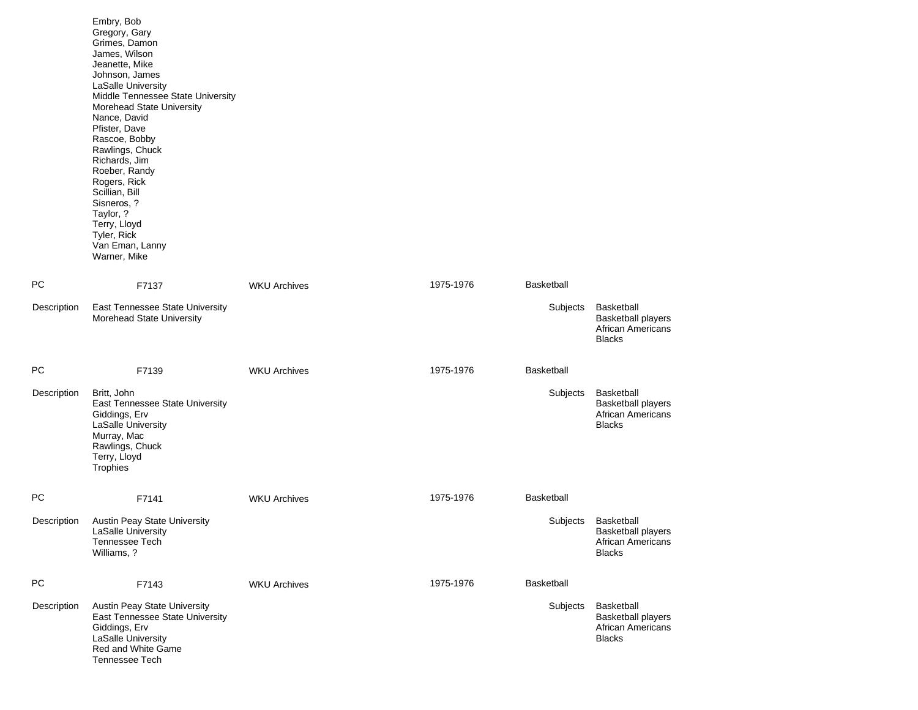|             | Embry, Bob<br>Gregory, Gary<br>Grimes, Damon<br>James, Wilson<br>Jeanette, Mike<br>Johnson, James<br>LaSalle University<br>Middle Tennessee State University<br>Morehead State University<br>Nance, David<br>Pfister, Dave<br>Rascoe, Bobby<br>Rawlings, Chuck<br>Richards, Jim<br>Roeber, Randy<br>Rogers, Rick<br>Scillian, Bill<br>Sisneros, ?<br>Taylor, ?<br>Terry, Lloyd<br>Tyler, Rick<br>Van Eman, Lanny<br>Warner, Mike |                     |           |                   |                                                                                      |
|-------------|----------------------------------------------------------------------------------------------------------------------------------------------------------------------------------------------------------------------------------------------------------------------------------------------------------------------------------------------------------------------------------------------------------------------------------|---------------------|-----------|-------------------|--------------------------------------------------------------------------------------|
| <b>PC</b>   | F7137                                                                                                                                                                                                                                                                                                                                                                                                                            | <b>WKU Archives</b> | 1975-1976 | <b>Basketball</b> |                                                                                      |
| Description | East Tennessee State University<br>Morehead State University                                                                                                                                                                                                                                                                                                                                                                     |                     |           | Subjects          | Basketball<br><b>Basketball players</b><br><b>African Americans</b><br><b>Blacks</b> |
| <b>PC</b>   | F7139                                                                                                                                                                                                                                                                                                                                                                                                                            | <b>WKU Archives</b> | 1975-1976 | <b>Basketball</b> |                                                                                      |
| Description | Britt, John<br>East Tennessee State University<br>Giddings, Erv<br>LaSalle University<br>Murray, Mac<br>Rawlings, Chuck<br>Terry, Lloyd<br>Trophies                                                                                                                                                                                                                                                                              |                     |           | Subjects          | Basketball<br><b>Basketball players</b><br>African Americans<br><b>Blacks</b>        |
| PC.         | F7141                                                                                                                                                                                                                                                                                                                                                                                                                            | <b>WKU Archives</b> | 1975-1976 | <b>Basketball</b> |                                                                                      |
| Description | Austin Peay State University<br>LaSalle University<br><b>Tennessee Tech</b><br>Williams, ?                                                                                                                                                                                                                                                                                                                                       |                     |           | Subjects          | Basketball<br><b>Basketball players</b><br>African Americans<br><b>Blacks</b>        |
| <b>PC</b>   | F7143                                                                                                                                                                                                                                                                                                                                                                                                                            | <b>WKU Archives</b> | 1975-1976 | Basketball        |                                                                                      |
| Description | Austin Peay State University<br>East Tennessee State University<br>Giddings, Erv<br>LaSalle University<br>Red and White Game<br><b>Tennessee Tech</b>                                                                                                                                                                                                                                                                            |                     |           | Subjects          | Basketball<br><b>Basketball players</b><br><b>African Americans</b><br><b>Blacks</b> |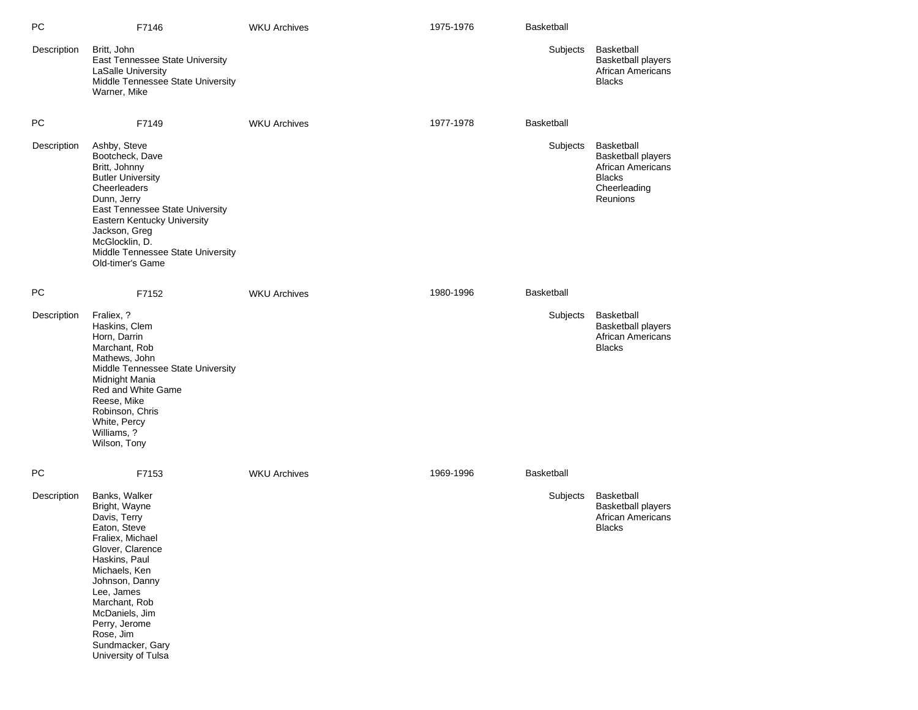| PC          | F7146                                                                                                                                                                                                                                                                                | <b>WKU Archives</b> | 1975-1976 | <b>Basketball</b> |                                                                                                                         |
|-------------|--------------------------------------------------------------------------------------------------------------------------------------------------------------------------------------------------------------------------------------------------------------------------------------|---------------------|-----------|-------------------|-------------------------------------------------------------------------------------------------------------------------|
| Description | Britt, John<br>East Tennessee State University<br>LaSalle University<br>Middle Tennessee State University<br>Warner, Mike                                                                                                                                                            |                     |           | Subjects          | <b>Basketball</b><br><b>Basketball players</b><br>African Americans<br><b>Blacks</b>                                    |
| РC          | F7149                                                                                                                                                                                                                                                                                | <b>WKU Archives</b> | 1977-1978 | <b>Basketball</b> |                                                                                                                         |
| Description | Ashby, Steve<br>Bootcheck, Dave<br>Britt, Johnny<br><b>Butler University</b><br>Cheerleaders<br>Dunn, Jerry<br>East Tennessee State University<br>Eastern Kentucky University<br>Jackson, Greg<br>McGlocklin, D.<br>Middle Tennessee State University<br>Old-timer's Game            |                     |           | Subjects          | <b>Basketball</b><br><b>Basketball players</b><br><b>African Americans</b><br><b>Blacks</b><br>Cheerleading<br>Reunions |
| PC          | F7152                                                                                                                                                                                                                                                                                | <b>WKU Archives</b> | 1980-1996 | <b>Basketball</b> |                                                                                                                         |
| Description | Fraliex, ?<br>Haskins, Clem<br>Horn, Darrin<br>Marchant, Rob<br>Mathews, John<br>Middle Tennessee State University<br>Midnight Mania<br>Red and White Game<br>Reese, Mike<br>Robinson, Chris<br>White, Percy<br>Williams, ?<br>Wilson, Tony                                          |                     |           | Subjects          | Basketball<br><b>Basketball players</b><br><b>African Americans</b><br><b>Blacks</b>                                    |
| <b>PC</b>   | F7153                                                                                                                                                                                                                                                                                | <b>WKU Archives</b> | 1969-1996 | <b>Basketball</b> |                                                                                                                         |
| Description | Banks, Walker<br>Bright, Wayne<br>Davis, Terry<br>Eaton, Steve<br>Fraliex. Michael<br>Glover, Clarence<br>Haskins, Paul<br>Michaels, Ken<br>Johnson, Danny<br>Lee, James<br>Marchant, Rob<br>McDaniels, Jim<br>Perry, Jerome<br>Rose, Jim<br>Sundmacker, Gary<br>University of Tulsa |                     |           | Subjects          | Basketball<br><b>Basketball players</b><br>African Americans<br><b>Blacks</b>                                           |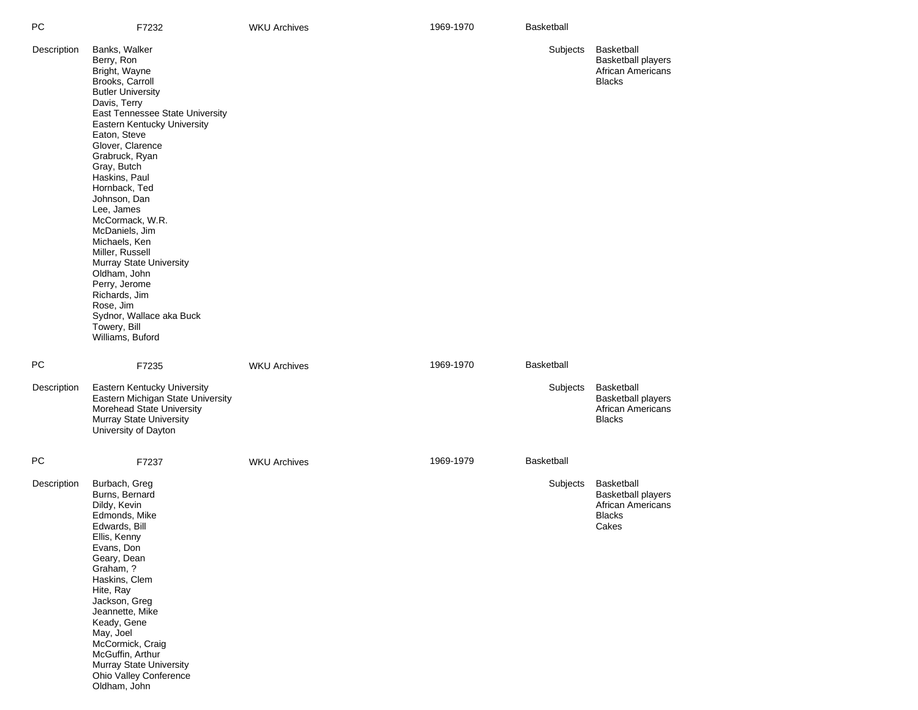| PС          | F7232                                                                                                                                                                                                                                                                                                                                                                                                                                                                                                                                                 | <b>WKU Archives</b> | 1969-1970 | Basketball        |                                                                                             |
|-------------|-------------------------------------------------------------------------------------------------------------------------------------------------------------------------------------------------------------------------------------------------------------------------------------------------------------------------------------------------------------------------------------------------------------------------------------------------------------------------------------------------------------------------------------------------------|---------------------|-----------|-------------------|---------------------------------------------------------------------------------------------|
| Description | Banks, Walker<br>Berry, Ron<br>Bright, Wayne<br>Brooks, Carroll<br><b>Butler University</b><br>Davis, Terry<br>East Tennessee State University<br>Eastern Kentucky University<br>Eaton, Steve<br>Glover, Clarence<br>Grabruck, Ryan<br>Gray, Butch<br>Haskins, Paul<br>Hornback, Ted<br>Johnson, Dan<br>Lee, James<br>McCormack, W.R.<br>McDaniels, Jim<br>Michaels, Ken<br>Miller, Russell<br>Murray State University<br>Oldham, John<br>Perry, Jerome<br>Richards, Jim<br>Rose, Jim<br>Sydnor, Wallace aka Buck<br>Towery, Bill<br>Williams, Buford |                     |           | Subjects          | <b>Basketball</b><br><b>Basketball players</b><br><b>African Americans</b><br><b>Blacks</b> |
| PC          | F7235                                                                                                                                                                                                                                                                                                                                                                                                                                                                                                                                                 | <b>WKU Archives</b> | 1969-1970 | <b>Basketball</b> |                                                                                             |
| Description | Eastern Kentucky University<br>Eastern Michigan State University<br>Morehead State University<br>Murray State University<br>University of Dayton                                                                                                                                                                                                                                                                                                                                                                                                      |                     |           | Subjects          | Basketball<br><b>Basketball players</b><br><b>African Americans</b><br><b>Blacks</b>        |
| PC          | F7237                                                                                                                                                                                                                                                                                                                                                                                                                                                                                                                                                 | <b>WKU Archives</b> | 1969-1979 | <b>Basketball</b> |                                                                                             |
| Description | Burbach, Greg<br>Burns, Bernard<br>Dildy, Kevin<br>Edmonds, Mike<br>Edwards, Bill<br>Ellis, Kenny<br>Evans, Don<br>Geary, Dean<br>Graham, ?<br>Haskins, Clem<br>Hite, Ray<br>Jackson, Greg<br>Jeannette, Mike<br>Keady, Gene<br>May, Joel<br>McCormick, Craig<br>McGuffin, Arthur<br>Murray State University<br>Ohio Valley Conference<br>Oldham, John                                                                                                                                                                                                |                     |           | Subjects          | Basketball<br><b>Basketball players</b><br>African Americans<br><b>Blacks</b><br>Cakes      |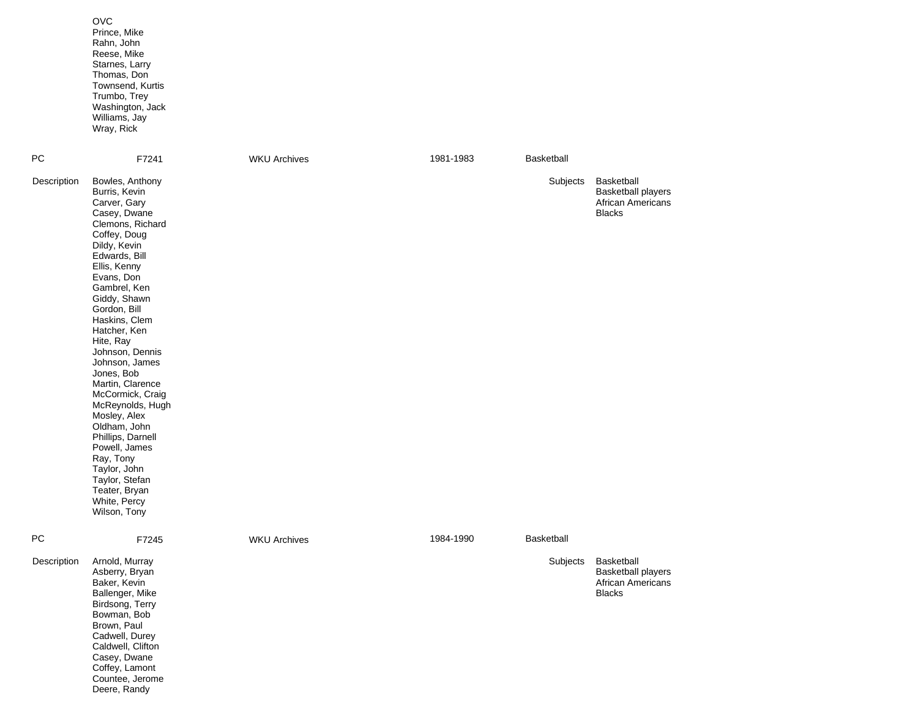|             | <b>OVC</b><br>Prince, Mike<br>Rahn, John<br>Reese, Mike<br>Starnes, Larry<br>Thomas, Don<br>Townsend, Kurtis<br>Trumbo, Trey<br>Washington, Jack<br>Williams, Jay<br>Wray, Rick                                                                                                                                                                                                                                                                                                                                                                        |                     |           |                   |                                                                               |
|-------------|--------------------------------------------------------------------------------------------------------------------------------------------------------------------------------------------------------------------------------------------------------------------------------------------------------------------------------------------------------------------------------------------------------------------------------------------------------------------------------------------------------------------------------------------------------|---------------------|-----------|-------------------|-------------------------------------------------------------------------------|
| PС          | F7241                                                                                                                                                                                                                                                                                                                                                                                                                                                                                                                                                  | <b>WKU Archives</b> | 1981-1983 | Basketball        |                                                                               |
| Description | Bowles, Anthony<br>Burris, Kevin<br>Carver, Gary<br>Casey, Dwane<br>Clemons, Richard<br>Coffey, Doug<br>Dildy, Kevin<br>Edwards, Bill<br>Ellis, Kenny<br>Evans, Don<br>Gambrel, Ken<br>Giddy, Shawn<br>Gordon, Bill<br>Haskins, Clem<br>Hatcher, Ken<br>Hite, Ray<br>Johnson, Dennis<br>Johnson, James<br>Jones, Bob<br>Martin, Clarence<br>McCormick, Craig<br>McReynolds, Hugh<br>Mosley, Alex<br>Oldham, John<br>Phillips, Darnell<br>Powell, James<br>Ray, Tony<br>Taylor, John<br>Taylor, Stefan<br>Teater, Bryan<br>White, Percy<br>Wilson, Tony |                     |           | Subjects          | Basketball<br><b>Basketball players</b><br>African Americans<br><b>Blacks</b> |
| РC          | F7245                                                                                                                                                                                                                                                                                                                                                                                                                                                                                                                                                  | <b>WKU Archives</b> | 1984-1990 | <b>Basketball</b> |                                                                               |
| Description | Arnold, Murray<br>Asberry, Bryan<br>Baker, Kevin<br>Ballenger, Mike<br>Birdsong, Terry<br>Bowman, Bob<br>Brown, Paul<br>Cadwell, Durey<br>Caldwell, Clifton<br>Casey, Dwane<br>Coffey, Lamont<br>Countee, Jerome                                                                                                                                                                                                                                                                                                                                       |                     |           | Subjects          | Basketball<br><b>Basketball players</b><br>African Americans<br><b>Blacks</b> |

Deere, Randy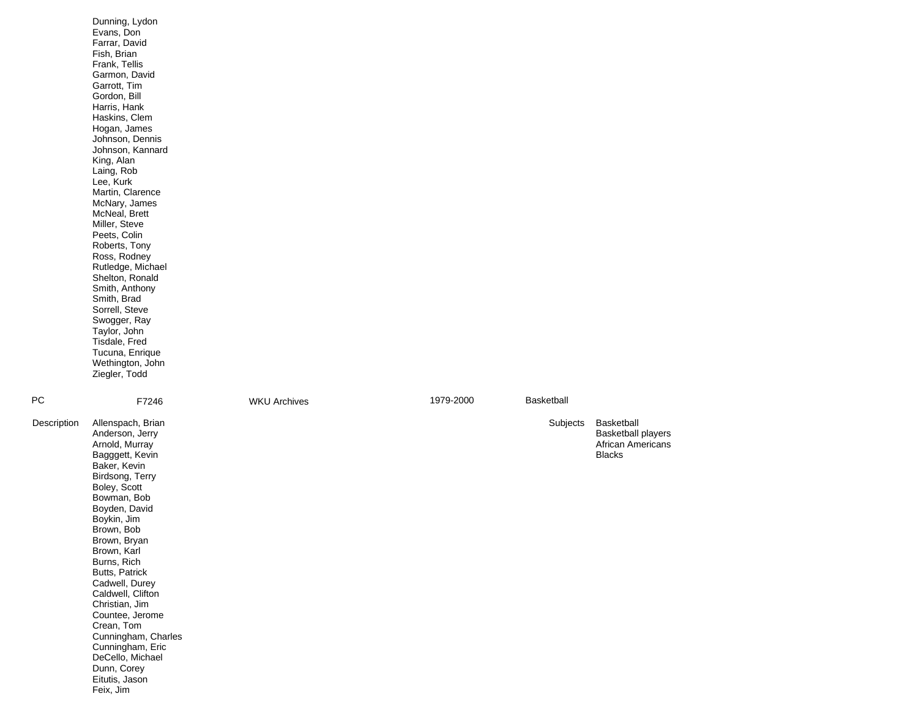|             | Dunning, Lydon<br>Evans, Don<br>Farrar, David<br>Fish, Brian<br>Frank, Tellis<br>Garmon, David<br>Garrott, Tim<br>Gordon, Bill<br>Harris, Hank<br>Haskins, Clem<br>Hogan, James<br>Johnson, Dennis<br>Johnson, Kannard<br>King, Alan<br>Laing, Rob<br>Lee, Kurk<br>Martin, Clarence<br>McNary, James<br>McNeal, Brett<br>Miller, Steve<br>Peets, Colin<br>Roberts, Tony<br>Ross, Rodney<br>Rutledge, Michael<br>Shelton, Ronald<br>Smith, Anthony<br>Smith, Brad<br>Sorrell, Steve<br>Swogger, Ray<br>Taylor, John<br>Tisdale, Fred<br>Tucuna, Enrique<br>Wethington, John<br>Ziegler, Todd |                     |           |            |                                                                                      |
|-------------|---------------------------------------------------------------------------------------------------------------------------------------------------------------------------------------------------------------------------------------------------------------------------------------------------------------------------------------------------------------------------------------------------------------------------------------------------------------------------------------------------------------------------------------------------------------------------------------------|---------------------|-----------|------------|--------------------------------------------------------------------------------------|
| PС          | F7246                                                                                                                                                                                                                                                                                                                                                                                                                                                                                                                                                                                       | <b>WKU Archives</b> | 1979-2000 | Basketball |                                                                                      |
| Description | Allenspach, Brian<br>Anderson, Jerry<br>Arnold, Murray<br>Bagggett, Kevin<br>Baker, Kevin<br>Birdsong, Terry<br>Boley, Scott<br>Bowman, Bob<br>Boyden, David<br>Boykin, Jim<br>Brown, Bob<br>Brown, Bryan<br>Brown, Karl<br>Burns, Rich<br>Butts, Patrick<br>Cadwell, Durey<br>Caldwell, Clifton<br>Christian, Jim<br>Countee, Jerome<br>Crean, Tom<br>Cunningham, Charles<br>Cunningham, Eric<br>DeCello, Michael<br>Dunn, Corey<br>Eitutis, Jason<br>Feix, Jim                                                                                                                            |                     |           | Subjects   | Basketball<br><b>Basketball players</b><br><b>African Americans</b><br><b>Blacks</b> |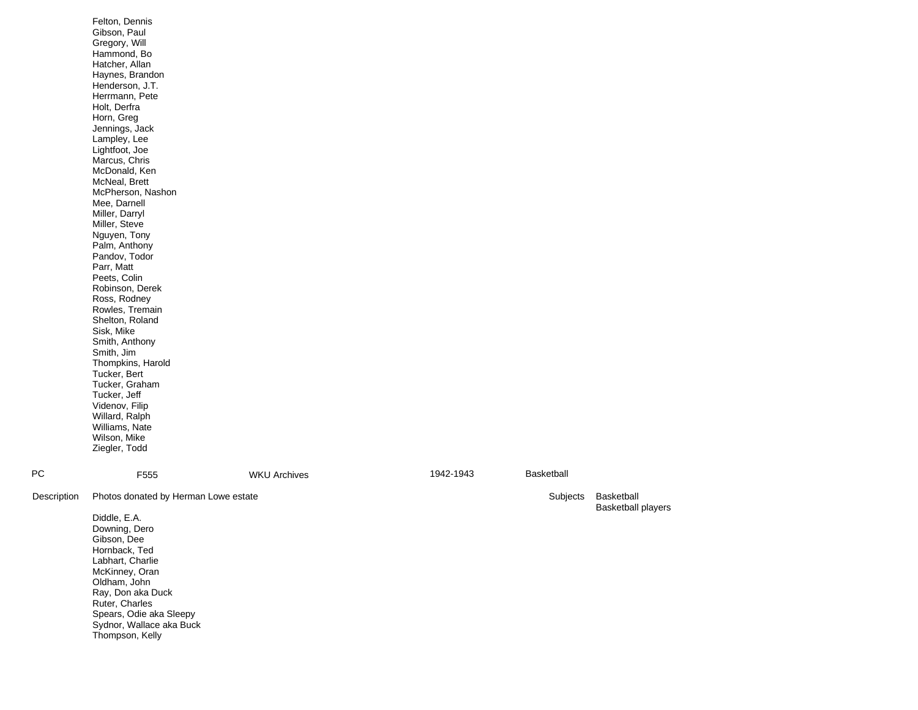|             | Felton, Dennis<br>Gibson, Paul<br>Gregory, Will<br>Hammond, Bo<br>Hatcher, Allan<br>Haynes, Brandon<br>Henderson, J.T.<br>Herrmann, Pete<br>Holt, Derfra<br>Horn, Greg<br>Jennings, Jack<br>Lampley, Lee<br>Lightfoot, Joe<br>Marcus, Chris<br>McDonald, Ken<br>McNeal, Brett<br>McPherson, Nashon<br>Mee, Darnell<br>Miller, Darryl<br>Miller, Steve<br>Nguyen, Tony<br>Palm, Anthony<br>Pandov, Todor<br>Parr, Matt<br>Peets, Colin<br>Robinson, Derek<br>Ross, Rodney<br>Rowles, Tremain<br>Shelton, Roland<br>Sisk, Mike<br>Smith, Anthony<br>Smith, Jim<br>Thompkins, Harold<br>Tucker, Bert<br>Tucker, Graham<br>Tucker, Jeff<br>Videnov, Filip<br>Willard, Ralph<br>Williams, Nate<br>Wilson, Mike<br>Ziegler, Todd |                     |           |            |                                         |
|-------------|----------------------------------------------------------------------------------------------------------------------------------------------------------------------------------------------------------------------------------------------------------------------------------------------------------------------------------------------------------------------------------------------------------------------------------------------------------------------------------------------------------------------------------------------------------------------------------------------------------------------------------------------------------------------------------------------------------------------------|---------------------|-----------|------------|-----------------------------------------|
| <b>PC</b>   | F555                                                                                                                                                                                                                                                                                                                                                                                                                                                                                                                                                                                                                                                                                                                       | <b>WKU Archives</b> | 1942-1943 | Basketball |                                         |
| Description | Photos donated by Herman Lowe estate                                                                                                                                                                                                                                                                                                                                                                                                                                                                                                                                                                                                                                                                                       |                     |           | Subjects   | Basketball<br><b>Basketball players</b> |
|             | Diddle, E.A.<br>Downing, Dero<br>Gibson, Dee<br>Hornback, Ted<br>Labhart, Charlie<br>McKinney, Oran<br>Oldham, John<br>Ray, Don aka Duck<br>Ruter, Charles<br>Spears, Odie aka Sleepy<br>Sydnor, Wallace aka Buck<br>Thompson, Kelly                                                                                                                                                                                                                                                                                                                                                                                                                                                                                       |                     |           |            |                                         |